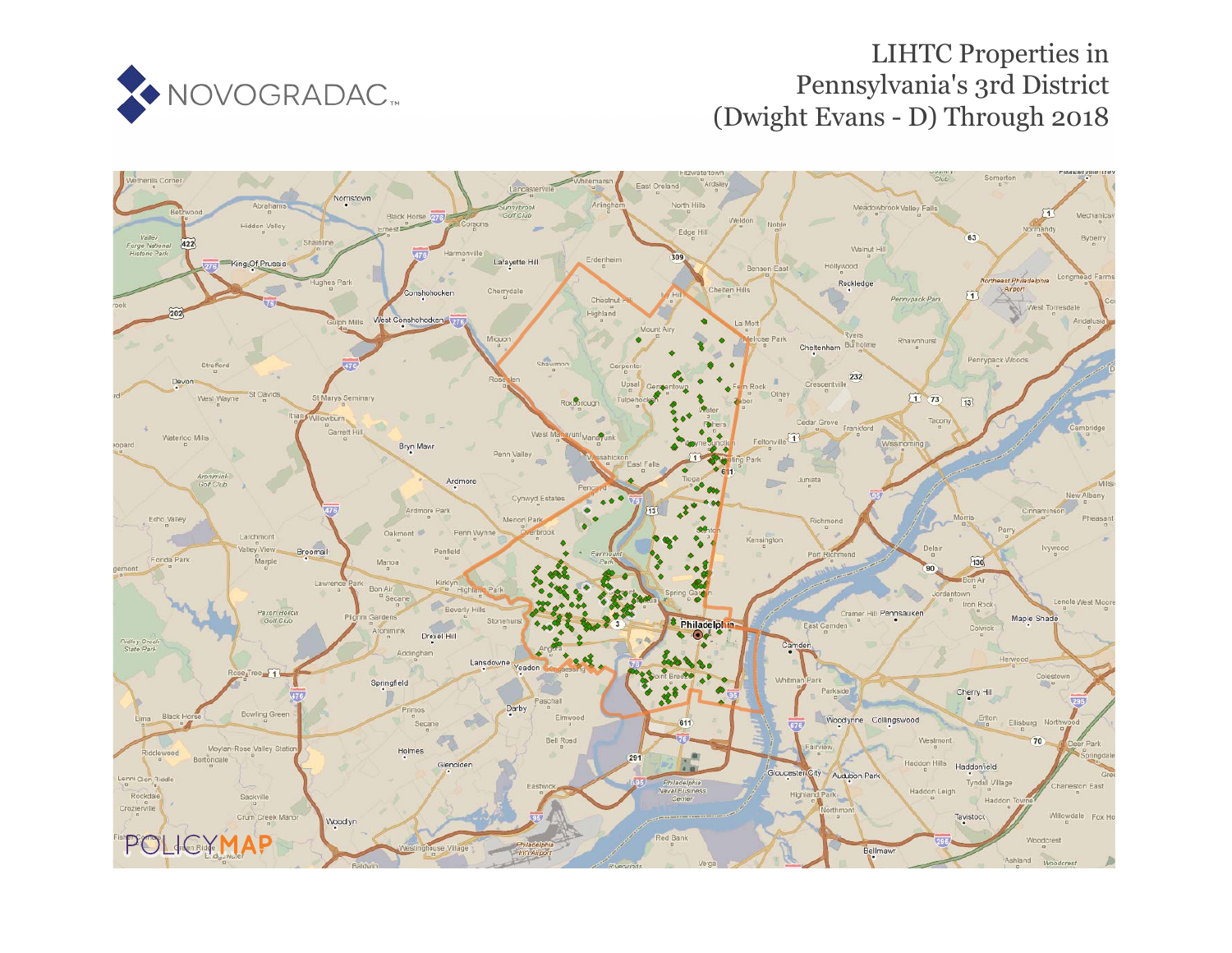

## LIHTC Properties in Pennsylvania's 3rd District (Dwight Evans - D) Through 2018

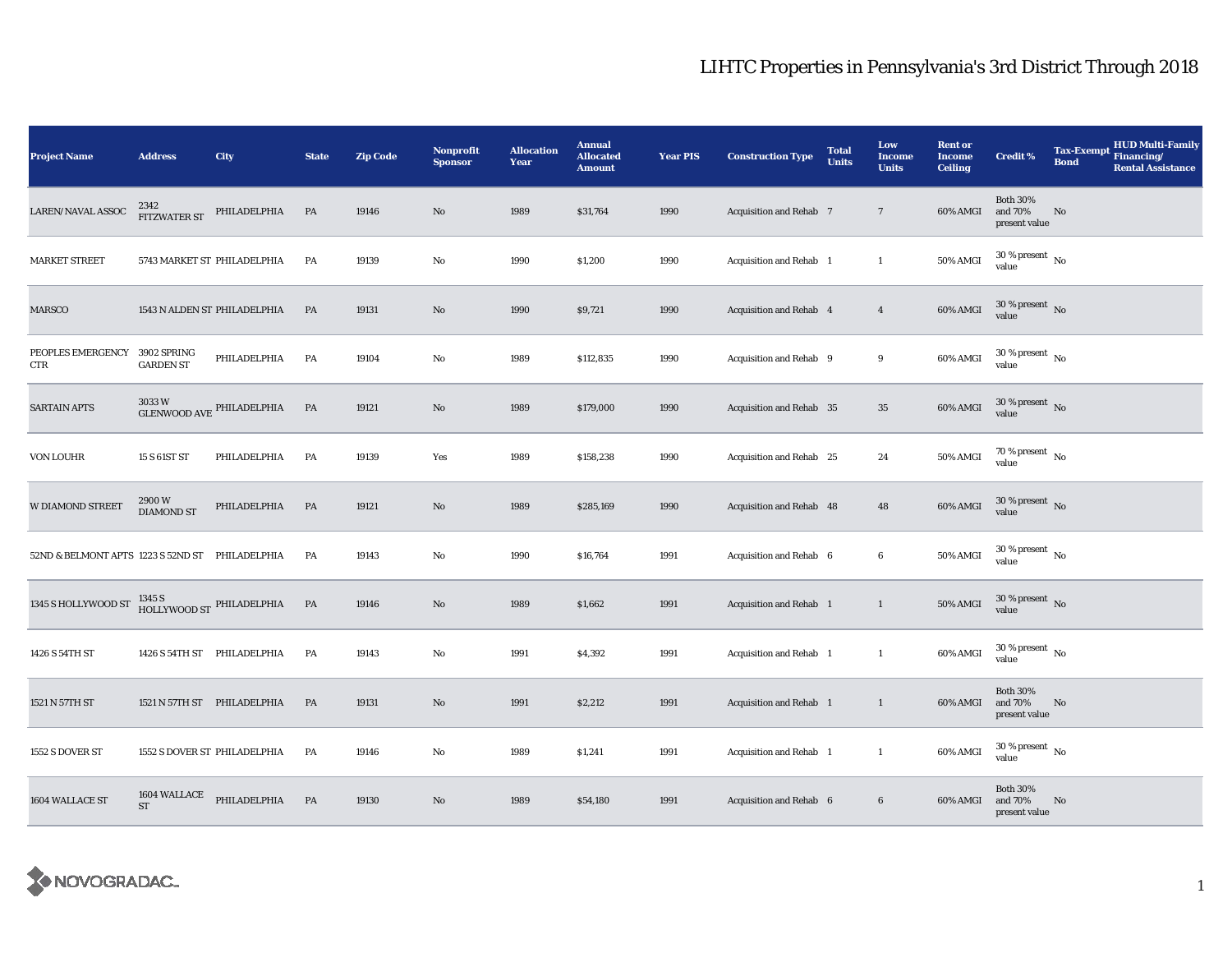| <b>Project Name</b>                  | <b>Address</b>               | City                         | <b>State</b> | <b>Zip Code</b> | Nonprofit<br><b>Sponsor</b> | <b>Allocation</b><br>Year | <b>Annual</b><br><b>Allocated</b><br><b>Amount</b> | <b>Year PIS</b> | <b>Construction Type</b>       | <b>Total</b><br><b>Units</b> | Low<br><b>Income</b><br><b>Units</b> | <b>Rent or</b><br><b>Income</b><br><b>Ceiling</b> | <b>Credit %</b>                             | <b>Tax-Exempt</b><br><b>Bond</b> | <b>HUD Multi-Family</b><br>Financing/<br><b>Rental Assistance</b> |
|--------------------------------------|------------------------------|------------------------------|--------------|-----------------|-----------------------------|---------------------------|----------------------------------------------------|-----------------|--------------------------------|------------------------------|--------------------------------------|---------------------------------------------------|---------------------------------------------|----------------------------------|-------------------------------------------------------------------|
| LAREN/NAVAL ASSOC                    | 2342<br><b>FITZWATER ST</b>  | PHILADELPHIA                 | PA           | 19146           | No                          | 1989                      | \$31,764                                           | 1990            | <b>Acquisition and Rehab 7</b> |                              | $\mathbf{7}$                         | 60% AMGI                                          | <b>Both 30%</b><br>and 70%<br>present value | No                               |                                                                   |
| <b>MARKET STREET</b>                 |                              | 5743 MARKET ST PHILADELPHIA  | PA           | 19139           | No                          | 1990                      | \$1,200                                            | 1990            | Acquisition and Rehab 1        |                              | $\mathbf{1}$                         | 50% AMGI                                          | 30 % present $\,$ No $\,$<br>value          |                                  |                                                                   |
| MARSCO                               |                              | 1543 N ALDEN ST PHILADELPHIA | PA           | 19131           | No                          | 1990                      | \$9,721                                            | 1990            | Acquisition and Rehab 4        |                              | $\overline{4}$                       | 60% AMGI                                          | $30$ % present $\,$ No $\,$<br>value        |                                  |                                                                   |
| PEOPLES EMERGENCY 3902 SPRING<br>CTR | <b>GARDEN ST</b>             | PHILADELPHIA                 | PA           | 19104           | No                          | 1989                      | \$112,835                                          | 1990            | Acquisition and Rehab 9        |                              | 9                                    | 60% AMGI                                          | $30\,\%$ present $\,$ No value              |                                  |                                                                   |
| <b>SARTAIN APTS</b>                  | 3033W<br><b>GLENWOOD AVE</b> | PHILADELPHIA                 | PA           | 19121           | No                          | 1989                      | \$179,000                                          | 1990            | Acquisition and Rehab 35       |                              | $35\,$                               | 60% AMGI                                          | 30 % present $\,$ No $\,$<br>value          |                                  |                                                                   |
| VON LOUHR                            | 15 S 61ST ST                 | PHILADELPHIA                 | PA           | 19139           | Yes                         | 1989                      | \$158,238                                          | 1990            | Acquisition and Rehab 25       |                              | $\bf 24$                             | 50% AMGI                                          | $70$ % present $_{\rm{No}}$                 |                                  |                                                                   |
| W DIAMOND STREET                     | 2900W<br><b>DIAMOND ST</b>   | PHILADELPHIA                 | PA           | 19121           | No                          | 1989                      | \$285,169                                          | 1990            | Acquisition and Rehab 48       |                              | 48                                   | 60% AMGI                                          | $30$ % present $\,$ No value                |                                  |                                                                   |
| 52ND & BELMONT APTS 1223 S 52ND ST   |                              | PHILADELPHIA                 | PA           | 19143           | No                          | 1990                      | \$16,764                                           | 1991            | Acquisition and Rehab 6        |                              | 6                                    | 50% AMGI                                          | $30\,\%$ present $\,$ No value              |                                  |                                                                   |
| 1345 S HOLLYWOOD ST                  | 1345 S                       | HOLLYWOOD ST PHILADELPHIA    | PA           | 19146           | No                          | 1989                      | \$1,662                                            | 1991            | Acquisition and Rehab 1        |                              | $\mathbf{1}$                         | <b>50% AMGI</b>                                   | $30$ % present $\,$ No value                |                                  |                                                                   |
| 1426 S 54TH ST                       |                              | 1426 S 54TH ST PHILADELPHIA  | PA           | 19143           | No                          | 1991                      | \$4,392                                            | 1991            | Acquisition and Rehab 1        |                              | $\mathbf{1}$                         | 60% AMGI                                          | $30$ % present $\,$ No $\,$<br>value        |                                  |                                                                   |
| 1521 N 57TH ST                       |                              | 1521 N 57TH ST PHILADELPHIA  | PA           | 19131           | No                          | 1991                      | \$2,212                                            | 1991            | Acquisition and Rehab 1        |                              | $\mathbf{1}$                         | 60% AMGI                                          | <b>Both 30%</b><br>and 70%<br>present value | No                               |                                                                   |
| 1552 S DOVER ST                      |                              | 1552 S DOVER ST PHILADELPHIA | PA           | 19146           | No                          | 1989                      | \$1,241                                            | 1991            | Acquisition and Rehab 1        |                              | $\mathbf{1}$                         | 60% AMGI                                          | $30$ % present $\,$ No $\,$<br>value        |                                  |                                                                   |
| 1604 WALLACE ST                      | 1604 WALLACE<br><b>ST</b>    | PHILADELPHIA                 | PA           | 19130           | No                          | 1989                      | \$54,180                                           | 1991            | Acquisition and Rehab 6        |                              | $6\phantom{.}6$                      | 60% AMGI                                          | <b>Both 30%</b><br>and 70%<br>present value | No                               |                                                                   |

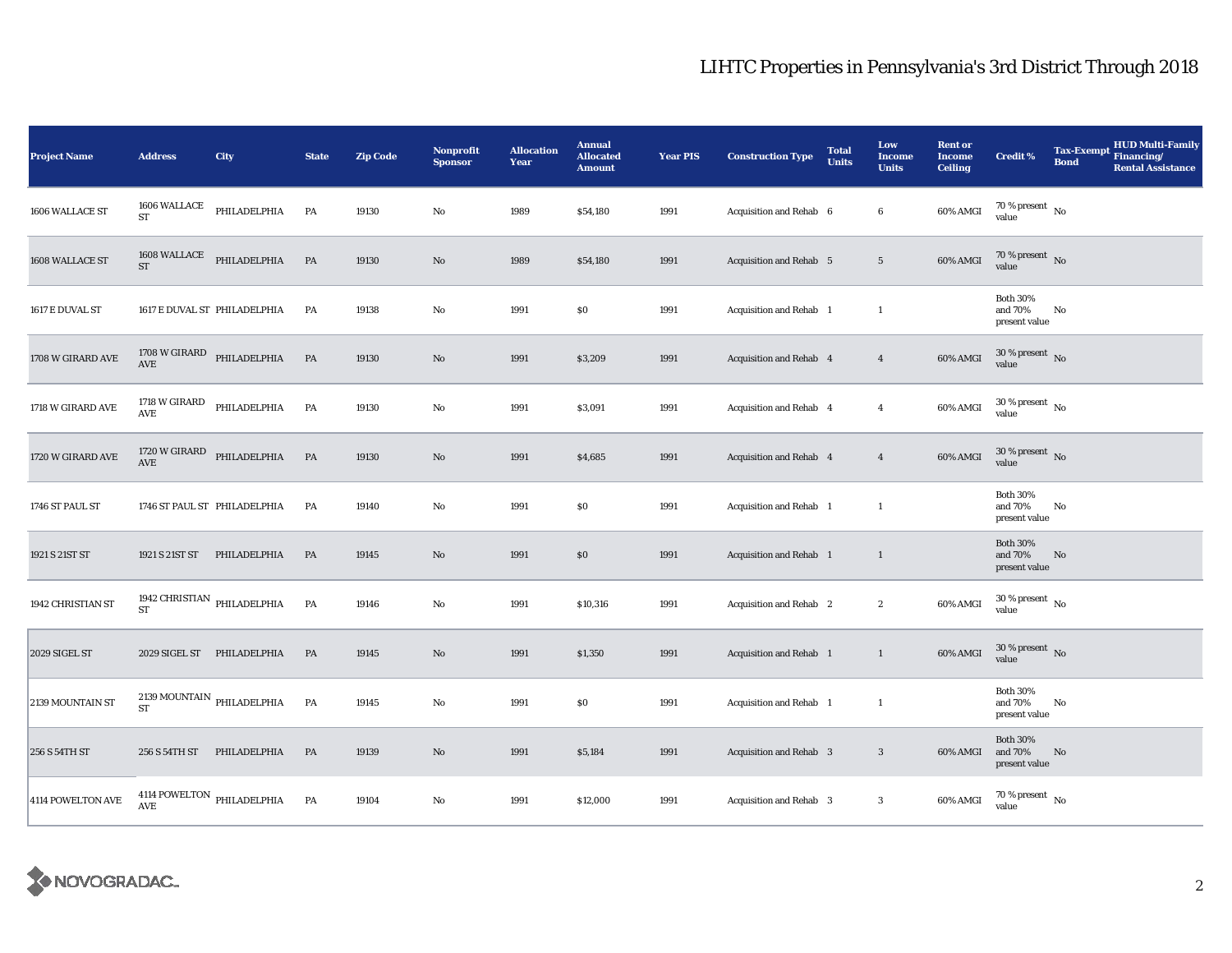| <b>Project Name</b>      | <b>Address</b>            | City                                    | <b>State</b> | <b>Zip Code</b> | <b>Nonprofit</b><br><b>Sponsor</b> | <b>Allocation</b><br>Year | <b>Annual</b><br><b>Allocated</b><br><b>Amount</b> | <b>Year PIS</b> | <b>Construction Type</b>       | <b>Total</b><br><b>Units</b> | Low<br><b>Income</b><br><b>Units</b> | <b>Rent or</b><br><b>Income</b><br><b>Ceiling</b> | <b>Credit %</b>                             | <b>Tax-Exempt</b><br><b>Bond</b> | <b>HUD Multi-Family</b><br>Financing/<br><b>Rental Assistance</b> |
|--------------------------|---------------------------|-----------------------------------------|--------------|-----------------|------------------------------------|---------------------------|----------------------------------------------------|-----------------|--------------------------------|------------------------------|--------------------------------------|---------------------------------------------------|---------------------------------------------|----------------------------------|-------------------------------------------------------------------|
| 1606 WALLACE ST          | 1606 WALLACE<br><b>ST</b> | PHILADELPHIA                            | PA           | 19130           | No                                 | 1989                      | \$54,180                                           | 1991            | Acquisition and Rehab 6        |                              | $\bf 6$                              | 60% AMGI                                          | 70 % present $\hbox{~No}$<br>value          |                                  |                                                                   |
| 1608 WALLACE ST          | <b>ST</b>                 | $1608$ WALLACE $$\tt PHILADELPHIA$      | PA           | 19130           | $\mathbf{N}\mathbf{o}$             | 1989                      | \$54,180                                           | 1991            | <b>Acquisition and Rehab 5</b> |                              | $\sqrt{5}$                           | 60% AMGI                                          | 70 % present $\,$ No $\,$<br>value          |                                  |                                                                   |
| 1617 E DUVAL ST          |                           | 1617 E DUVAL ST PHILADELPHIA            | PA           | 19138           | $\rm No$                           | 1991                      | \$0                                                | 1991            | Acquisition and Rehab 1        |                              | $\mathbf{1}$                         |                                                   | <b>Both 30%</b><br>and 70%<br>present value | No                               |                                                                   |
| 1708 W GIRARD AVE        |                           | $1708\ \rm{W\,GIRARD}$ PHILADELPHIA AVE | PA           | 19130           | No                                 | 1991                      | \$3,209                                            | 1991            | Acquisition and Rehab 4        |                              | $\overline{4}$                       | 60% AMGI                                          | $30\,\%$ present $\,$ No value              |                                  |                                                                   |
| 1718 W GIRARD AVE        | 1718 W GIRARD<br>AVE      | PHILADELPHIA                            | PA           | 19130           | $\rm No$                           | 1991                      | \$3,091                                            | 1991            | Acquisition and Rehab 4        |                              | $\overline{4}$                       | 60% AMGI                                          | $30$ % present $\,$ No $\,$<br>value        |                                  |                                                                   |
| 1720 W GIRARD AVE        | $\operatorname{AVE}$      | 1720 W GIRARD PHILADELPHIA              | PA           | 19130           | No                                 | 1991                      | \$4,685                                            | 1991            | Acquisition and Rehab 4        |                              | $\overline{4}$                       | 60% AMGI                                          | $30\,\%$ present $\,$ No value              |                                  |                                                                   |
| 1746 ST PAUL ST          |                           | 1746 ST PAUL ST PHILADELPHIA            | PA           | 19140           | No                                 | 1991                      | \$0                                                | 1991            | Acquisition and Rehab 1        |                              | $\mathbf{1}$                         |                                                   | <b>Both 30%</b><br>and 70%<br>present value | No                               |                                                                   |
| 1921 S 21ST ST           | 1921 S 21ST ST            | PHILADELPHIA                            | PA           | 19145           | $\mathbf{No}$                      | 1991                      | \$0                                                | 1991            | Acquisition and Rehab 1        |                              | $\mathbf{1}$                         |                                                   | <b>Both 30%</b><br>and 70%<br>present value | No                               |                                                                   |
| 1942 CHRISTIAN ST        | ST                        | 1942 CHRISTIAN $\,$ PHILADELPHIA        | PA           | 19146           | No                                 | 1991                      | \$10,316                                           | 1991            | <b>Acquisition and Rehab</b> 2 |                              | $\boldsymbol{2}$                     | 60% AMGI                                          | $30\,\%$ present $\,$ No value              |                                  |                                                                   |
| 2029 SIGEL ST            |                           | 2029 SIGEL ST PHILADELPHIA              | <b>PA</b>    | 19145           | No                                 | 1991                      | \$1,350                                            | 1991            | Acquisition and Rehab 1        |                              | $\mathbf{1}$                         | 60% AMGI                                          | $30\,\%$ present $\,$ No value              |                                  |                                                                   |
| 2139 MOUNTAIN ST         | <b>ST</b>                 | $2139\,\mathrm{MOUNTAIN}$ PHILADELPHIA  | PA           | 19145           | No                                 | 1991                      | $\$0$                                              | 1991            | Acquisition and Rehab 1        |                              | -1                                   |                                                   | <b>Both 30%</b><br>and 70%<br>present value | No                               |                                                                   |
| 256 S 54TH ST            | 256 S 54TH ST             | PHILADELPHIA                            | PA           | 19139           | No                                 | 1991                      | \$5,184                                            | 1991            | Acquisition and Rehab 3        |                              | $\sqrt{3}$                           | 60% AMGI                                          | <b>Both 30%</b><br>and 70%<br>present value | No                               |                                                                   |
| <b>4114 POWELTON AVE</b> | AVE                       | $4114$ POWELTON $\,$ PHILADELPHIA       | PA           | 19104           | No                                 | 1991                      | \$12,000                                           | 1991            | Acquisition and Rehab 3        |                              | $\mathbf{3}$                         | 60% AMGI                                          | $70\,\%$ present $\,$ No value              |                                  |                                                                   |

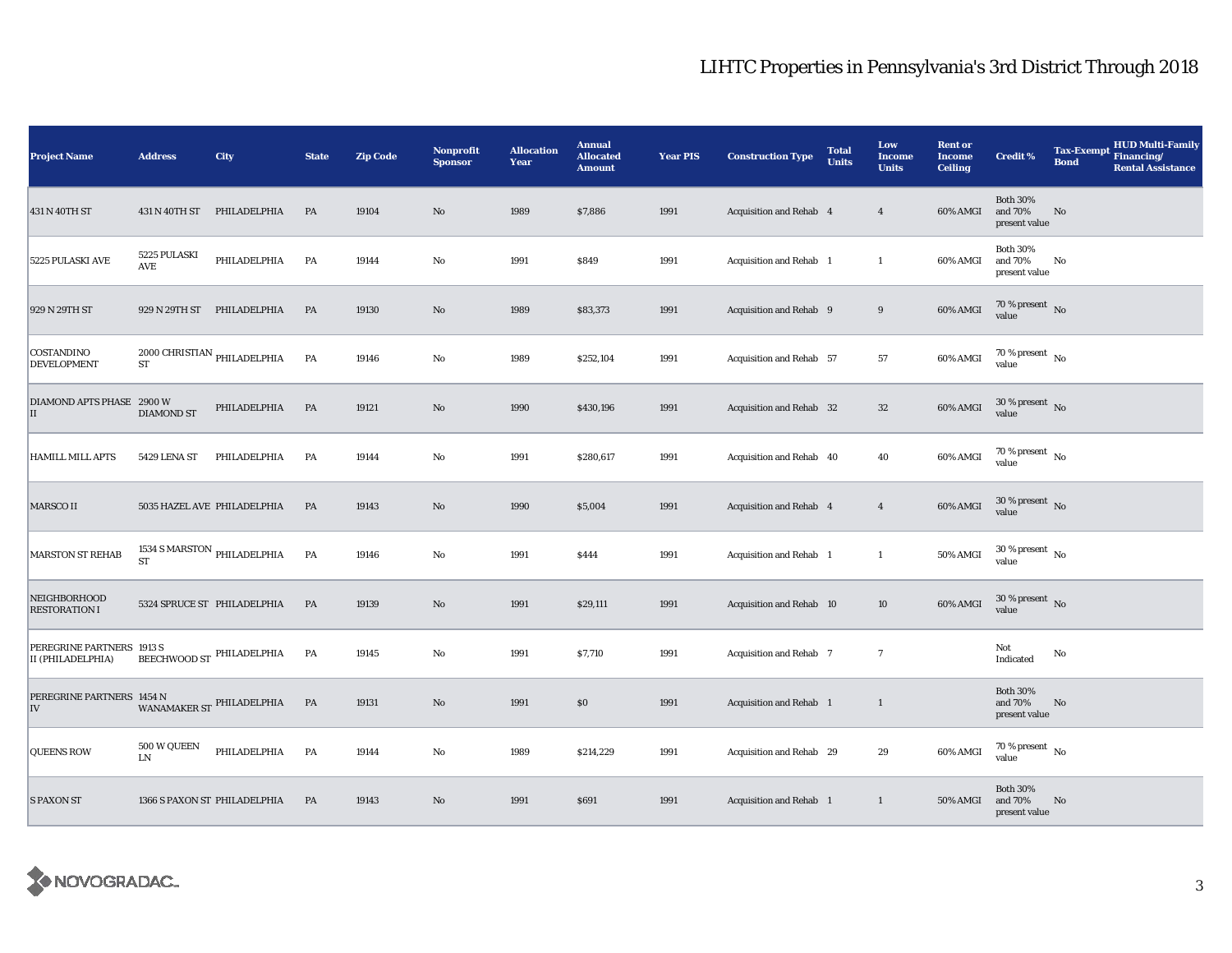| <b>Project Name</b>                            | <b>Address</b>            | <b>City</b>                              | <b>State</b> | <b>Zip Code</b> | Nonprofit<br><b>Sponsor</b> | <b>Allocation</b><br>Year | <b>Annual</b><br><b>Allocated</b><br><b>Amount</b> | <b>Year PIS</b> | <b>Construction Type</b>       | <b>Total</b><br><b>Units</b> | Low<br><b>Income</b><br><b>Units</b> | <b>Rent or</b><br><b>Income</b><br><b>Ceiling</b> | <b>Credit %</b>                             | <b>Tax-Exempt</b><br><b>Bond</b> | <b>HUD Multi-Family</b><br>Financing/<br><b>Rental Assistance</b> |
|------------------------------------------------|---------------------------|------------------------------------------|--------------|-----------------|-----------------------------|---------------------------|----------------------------------------------------|-----------------|--------------------------------|------------------------------|--------------------------------------|---------------------------------------------------|---------------------------------------------|----------------------------------|-------------------------------------------------------------------|
| 431 N 40TH ST                                  | 431 N 40TH ST             | PHILADELPHIA                             | PA           | 19104           | $\mathbf{No}$               | 1989                      | \$7,886                                            | 1991            | Acquisition and Rehab 4        |                              | $\overline{4}$                       | 60% AMGI                                          | <b>Both 30%</b><br>and 70%<br>present value | No                               |                                                                   |
| 5225 PULASKI AVE                               | 5225 PULASKI<br>AVE       | PHILADELPHIA                             | PA           | 19144           | No                          | 1991                      | \$849                                              | 1991            | Acquisition and Rehab 1        |                              | $\mathbf{1}$                         | 60% AMGI                                          | <b>Both 30%</b><br>and 70%<br>present value | No                               |                                                                   |
| 929 N 29TH ST                                  |                           | 929 N 29TH ST PHILADELPHIA               | <b>PA</b>    | 19130           | No                          | 1989                      | \$83,373                                           | 1991            | Acquisition and Rehab 9        |                              | $9\,$                                | 60% AMGI                                          | $70\,\%$ present $\,$ No value              |                                  |                                                                   |
| COSTANDINO<br><b>DEVELOPMENT</b>               | <b>ST</b>                 | $2000\, \mbox{CHRISTIAN}\,$ PHILADELPHIA | PA           | 19146           | No                          | 1989                      | \$252,104                                          | 1991            | Acquisition and Rehab 57       |                              | 57                                   | 60% AMGI                                          | $70$ % present $\,$ No $\,$<br>value        |                                  |                                                                   |
| DIAMOND APTS PHASE 2900 W<br>$\mathbf{I}$      | <b>DIAMOND ST</b>         | PHILADELPHIA                             | <b>PA</b>    | 19121           | $\mathbf{No}$               | 1990                      | \$430,196                                          | 1991            | Acquisition and Rehab 32       |                              | $32\,$                               | 60% AMGI                                          | $30$ % present $\,$ No $\,$<br>value        |                                  |                                                                   |
| <b>HAMILL MILL APTS</b>                        | 5429 LENA ST              | PHILADELPHIA                             | PA           | 19144           | $\mathbf{No}$               | 1991                      | \$280,617                                          | 1991            | Acquisition and Rehab 40       |                              | 40                                   | 60% AMGI                                          | $70\,\%$ present $\,$ No value              |                                  |                                                                   |
| <b>MARSCO II</b>                               |                           | 5035 HAZEL AVE PHILADELPHIA              | <b>PA</b>    | 19143           | $\mathbf{N}\mathbf{o}$      | 1990                      | \$5,004                                            | 1991            | Acquisition and Rehab 4        |                              | $\overline{4}$                       | 60% AMGI                                          | $30\,\%$ present $\,$ No $\,$<br>value      |                                  |                                                                   |
| <b>MARSTON ST REHAB</b>                        | ST                        | 1534 S MARSTON $\,$ PHILADELPHIA         | PA           | 19146           | $\rm No$                    | 1991                      | \$444                                              | 1991            | Acquisition and Rehab 1        |                              | $\mathbf{1}$                         | <b>50% AMGI</b>                                   | $30$ % present $\,$ No $\,$<br>value        |                                  |                                                                   |
| NEIGHBORHOOD<br><b>RESTORATION I</b>           |                           | 5324 SPRUCE ST PHILADELPHIA              | <b>PA</b>    | 19139           | $\mathbf{N}\mathbf{o}$      | 1991                      | \$29,111                                           | 1991            | Acquisition and Rehab 10       |                              | 10                                   | 60% AMGI                                          | $30\,\%$ present $\,$ No value              |                                  |                                                                   |
| PEREGRINE PARTNERS 1913 S<br>II (PHILADELPHIA) |                           | BEECHWOOD ST $\,$ PHILADELPHIA           | <b>PA</b>    | 19145           | No                          | 1991                      | \$7,710                                            | 1991            | <b>Acquisition and Rehab 7</b> |                              | $\overline{7}$                       |                                                   | Not<br>Indicated                            | $\mathbf{No}$                    |                                                                   |
| PEREGRINE PARTNERS 1454 N<br>IV                |                           | WANAMAKER ST $^{\rm PHILADELPHIA}$       | <b>PA</b>    | 19131           | $\rm No$                    | 1991                      | \$0                                                | 1991            | Acquisition and Rehab 1        |                              | $\mathbf{1}$                         |                                                   | <b>Both 30%</b><br>and 70%<br>present value | No                               |                                                                   |
| <b>QUEENS ROW</b>                              | 500 W QUEEN<br>${\rm LN}$ | PHILADELPHIA                             | PA           | 19144           | $\rm No$                    | 1989                      | \$214,229                                          | 1991            | Acquisition and Rehab 29       |                              | 29                                   | 60% AMGI                                          | 70 % present $\hbox{~No}$<br>value          |                                  |                                                                   |
| <b>S PAXON ST</b>                              |                           | 1366 S PAXON ST PHILADELPHIA             | PA           | 19143           | No                          | 1991                      | \$691                                              | 1991            | Acquisition and Rehab 1        |                              | $\mathbf{1}$                         | <b>50% AMGI</b>                                   | <b>Both 30%</b><br>and 70%<br>present value | No                               |                                                                   |

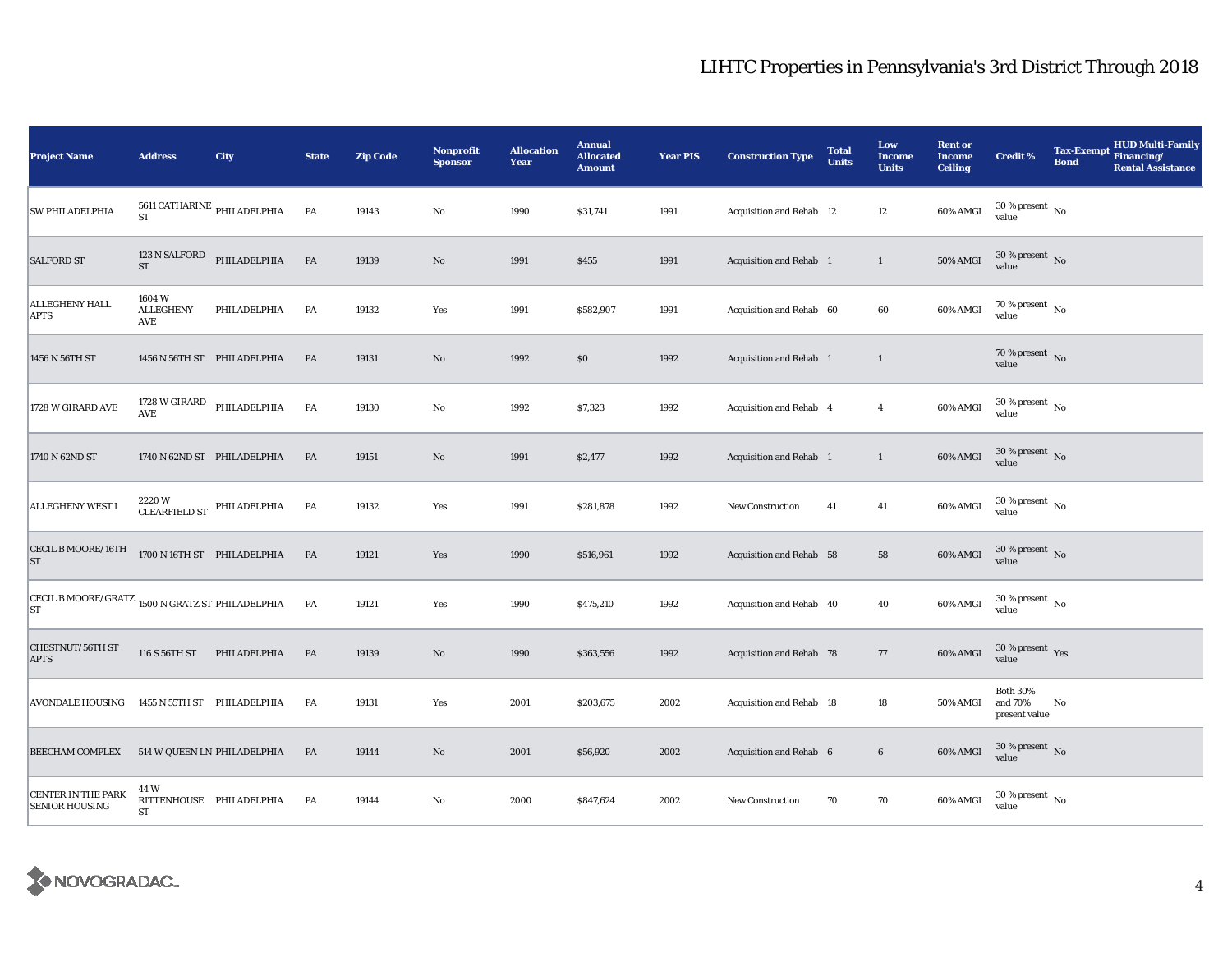| <b>Project Name</b>                                           | <b>Address</b>                       | City                                                                                                                        | <b>State</b> | <b>Zip Code</b> | Nonprofit<br><b>Sponsor</b> | <b>Allocation</b><br>Year | <b>Annual</b><br><b>Allocated</b><br><b>Amount</b> | <b>Year PIS</b> | <b>Construction Type</b> | <b>Total</b><br><b>Units</b> | Low<br>Income<br><b>Units</b> | <b>Rent or</b><br><b>Income</b><br><b>Ceiling</b> | <b>Credit %</b>                             | <b>Tax-Exempt</b><br><b>Bond</b> | <b>HUD Multi-Family</b><br>Financing/<br><b>Rental Assistance</b> |
|---------------------------------------------------------------|--------------------------------------|-----------------------------------------------------------------------------------------------------------------------------|--------------|-----------------|-----------------------------|---------------------------|----------------------------------------------------|-----------------|--------------------------|------------------------------|-------------------------------|---------------------------------------------------|---------------------------------------------|----------------------------------|-------------------------------------------------------------------|
| SW PHILADELPHIA                                               | ST                                   | 5611 CATHARINE $_{\rm PHILADELPHIA}$                                                                                        | PA           | 19143           | $_{\rm No}$                 | 1990                      | \$31,741                                           | 1991            | Acquisition and Rehab 12 |                              | 12                            | 60% AMGI                                          | $30$ % present $\,$ No $\,$<br>value        |                                  |                                                                   |
| <b>SALFORD ST</b>                                             | 123 N SALFORD<br>$\operatorname{ST}$ | PHILADELPHIA                                                                                                                | PA           | 19139           | $\rm No$                    | 1991                      | \$455                                              | 1991            | Acquisition and Rehab 1  |                              | $\mathbf{1}$                  | 50% AMGI                                          | $30$ % present $\,$ No $\,$<br>value        |                                  |                                                                   |
| <b>ALLEGHENY HALL</b><br><b>APTS</b>                          | 1604W<br><b>ALLEGHENY</b><br>AVE     | PHILADELPHIA                                                                                                                | PA           | 19132           | Yes                         | 1991                      | \$582,907                                          | 1991            | Acquisition and Rehab 60 |                              | 60                            | 60% AMGI                                          | $70\,\%$ present $\,$ No value              |                                  |                                                                   |
| 1456 N 56TH ST                                                |                                      | 1456 N 56TH ST PHILADELPHIA                                                                                                 | PA           | 19131           | $\mathbf{N}\mathbf{o}$      | 1992                      | \$0                                                | 1992            | Acquisition and Rehab 1  |                              | 1                             |                                                   | 70 % present $\hbox{~No}$<br>value          |                                  |                                                                   |
| 1728 W GIRARD AVE                                             | 1728 W GIRARD<br>AVE                 | PHILADELPHIA                                                                                                                | PA           | 19130           | $\rm No$                    | 1992                      | \$7,323                                            | 1992            | Acquisition and Rehab 4  |                              | $\overline{4}$                | 60% AMGI                                          | $30$ % present $\,$ No $\,$<br>value        |                                  |                                                                   |
| 1740 N 62ND ST                                                |                                      | 1740 N 62ND ST PHILADELPHIA                                                                                                 | PA           | 19151           | $\mathbf{No}$               | 1991                      | \$2,477                                            | 1992            | Acquisition and Rehab 1  |                              | $\mathbf{1}$                  | 60% AMGI                                          | $30\,\%$ present $\,$ No value              |                                  |                                                                   |
| <b>ALLEGHENY WEST I</b>                                       | 2220 W                               | $\begin{tabular}{ll} \multicolumn{2}{c}{\textbf{CLEARFIED ST}} & \multicolumn{2}{c}{\textbf{PHILADELPHIA}}\\ \end{tabular}$ | PA           | 19132           | Yes                         | 1991                      | \$281,878                                          | 1992            | <b>New Construction</b>  | 41                           | 41                            | 60% AMGI                                          | $30\,\%$ present $\,$ No value              |                                  |                                                                   |
| <b>CECIL B MOORE/16TH</b><br>ST                               |                                      | 1700 N 16TH ST PHILADELPHIA                                                                                                 | PA           | 19121           | Yes                         | 1990                      | \$516,961                                          | 1992            | Acquisition and Rehab 58 |                              | 58                            | 60% AMGI                                          | $30\,\%$ present $\,$ No $\,$<br>value      |                                  |                                                                   |
| CECIL B MOORE/GRATZ 1500 N GRATZ ST PHILADELPHIA<br><b>ST</b> |                                      |                                                                                                                             | PA           | 19121           | Yes                         | 1990                      | \$475,210                                          | 1992            | Acquisition and Rehab 40 |                              | 40                            | 60% AMGI                                          | $30\,\%$ present $\,$ No value              |                                  |                                                                   |
| CHESTNUT/56TH ST<br><b>APTS</b>                               | 116 S 56TH ST                        | PHILADELPHIA                                                                                                                | PA           | 19139           | $\rm No$                    | 1990                      | \$363,556                                          | 1992            | Acquisition and Rehab 78 |                              | 77                            | 60% AMGI                                          | 30 % present $\gamma_{\rm{es}}$<br>value    |                                  |                                                                   |
| <b>AVONDALE HOUSING</b>                                       |                                      | 1455 N 55TH ST PHILADELPHIA                                                                                                 | PA           | 19131           | Yes                         | 2001                      | \$203,675                                          | 2002            | Acquisition and Rehab 18 |                              | 18                            | 50% AMGI                                          | <b>Both 30%</b><br>and 70%<br>present value | No                               |                                                                   |
| <b>BEECHAM COMPLEX</b>                                        |                                      | 514 W QUEEN LN PHILADELPHIA                                                                                                 | PA           | 19144           | $\rm No$                    | 2001                      | \$56,920                                           | 2002            | Acquisition and Rehab 6  |                              | $\bf 6$                       | 60% AMGI                                          | $30$ % present $\,$ No $\,$<br>value        |                                  |                                                                   |
| CENTER IN THE PARK<br><b>SENIOR HOUSING</b>                   | 44 W<br>ST                           | RITTENHOUSE PHILADELPHIA                                                                                                    | PA           | 19144           | No                          | 2000                      | \$847,624                                          | 2002            | <b>New Construction</b>  | 70                           | 70                            | 60% AMGI                                          | $30$ % present $\,$ No $\,$<br>value        |                                  |                                                                   |

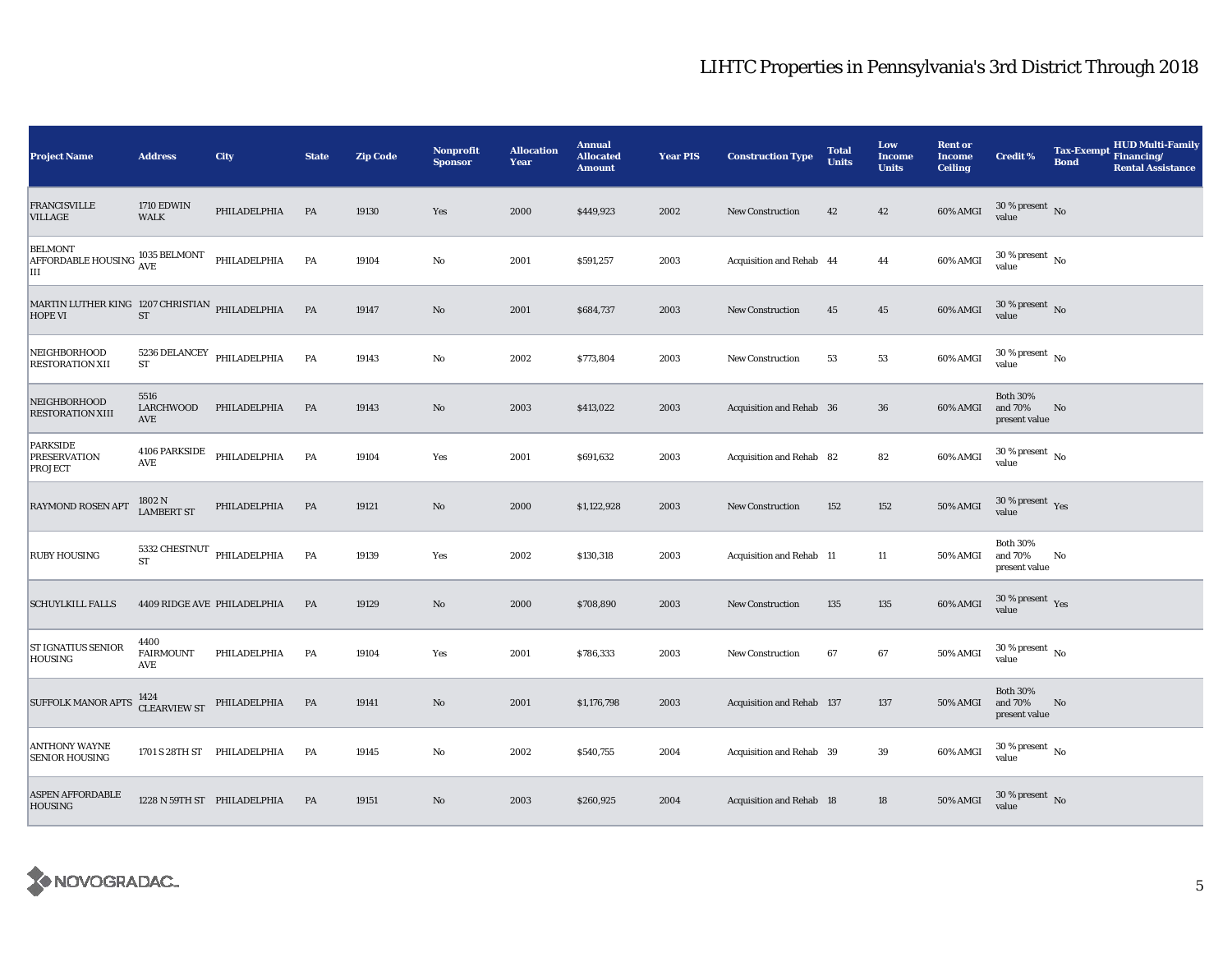| <b>Project Name</b>                                                                                                                      | <b>Address</b>                   | City                        | <b>State</b> | <b>Zip Code</b> | <b>Nonprofit</b><br><b>Sponsor</b> | <b>Allocation</b><br>Year | <b>Annual</b><br><b>Allocated</b><br><b>Amount</b> | <b>Year PIS</b> | <b>Construction Type</b>  | <b>Total</b><br><b>Units</b> | Low<br><b>Income</b><br><b>Units</b> | <b>Rent or</b><br><b>Income</b><br><b>Ceiling</b> | <b>Credit %</b>                             | <b>Tax-Exempt</b><br><b>Bond</b> | <b>HUD Multi-Family</b><br>Financing/<br><b>Rental Assistance</b> |
|------------------------------------------------------------------------------------------------------------------------------------------|----------------------------------|-----------------------------|--------------|-----------------|------------------------------------|---------------------------|----------------------------------------------------|-----------------|---------------------------|------------------------------|--------------------------------------|---------------------------------------------------|---------------------------------------------|----------------------------------|-------------------------------------------------------------------|
| <b>FRANCISVILLE</b><br><b>VILLAGE</b>                                                                                                    | <b>1710 EDWIN</b><br><b>WALK</b> | PHILADELPHIA                | PA           | 19130           | Yes                                | 2000                      | \$449,923                                          | 2002            | <b>New Construction</b>   | 42                           | 42                                   | 60% AMGI                                          | $30$ % present $\,$ No $\,$<br>value        |                                  |                                                                   |
| <b>BELMONT</b><br><b>AFFORDABLE HOUSING</b><br>Ш                                                                                         | 1035 BELMONT<br><b>AVE</b>       | PHILADELPHIA                | PA           | 19104           | $\mathbf{No}$                      | 2001                      | \$591,257                                          | 2003            | Acquisition and Rehab 44  |                              | 44                                   | 60% AMGI                                          | $30$ % present $\,$ No $\,$<br>value        |                                  |                                                                   |
| $\begin{array}{lll} \text{MARTIN LUTHER KING} & \text{1207 CHRISTIAN} & \text{PHILADELPHIA} \\ \text{HOPE VI} & \text{ST} & \end{array}$ |                                  |                             | PA           | 19147           | $\mathbf{N}\mathbf{o}$             | 2001                      | \$684,737                                          | 2003            | <b>New Construction</b>   | 45                           | $45\,$                               | 60% AMGI                                          | $30\,\%$ present $\,$ No value              |                                  |                                                                   |
| NEIGHBORHOOD<br><b>RESTORATION XII</b>                                                                                                   | ${\rm ST}$                       | 5236 DELANCEY PHILADELPHIA  | PA           | 19143           | No                                 | 2002                      | \$773,804                                          | 2003            | <b>New Construction</b>   | 53                           | ${\bf 53}$                           | 60% AMGI                                          | $30\,\%$ present $\,$ No $\,$<br>value      |                                  |                                                                   |
| NEIGHBORHOOD<br><b>RESTORATION XIII</b>                                                                                                  | 5516<br>LARCHWOOD<br>AVE         | PHILADELPHIA                | PA           | 19143           | $\mathbf{No}$                      | 2003                      | \$413,022                                          | 2003            | Acquisition and Rehab 36  |                              | ${\bf 36}$                           | 60% AMGI                                          | <b>Both 30%</b><br>and 70%<br>present value | No                               |                                                                   |
| <b>PARKSIDE</b><br><b>PRESERVATION</b><br>PROJECT                                                                                        | $4106$ PARKSIDE<br><b>AVE</b>    | PHILADELPHIA                | PA           | 19104           | Yes                                | 2001                      | \$691,632                                          | 2003            | Acquisition and Rehab 82  |                              | 82                                   | 60% AMGI                                          | $30$ % present $\,$ No $\,$<br>value        |                                  |                                                                   |
| <b>RAYMOND ROSEN APT</b>                                                                                                                 | 1802 N<br><b>LAMBERT ST</b>      | PHILADELPHIA                | PA           | 19121           | $\mathbf{N}\mathbf{o}$             | 2000                      | \$1,122,928                                        | 2003            | New Construction          | 152                          | 152                                  | <b>50% AMGI</b>                                   | 30 % present $\gamma_{\rm{es}}$<br>value    |                                  |                                                                   |
| <b>RUBY HOUSING</b>                                                                                                                      | <b>ST</b>                        | 5332 CHESTNUT PHILADELPHIA  | PA           | 19139           | Yes                                | 2002                      | \$130,318                                          | 2003            | Acquisition and Rehab 11  |                              | $11\,$                               | 50% AMGI                                          | <b>Both 30%</b><br>and 70%<br>present value | No                               |                                                                   |
| <b>SCHUYLKILL FALLS</b>                                                                                                                  |                                  | 4409 RIDGE AVE PHILADELPHIA | <b>PA</b>    | 19129           | No                                 | 2000                      | \$708,890                                          | 2003            | <b>New Construction</b>   | 135                          | 135                                  | 60% AMGI                                          | $30\,\%$ present $\,$ Yes<br>value          |                                  |                                                                   |
| ST IGNATIUS SENIOR<br>HOUSING                                                                                                            | 4400<br><b>FAIRMOUNT</b><br>AVE  | PHILADELPHIA                | PA           | 19104           | Yes                                | 2001                      | \$786,333                                          | 2003            | <b>New Construction</b>   | 67                           | 67                                   | 50% AMGI                                          | $30$ % present $\,$ No $\,$<br>value        |                                  |                                                                   |
| SUFFOLK MANOR APTS                                                                                                                       | 1424<br><b>CLEARVIEW ST</b>      | PHILADELPHIA                | <b>PA</b>    | 19141           | $\rm No$                           | 2001                      | \$1,176,798                                        | 2003            | Acquisition and Rehab 137 |                              | 137                                  | 50% AMGI                                          | <b>Both 30%</b><br>and 70%<br>present value | No                               |                                                                   |
| <b>ANTHONY WAYNE</b><br><b>SENIOR HOUSING</b>                                                                                            |                                  | 1701 S 28TH ST PHILADELPHIA | PA           | 19145           | $\mathbf{No}$                      | 2002                      | \$540,755                                          | 2004            | Acquisition and Rehab 39  |                              | 39                                   | 60% AMGI                                          | $30$ % present $\,$ No $\,$<br>value        |                                  |                                                                   |
| <b>ASPEN AFFORDABLE</b><br><b>HOUSING</b>                                                                                                |                                  | 1228 N 59TH ST PHILADELPHIA | PA           | 19151           | $\rm No$                           | 2003                      | \$260,925                                          | 2004            | Acquisition and Rehab 18  |                              | 18                                   | <b>50% AMGI</b>                                   | $30\,\%$ present $\,$ No $\,$<br>value      |                                  |                                                                   |

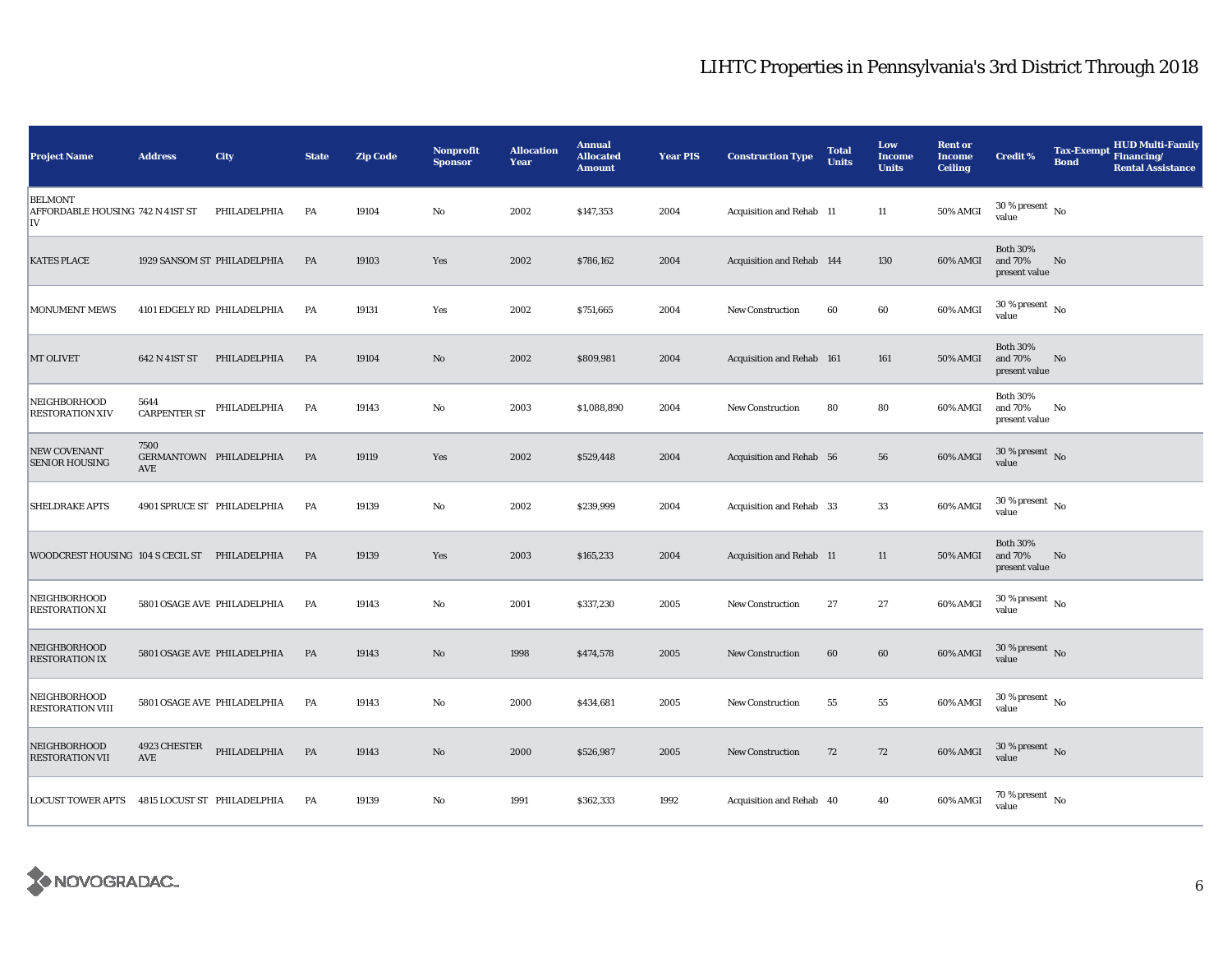| <b>Project Name</b>                                      | <b>Address</b>              | City                        | <b>State</b> | <b>Zip Code</b> | Nonprofit<br><b>Sponsor</b> | <b>Allocation</b><br>Year | <b>Annual</b><br><b>Allocated</b><br><b>Amount</b> | <b>Year PIS</b> | <b>Construction Type</b>  | <b>Total</b><br>Units | Low<br><b>Income</b><br><b>Units</b> | <b>Rent or</b><br><b>Income</b><br><b>Ceiling</b> | <b>Credit %</b>                             | <b>Tax-Exempt</b><br><b>Bond</b> | <b>HUD Multi-Family</b><br>Financing/<br><b>Rental Assistance</b> |
|----------------------------------------------------------|-----------------------------|-----------------------------|--------------|-----------------|-----------------------------|---------------------------|----------------------------------------------------|-----------------|---------------------------|-----------------------|--------------------------------------|---------------------------------------------------|---------------------------------------------|----------------------------------|-------------------------------------------------------------------|
| <b>BELMONT</b><br>AFFORDABLE HOUSING 742 N 41ST ST<br>IV |                             | PHILADELPHIA                | PA           | 19104           | No                          | 2002                      | \$147,353                                          | 2004            | Acquisition and Rehab 11  |                       | 11                                   | 50% AMGI                                          | $30$ % present $\,$ No $\,$<br>value        |                                  |                                                                   |
| <b>KATES PLACE</b>                                       |                             | 1929 SANSOM ST PHILADELPHIA | PA           | 19103           | Yes                         | 2002                      | \$786,162                                          | 2004            | Acquisition and Rehab 144 |                       | 130                                  | 60% AMGI                                          | <b>Both 30%</b><br>and 70%<br>present value | No                               |                                                                   |
| <b>MONUMENT MEWS</b>                                     |                             | 4101 EDGELY RD PHILADELPHIA | PA           | 19131           | Yes                         | 2002                      | \$751,665                                          | 2004            | <b>New Construction</b>   | 60                    | 60                                   | 60% AMGI                                          | $30\,\%$ present $\,$ No value              |                                  |                                                                   |
| MT OLIVET                                                | 642 N 41ST ST               | PHILADELPHIA                | <b>PA</b>    | 19104           | $\mathbf{N}\mathbf{o}$      | 2002                      | \$809,981                                          | 2004            | Acquisition and Rehab 161 |                       | 161                                  | <b>50% AMGI</b>                                   | <b>Both 30%</b><br>and 70%<br>present value | No                               |                                                                   |
| NEIGHBORHOOD<br><b>RESTORATION XIV</b>                   | 5644<br><b>CARPENTER ST</b> | PHILADELPHIA                | PA           | 19143           | No                          | 2003                      | \$1,088,890                                        | 2004            | <b>New Construction</b>   | 80                    | 80                                   | 60% AMGI                                          | <b>Both 30%</b><br>and 70%<br>present value | No                               |                                                                   |
| NEW COVENANT<br><b>SENIOR HOUSING</b>                    | 7500<br>AVE                 | GERMANTOWN PHILADELPHIA     | PA           | 19119           | Yes                         | 2002                      | \$529,448                                          | 2004            | Acquisition and Rehab 56  |                       | 56                                   | 60% AMGI                                          | $30$ % present $\,$ No $\,$<br>value        |                                  |                                                                   |
| SHELDRAKE APTS                                           |                             | 4901 SPRUCE ST PHILADELPHIA | PA           | 19139           | $\mathbf{No}$               | 2002                      | \$239,999                                          | 2004            | Acquisition and Rehab 33  |                       | 33                                   | 60% AMGI                                          | $30$ % present $\,$ No $\,$<br>value        |                                  |                                                                   |
| WOODCREST HOUSING 104 S CECIL ST PHILADELPHIA            |                             |                             | PA           | 19139           | Yes                         | 2003                      | \$165,233                                          | 2004            | Acquisition and Rehab 11  |                       | 11                                   | <b>50% AMGI</b>                                   | <b>Both 30%</b><br>and 70%<br>present value | No                               |                                                                   |
| NEIGHBORHOOD<br><b>RESTORATION XI</b>                    |                             | 5801 OSAGE AVE PHILADELPHIA | PA           | 19143           | $\mathbf{No}$               | 2001                      | \$337,230                                          | 2005            | New Construction          | 27                    | 27                                   | 60% AMGI                                          | $30$ % present $\,$ No $\,$<br>value        |                                  |                                                                   |
| NEIGHBORHOOD<br><b>RESTORATION IX</b>                    |                             | 5801 OSAGE AVE PHILADELPHIA | PA           | 19143           | No                          | 1998                      | \$474,578                                          | 2005            | <b>New Construction</b>   | 60                    | 60                                   | 60% AMGI                                          | $30\,\%$ present $\,$ No $\,$<br>value      |                                  |                                                                   |
| NEIGHBORHOOD<br><b>RESTORATION VIII</b>                  |                             | 5801 OSAGE AVE PHILADELPHIA | PA           | 19143           | No                          | 2000                      | \$434,681                                          | 2005            | New Construction          | 55                    | 55                                   | 60% AMGI                                          | $30$ % present $\,$ No $\,$<br>value        |                                  |                                                                   |
| NEIGHBORHOOD<br>RESTORATION VII                          | 4923 CHESTER<br>AVE         | PHILADELPHIA                | PA           | 19143           | No                          | 2000                      | \$526,987                                          | 2005            | <b>New Construction</b>   | 72                    | 72                                   | 60% AMGI                                          | $30\,\%$ present $\,$ No value              |                                  |                                                                   |
| <b>LOCUST TOWER APTS</b>                                 | 4815 LOCUST ST PHILADELPHIA |                             | PA           | 19139           | $\mathbf{No}$               | 1991                      | \$362,333                                          | 1992            | Acquisition and Rehab 40  |                       | 40                                   | 60% AMGI                                          | 70 % present $\hbox{~No}$<br>value          |                                  |                                                                   |

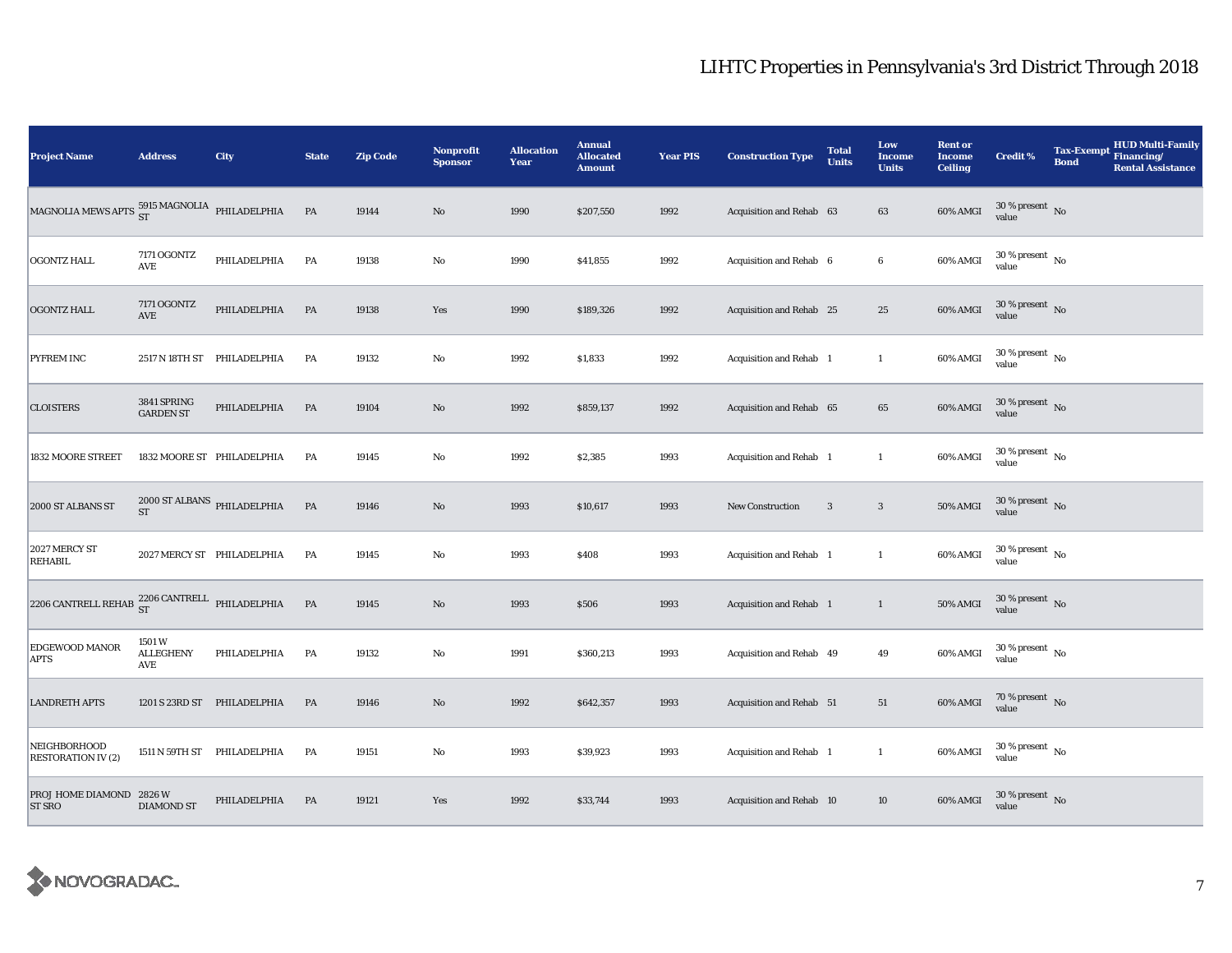| <b>Project Name</b>                                                | <b>Address</b>                                  | City                        | <b>State</b> | <b>Zip Code</b> | Nonprofit<br><b>Sponsor</b> | <b>Allocation</b><br>Year | <b>Annual</b><br><b>Allocated</b><br><b>Amount</b> | <b>Year PIS</b> | <b>Construction Type</b> | <b>Total</b><br><b>Units</b> | Low<br><b>Income</b><br><b>Units</b> | <b>Rent or</b><br><b>Income</b><br><b>Ceiling</b> | <b>Credit %</b>                        | <b>Tax-Exempt</b><br><b>Bond</b> | <b>HUD Multi-Family</b><br>Financing/<br><b>Rental Assistance</b> |
|--------------------------------------------------------------------|-------------------------------------------------|-----------------------------|--------------|-----------------|-----------------------------|---------------------------|----------------------------------------------------|-----------------|--------------------------|------------------------------|--------------------------------------|---------------------------------------------------|----------------------------------------|----------------------------------|-------------------------------------------------------------------|
| MAGNOLIA MEWS APTS $^{5915}_{\rm ST}$ MAGNOLIA PHILADELPHIA        |                                                 |                             | <b>PA</b>    | 19144           | $\rm No$                    | 1990                      | \$207,550                                          | 1992            | Acquisition and Rehab 63 |                              | 63                                   | 60% AMGI                                          | $30$ % present $\,$ No $\,$<br>value   |                                  |                                                                   |
| <b>OGONTZ HALL</b>                                                 | 7171 OGONTZ<br>AVE                              | PHILADELPHIA                | PA           | 19138           | $\rm No$                    | 1990                      | \$41,855                                           | 1992            | Acquisition and Rehab 6  |                              | 6                                    | 60% AMGI                                          | $30\,\%$ present $\,$ No $\,$<br>value |                                  |                                                                   |
| <b>OGONTZ HALL</b>                                                 | 7171 OGONTZ<br>AVE                              | PHILADELPHIA                | PA           | 19138           | Yes                         | 1990                      | \$189,326                                          | 1992            | Acquisition and Rehab 25 |                              | $25\,$                               | 60% AMGI                                          | $30\,\%$ present $\,$ No value         |                                  |                                                                   |
| PYFREM INC                                                         |                                                 | 2517 N 18TH ST PHILADELPHIA | PA           | 19132           | $\rm No$                    | 1992                      | \$1,833                                            | 1992            | Acquisition and Rehab 1  |                              | $\mathbf{1}$                         | 60% AMGI                                          | $30\,\%$ present $\,$ No value         |                                  |                                                                   |
| <b>CLOISTERS</b>                                                   | 3841 SPRING<br><b>GARDEN ST</b>                 | PHILADELPHIA                | PA           | 19104           | $\rm No$                    | 1992                      | \$859,137                                          | 1992            | Acquisition and Rehab 65 |                              | 65                                   | 60% AMGI                                          | $30\,\%$ present $\,$ No value         |                                  |                                                                   |
| 1832 MOORE STREET                                                  |                                                 | 1832 MOORE ST PHILADELPHIA  | PA           | 19145           | No                          | 1992                      | \$2,385                                            | 1993            | Acquisition and Rehab 1  |                              | $\mathbf{1}$                         | 60% AMGI                                          | $30$ % present $\,$ No $\,$<br>value   |                                  |                                                                   |
| 2000 ST ALBANS ST                                                  | $2000$ ST ALBANS $\,$ PHILADELPHIA<br><b>ST</b> |                             | PA           | 19146           | $\rm No$                    | 1993                      | \$10,617                                           | 1993            | New Construction         | 3                            | $\mathbf{3}$                         | 50% AMGI                                          | $30\,\%$ present $\,$ No value         |                                  |                                                                   |
| 2027 MERCY ST<br>REHABIL                                           |                                                 | 2027 MERCY ST PHILADELPHIA  | PA           | 19145           | $\rm No$                    | 1993                      | \$408                                              | 1993            | Acquisition and Rehab 1  |                              | $\mathbf{1}$                         | 60% AMGI                                          | $30$ % present $\,$ No $\,$<br>value   |                                  |                                                                   |
| 2206 CANTRELL REHAB $^{2206\, \rm CAMTRELL}_{\rm ST}$ PHILADELPHIA |                                                 |                             | PA           | 19145           | $\rm No$                    | 1993                      | \$506                                              | 1993            | Acquisition and Rehab 1  |                              | $\mathbf{1}$                         | 50% AMGI                                          | $30\,\%$ present $\,$ No $\,$<br>value |                                  |                                                                   |
| EDGEWOOD MANOR<br><b>APTS</b>                                      | 1501W<br><b>ALLEGHENY</b><br>AVE                | PHILADELPHIA                | PA           | 19132           | $\rm No$                    | 1991                      | \$360,213                                          | 1993            | Acquisition and Rehab 49 |                              | 49                                   | 60% AMGI                                          | $30\,\%$ present $\,$ No value         |                                  |                                                                   |
| <b>LANDRETH APTS</b>                                               | 1201 S 23RD ST                                  | PHILADELPHIA                | PA           | 19146           | $\rm\thinspace No$          | 1992                      | \$642,357                                          | 1993            | Acquisition and Rehab 51 |                              | 51                                   | 60% AMGI                                          | 70 % present $\hbox{~No}$<br>value     |                                  |                                                                   |
| NEIGHBORHOOD<br><b>RESTORATION IV (2)</b>                          |                                                 | 1511 N 59TH ST PHILADELPHIA | PA           | 19151           | $\rm No$                    | 1993                      | \$39,923                                           | 1993            | Acquisition and Rehab 1  |                              | $\mathbf{1}$                         | 60% AMGI                                          | $30\,\%$ present $\,$ No value         |                                  |                                                                   |
| PROJ HOME DIAMOND 2826 W<br><b>ST SRO</b>                          | <b>DIAMOND ST</b>                               | PHILADELPHIA                | PA           | 19121           | Yes                         | 1992                      | \$33,744                                           | 1993            | Acquisition and Rehab 10 |                              | 10                                   | 60% AMGI                                          | $30\,\%$ present $\,$ No value         |                                  |                                                                   |

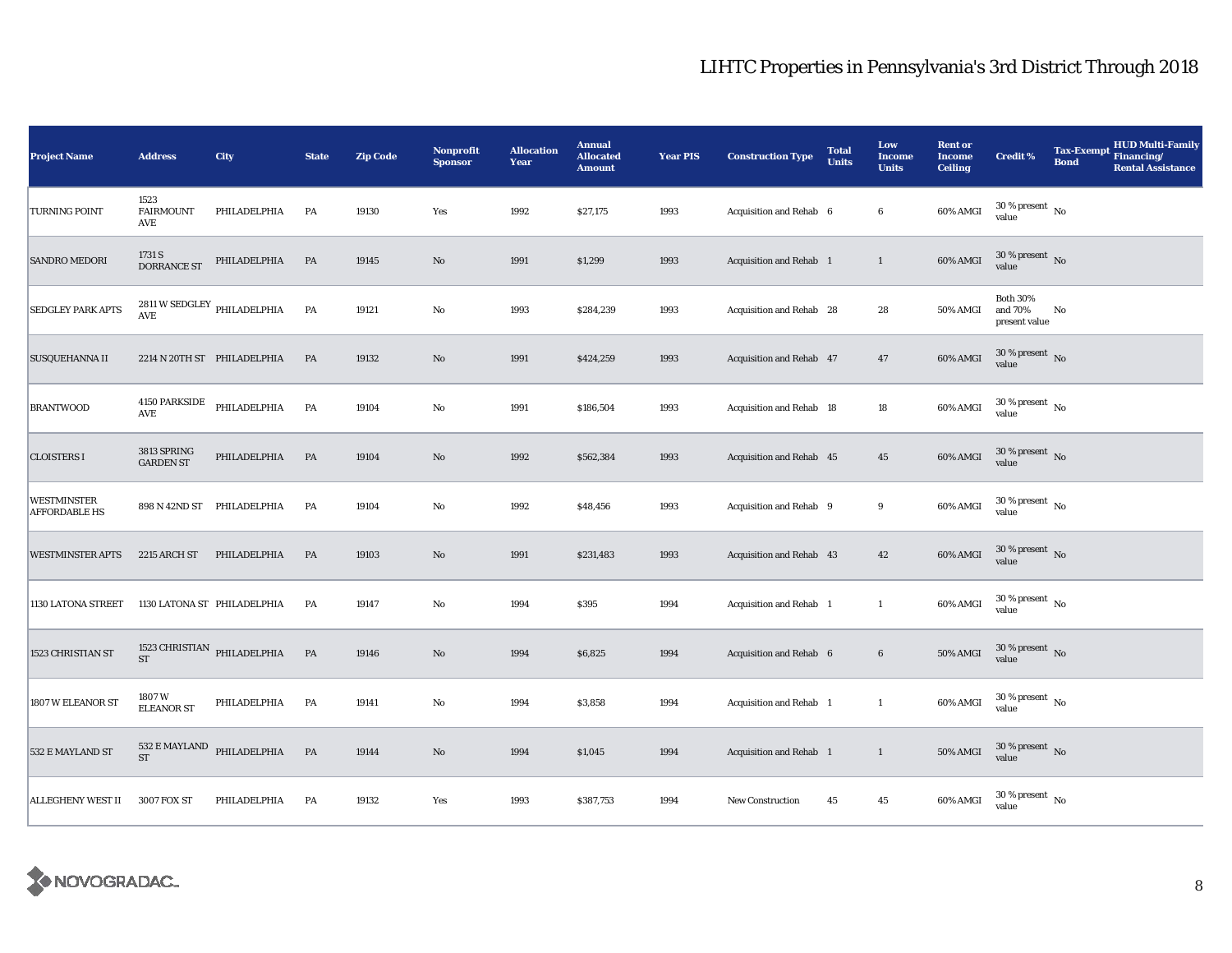| <b>Project Name</b>                 | <b>Address</b>                                 | City                                                  | <b>State</b>  | <b>Zip Code</b> | <b>Nonprofit</b><br><b>Sponsor</b> | <b>Allocation</b><br>Year | <b>Annual</b><br><b>Allocated</b><br><b>Amount</b> | <b>Year PIS</b> | <b>Construction Type</b> | <b>Total</b><br><b>Units</b> | Low<br>Income<br><b>Units</b> | <b>Rent or</b><br><b>Income</b><br><b>Ceiling</b> | <b>Credit %</b>                             | <b>Bond</b> | <b>HUD Multi-Family</b><br>Tax-Exempt Financing/<br><b>Rental Assistance</b> |
|-------------------------------------|------------------------------------------------|-------------------------------------------------------|---------------|-----------------|------------------------------------|---------------------------|----------------------------------------------------|-----------------|--------------------------|------------------------------|-------------------------------|---------------------------------------------------|---------------------------------------------|-------------|------------------------------------------------------------------------------|
| TURNING POINT                       | 1523<br><b>FAIRMOUNT</b><br>AVE                | PHILADELPHIA                                          | PA            | 19130           | Yes                                | 1992                      | \$27,175                                           | 1993            | Acquisition and Rehab 6  |                              | $\boldsymbol{6}$              | 60% AMGI                                          | $30\,\%$ present $\,$ No value              |             |                                                                              |
| <b>SANDRO MEDORI</b>                | $1731\;{\rm S}$ DORRANCE ST                    | PHILADELPHIA                                          | PA            | 19145           | $\rm No$                           | 1991                      | \$1,299                                            | 1993            | Acquisition and Rehab 1  |                              | $\mathbf{1}$                  | 60% AMGI                                          | $30$ % present $\,$ No $\,$<br>value        |             |                                                                              |
| <b>SEDGLEY PARK APTS</b>            |                                                | $2811\,\mathrm{W}\,\mathrm{SEDGLEY}$ PHILADELPHIA AVE | PA            | 19121           | $\rm No$                           | 1993                      | \$284,239                                          | 1993            | Acquisition and Rehab 28 |                              | 28                            | 50% AMGI                                          | <b>Both 30%</b><br>and 70%<br>present value | No          |                                                                              |
| <b>SUSQUEHANNA II</b>               |                                                | 2214 N 20TH ST PHILADELPHIA                           | PA            | 19132           | $\rm No$                           | 1991                      | \$424,259                                          | 1993            | Acquisition and Rehab 47 |                              | 47                            | 60% AMGI                                          | $30\,\%$ present $\,$ No value              |             |                                                                              |
| <b>BRANTWOOD</b>                    | 4150 PARKSIDE<br>$\operatorname{\mathbf{AVE}}$ | PHILADELPHIA                                          | PA            | 19104           | $\rm No$                           | 1991                      | \$186,504                                          | 1993            | Acquisition and Rehab 18 |                              | 18                            | 60% AMGI                                          | $30$ % present $\,$ No $\,$<br>value        |             |                                                                              |
| <b>CLOISTERS I</b>                  | 3813 SPRING<br><b>GARDEN ST</b>                | PHILADELPHIA                                          | PA            | 19104           | $\rm No$                           | 1992                      | \$562,384                                          | 1993            | Acquisition and Rehab 45 |                              | $\bf 45$                      | 60% AMGI                                          | $30\,\%$ present $\,$ No value              |             |                                                                              |
| WESTMINSTER<br><b>AFFORDABLE HS</b> |                                                | 898 N 42ND ST PHILADELPHIA                            | PA            | 19104           | $\rm No$                           | 1992                      | \$48,456                                           | 1993            | Acquisition and Rehab 9  |                              | 9                             | 60% AMGI                                          | $30\,\%$ present $\,$ No value              |             |                                                                              |
| <b>WESTMINSTER APTS</b>             | 2215 ARCH ST                                   | PHILADELPHIA                                          | PA            | 19103           | $\rm No$                           | 1991                      | \$231,483                                          | 1993            | Acquisition and Rehab 43 |                              | $42\,$                        | 60% AMGI                                          | $30\,\%$ present $\,$ No value              |             |                                                                              |
| 1130 LATONA STREET                  |                                                | 1130 LATONA ST PHILADELPHIA                           | PA            | 19147           | No                                 | 1994                      | \$395                                              | 1994            | Acquisition and Rehab 1  |                              | $\mathbf{1}$                  | 60% AMGI                                          | $30$ % present $\,$ No $\,$<br>value        |             |                                                                              |
| 1523 CHRISTIAN ST                   | <b>ST</b>                                      | 1523 CHRISTIAN $$\tt PHILADELPHIA$                    | $\mathbf{PA}$ | 19146           | $\rm No$                           | 1994                      | \$6,825                                            | 1994            | Acquisition and Rehab 6  |                              | $\bf 6$                       | $50\%$ AMGI                                       | $30\,\%$ present $\,$ No value              |             |                                                                              |
| 1807 W ELEANOR ST                   | 1807W<br><b>ELEANOR ST</b>                     | PHILADELPHIA                                          | PA            | 19141           | $\rm No$                           | 1994                      | \$3,858                                            | 1994            | Acquisition and Rehab 1  |                              | $\mathbf{1}$                  | 60% AMGI                                          | $30$ % present $\,$ No $\,$<br>value        |             |                                                                              |
| 532 E MAYLAND ST                    |                                                | $532$ E MAYLAND $$\tt PHILADELPHIA$$ ST               | $\mathbf{PA}$ | 19144           | $\rm No$                           | 1994                      | \$1,045                                            | 1994            | Acquisition and Rehab 1  |                              | $\mathbf{1}$                  | <b>50% AMGI</b>                                   | $30\,\%$ present $\,$ No value              |             |                                                                              |
| <b>ALLEGHENY WEST II</b>            | 3007 FOX ST                                    | PHILADELPHIA                                          | PA            | 19132           | Yes                                | 1993                      | \$387,753                                          | 1994            | New Construction         | 45                           | $45\,$                        | 60% AMGI                                          | $30\,\%$ present $\,$ No $\,$<br>value      |             |                                                                              |

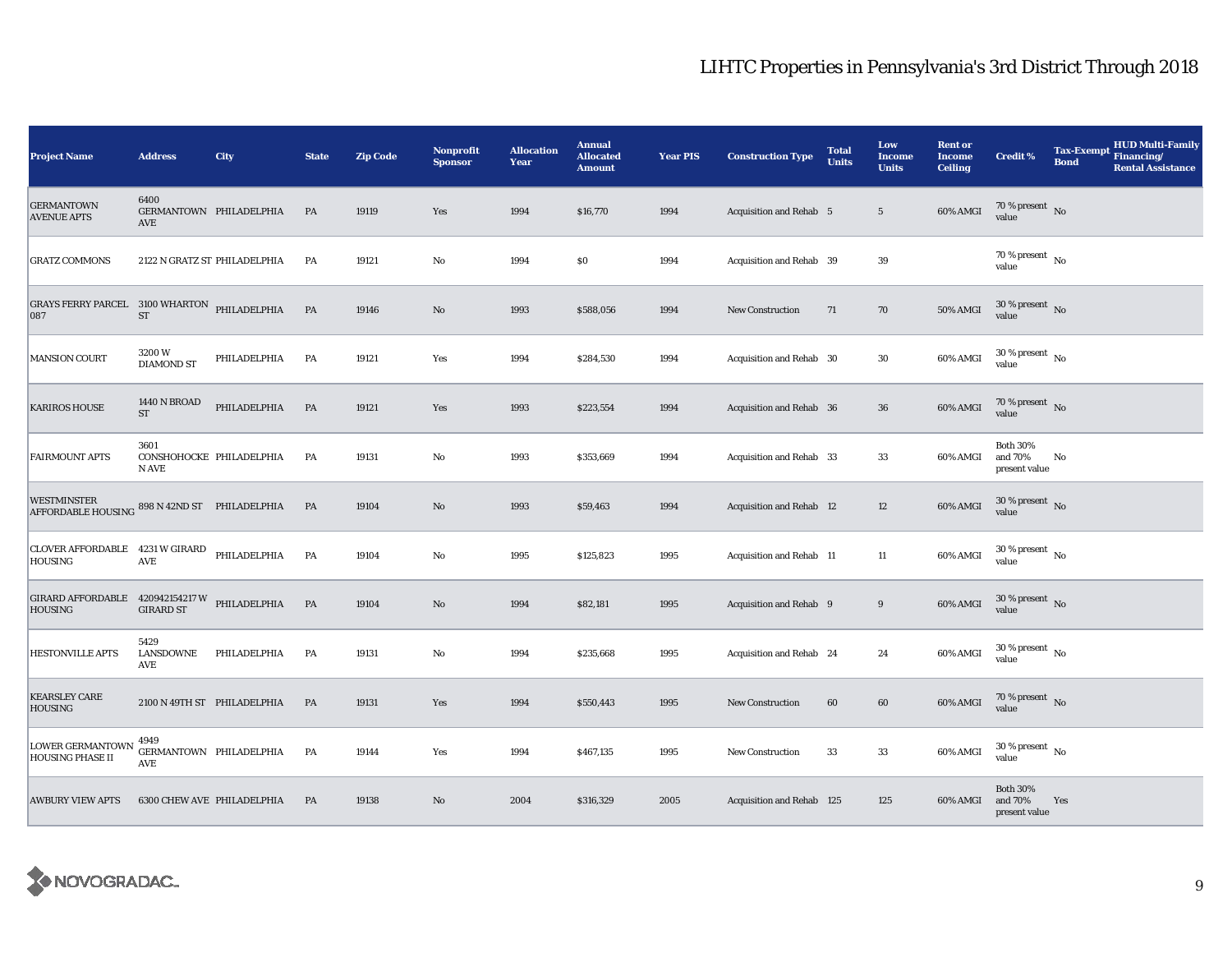| <b>Project Name</b>                                                       | <b>Address</b>                             | City                         | <b>State</b> | <b>Zip Code</b> | <b>Nonprofit</b><br><b>Sponsor</b> | <b>Allocation</b><br>Year | <b>Annual</b><br><b>Allocated</b><br><b>Amount</b> | <b>Year PIS</b> | <b>Construction Type</b>        | <b>Total</b><br><b>Units</b> | Low<br><b>Income</b><br><b>Units</b> | <b>Rent or</b><br><b>Income</b><br><b>Ceiling</b> | <b>Credit %</b>                             | <b>Tax-Exempt</b><br><b>Bond</b> | <b>HUD Multi-Family</b><br>Financing/<br><b>Rental Assistance</b> |
|---------------------------------------------------------------------------|--------------------------------------------|------------------------------|--------------|-----------------|------------------------------------|---------------------------|----------------------------------------------------|-----------------|---------------------------------|------------------------------|--------------------------------------|---------------------------------------------------|---------------------------------------------|----------------------------------|-------------------------------------------------------------------|
| <b>GERMANTOWN</b><br><b>AVENUE APTS</b>                                   | 6400<br>AVE                                | GERMANTOWN PHILADELPHIA      | PA           | 19119           | Yes                                | 1994                      | \$16,770                                           | 1994            | Acquisition and Rehab 5         |                              | $5\phantom{.0}$                      | 60% AMGI                                          | 70 % present $\hbox{~No}$<br>value          |                                  |                                                                   |
| <b>GRATZ COMMONS</b>                                                      |                                            | 2122 N GRATZ ST PHILADELPHIA | PA           | 19121           | $\mathbf {No}$                     | 1994                      | \$0                                                | 1994            | Acquisition and Rehab 39        |                              | 39                                   |                                                   | 70 % present $\,$ No $\,$<br>value          |                                  |                                                                   |
| GRAYS FERRY PARCEL 3100 WHARTON PHILADELPHIA<br>087                       | ${\rm ST}$                                 |                              | PA           | 19146           | No                                 | 1993                      | \$588,056                                          | 1994            | <b>New Construction</b>         | 71                           | 70                                   | 50% AMGI                                          | $30\,\%$ present $\,$ No $\,$<br>value      |                                  |                                                                   |
| <b>MANSION COURT</b>                                                      | 3200 W<br><b>DIAMOND ST</b>                | PHILADELPHIA                 | PA           | 19121           | Yes                                | 1994                      | \$284,530                                          | 1994            | Acquisition and Rehab 30        |                              | 30                                   | 60% AMGI                                          | $30\,\%$ present $\,$ No value              |                                  |                                                                   |
| <b>KARIROS HOUSE</b>                                                      | <b>1440 N BROAD</b><br>$\operatorname{ST}$ | PHILADELPHIA                 | PA           | 19121           | Yes                                | 1993                      | \$223,554                                          | 1994            | Acquisition and Rehab 36        |                              | ${\bf 36}$                           | 60% AMGI                                          | 70 % present $\hbox{~No}$<br>value          |                                  |                                                                   |
| <b>FAIRMOUNT APTS</b>                                                     | 3601<br>CONSHOHOCKE PHILADELPHIA<br>N AVE  |                              | PA           | 19131           | No                                 | 1993                      | \$353,669                                          | 1994            | Acquisition and Rehab 33        |                              | 33                                   | 60% AMGI                                          | <b>Both 30%</b><br>and 70%<br>present value | No                               |                                                                   |
| <b>WESTMINSTER</b><br><b>AFFORDABLE HOUSING</b>                           |                                            | 898 N 42ND ST PHILADELPHIA   | PA           | 19104           | No                                 | 1993                      | \$59,463                                           | 1994            | <b>Acquisition and Rehab 12</b> |                              | 12                                   | 60% AMGI                                          | $30\,\%$ present $\,$ No value              |                                  |                                                                   |
| CLOVER AFFORDABLE 4231 W GIRARD PHILADELPHIA<br><b>HOUSING</b>            | AVE                                        |                              | PA           | 19104           | No                                 | 1995                      | \$125,823                                          | 1995            | Acquisition and Rehab 11        |                              | $11\,$                               | 60% AMGI                                          | $30\,\%$ present $\,$ No $\,$<br>value      |                                  |                                                                   |
| GIRARD AFFORDABLE $420942154217 \text{ W}$ PHILADELPHIA<br><b>HOUSING</b> | <b>GIRARD ST</b>                           |                              | PA           | 19104           | $\rm No$                           | 1994                      | \$82,181                                           | 1995            | Acquisition and Rehab 9         |                              | $\boldsymbol{9}$                     | 60% AMGI                                          | $30\,\%$ present $\,$ No value              |                                  |                                                                   |
| <b>HESTONVILLE APTS</b>                                                   | 5429<br>LANSDOWNE<br>AVE                   | PHILADELPHIA                 | PA           | 19131           | $\rm No$                           | 1994                      | \$235,668                                          | 1995            | Acquisition and Rehab 24        |                              | 24                                   | 60% AMGI                                          | $30\,\%$ present $\,$ No $\,$<br>value      |                                  |                                                                   |
| <b>KEARSLEY CARE</b><br><b>HOUSING</b>                                    |                                            | 2100 N 49TH ST PHILADELPHIA  | PA           | 19131           | Yes                                | 1994                      | \$550,443                                          | 1995            | New Construction                | 60                           | $\bf{60}$                            | 60% AMGI                                          | $70\,\%$ present $\,$ No value              |                                  |                                                                   |
| <b>LOWER GERMANTOWN</b><br><b>HOUSING PHASE II</b>                        | 4949<br>AVE                                | GERMANTOWN PHILADELPHIA      | PA           | 19144           | Yes                                | 1994                      | \$467,135                                          | 1995            | New Construction                | 33                           | 33                                   | 60% AMGI                                          | $30$ % present $\,$ No $\,$<br>value        |                                  |                                                                   |
| <b>AWBURY VIEW APTS</b>                                                   |                                            | 6300 CHEW AVE PHILADELPHIA   | PA           | 19138           | $\rm No$                           | 2004                      | \$316,329                                          | 2005            | Acquisition and Rehab 125       |                              | 125                                  | 60% AMGI                                          | <b>Both 30%</b><br>and 70%<br>present value | Yes                              |                                                                   |

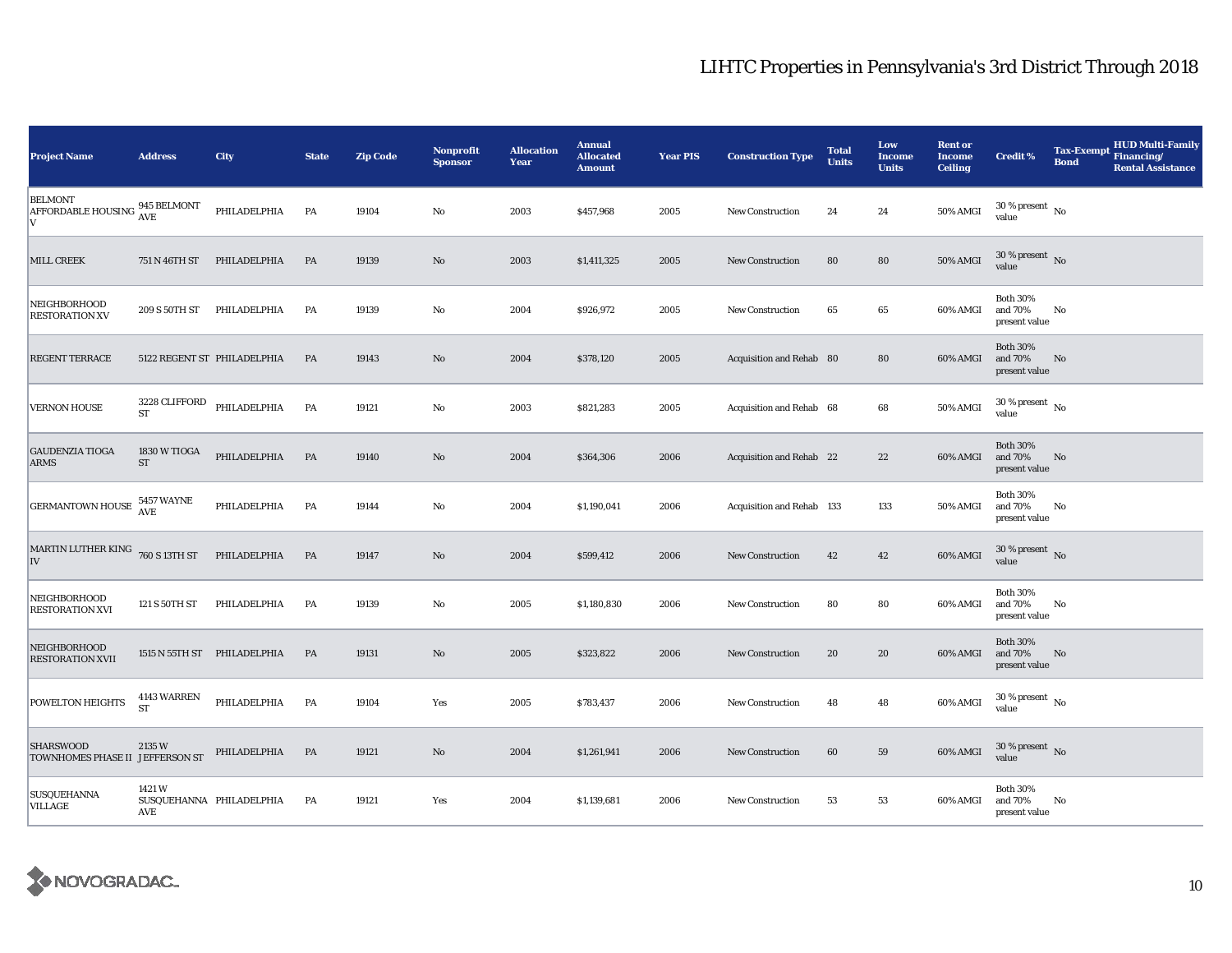| <b>Project Name</b>                                 | <b>Address</b>                            | City                                 | <b>State</b> | <b>Zip Code</b> | Nonprofit<br><b>Sponsor</b> | <b>Allocation</b><br>Year | <b>Annual</b><br><b>Allocated</b><br><b>Amount</b> | <b>Year PIS</b> | <b>Construction Type</b>  | <b>Total</b><br><b>Units</b> | Low<br><b>Income</b><br><b>Units</b> | <b>Rent or</b><br><b>Income</b><br><b>Ceiling</b> | <b>Credit %</b>                             | <b>Tax-Exempt</b><br><b>Bond</b> | <b>HUD Multi-Family</b><br>Financing/<br><b>Rental Assistance</b> |
|-----------------------------------------------------|-------------------------------------------|--------------------------------------|--------------|-----------------|-----------------------------|---------------------------|----------------------------------------------------|-----------------|---------------------------|------------------------------|--------------------------------------|---------------------------------------------------|---------------------------------------------|----------------------------------|-------------------------------------------------------------------|
| <b>BELMONT</b><br>AFFORDABLE HOUSING AVE            | $945$ BELMONT                             | PHILADELPHIA                         | PA           | 19104           | No                          | 2003                      | \$457,968                                          | 2005            | New Construction          | 24                           | 24                                   | 50% AMGI                                          | $30$ % present $\,$ No $\,$<br>value        |                                  |                                                                   |
| MILL CREEK                                          |                                           | 751 N 46TH ST PHILADELPHIA           | PA           | 19139           | $\rm No$                    | 2003                      | \$1,411,325                                        | 2005            | New Construction          | 80                           | 80                                   | <b>50% AMGI</b>                                   | $30\,\%$ present $\,$ No $\,$<br>value      |                                  |                                                                   |
| NEIGHBORHOOD<br><b>RESTORATION XV</b>               |                                           | 209 S 50TH ST PHILADELPHIA           | PA           | 19139           | $\mathbf{No}$               | 2004                      | \$926,972                                          | 2005            | <b>New Construction</b>   | 65                           | 65                                   | 60% AMGI                                          | <b>Both 30%</b><br>and 70%<br>present value | No                               |                                                                   |
| <b>REGENT TERRACE</b>                               |                                           | 5122 REGENT ST PHILADELPHIA          | PA           | 19143           | $\mathbf{N}\mathbf{o}$      | 2004                      | \$378,120                                          | 2005            | Acquisition and Rehab 80  |                              | 80                                   | 60% AMGI                                          | <b>Both 30%</b><br>and 70%<br>present value | No                               |                                                                   |
| <b>VERNON HOUSE</b>                                 | ${\rm ST}$                                | $3228$ CLIFFORD $\quad$ PHILADELPHIA | PA           | 19121           | $\rm No$                    | 2003                      | \$821,283                                          | 2005            | Acquisition and Rehab 68  |                              | 68                                   | 50% AMGI                                          | $30$ % present $\,$ No $\,$<br>value        |                                  |                                                                   |
| <b>GAUDENZIA TIOGA</b><br>ARMS                      | 1830 W TIOGA<br><b>ST</b>                 | PHILADELPHIA                         | PA           | 19140           | No                          | 2004                      | \$364,306                                          | 2006            | Acquisition and Rehab 22  |                              | 22                                   | 60% AMGI                                          | <b>Both 30%</b><br>and 70%<br>present value | No                               |                                                                   |
| GERMANTOWN HOUSE 5457 WAYNE                         |                                           | PHILADELPHIA                         | PA           | 19144           | No                          | 2004                      | \$1,190,041                                        | 2006            | Acquisition and Rehab 133 |                              | 133                                  | 50% AMGI                                          | <b>Both 30%</b><br>and 70%<br>present value | No                               |                                                                   |
| MARTIN LUTHER KING 760 S 13TH ST<br>IV              |                                           | PHILADELPHIA                         | PA           | 19147           | No                          | 2004                      | \$599,412                                          | 2006            | <b>New Construction</b>   | 42                           | 42                                   | 60% AMGI                                          | $30\,\%$ present $\,$ No $\,$<br>value      |                                  |                                                                   |
| NEIGHBORHOOD<br><b>RESTORATION XVI</b>              | 121 S 50TH ST                             | PHILADELPHIA                         | PA           | 19139           | $\mathbf{No}$               | 2005                      | \$1,180,830                                        | 2006            | New Construction          | 80                           | 80                                   | 60% AMGI                                          | <b>Both 30%</b><br>and 70%<br>present value | No                               |                                                                   |
| <b>NEIGHBORHOOD</b><br><b>RESTORATION XVII</b>      |                                           | 1515 N 55TH ST PHILADELPHIA          | <b>PA</b>    | 19131           | No                          | 2005                      | \$323,822                                          | 2006            | <b>New Construction</b>   | 20                           | 20                                   | 60% AMGI                                          | <b>Both 30%</b><br>and 70%<br>present value | No                               |                                                                   |
| POWELTON HEIGHTS                                    | 4143 WARREN<br><b>ST</b>                  | PHILADELPHIA                         | PA           | 19104           | Yes                         | 2005                      | \$783,437                                          | 2006            | New Construction          | 48                           | 48                                   | 60% AMGI                                          | $30$ % present $\,$ No $\,$<br>value        |                                  |                                                                   |
| <b>SHARSWOOD</b><br>TOWNHOMES PHASE II JEFFERSON ST | 2135 W                                    | PHILADELPHIA PA                      |              | 19121           | No                          | 2004                      | \$1,261,941                                        | 2006            | <b>New Construction</b>   | 60                           | 59                                   | 60% AMGI                                          | $30$ % present $\hbox{~No}$<br>value        |                                  |                                                                   |
| <b>SUSQUEHANNA</b><br><b>VILLAGE</b>                | 1421 W<br>SUSQUEHANNA PHILADELPHIA<br>AVE |                                      | PA           | 19121           | Yes                         | 2004                      | \$1,139,681                                        | 2006            | <b>New Construction</b>   | 53                           | 53                                   | 60% AMGI                                          | <b>Both 30%</b><br>and 70%<br>present value | No                               |                                                                   |

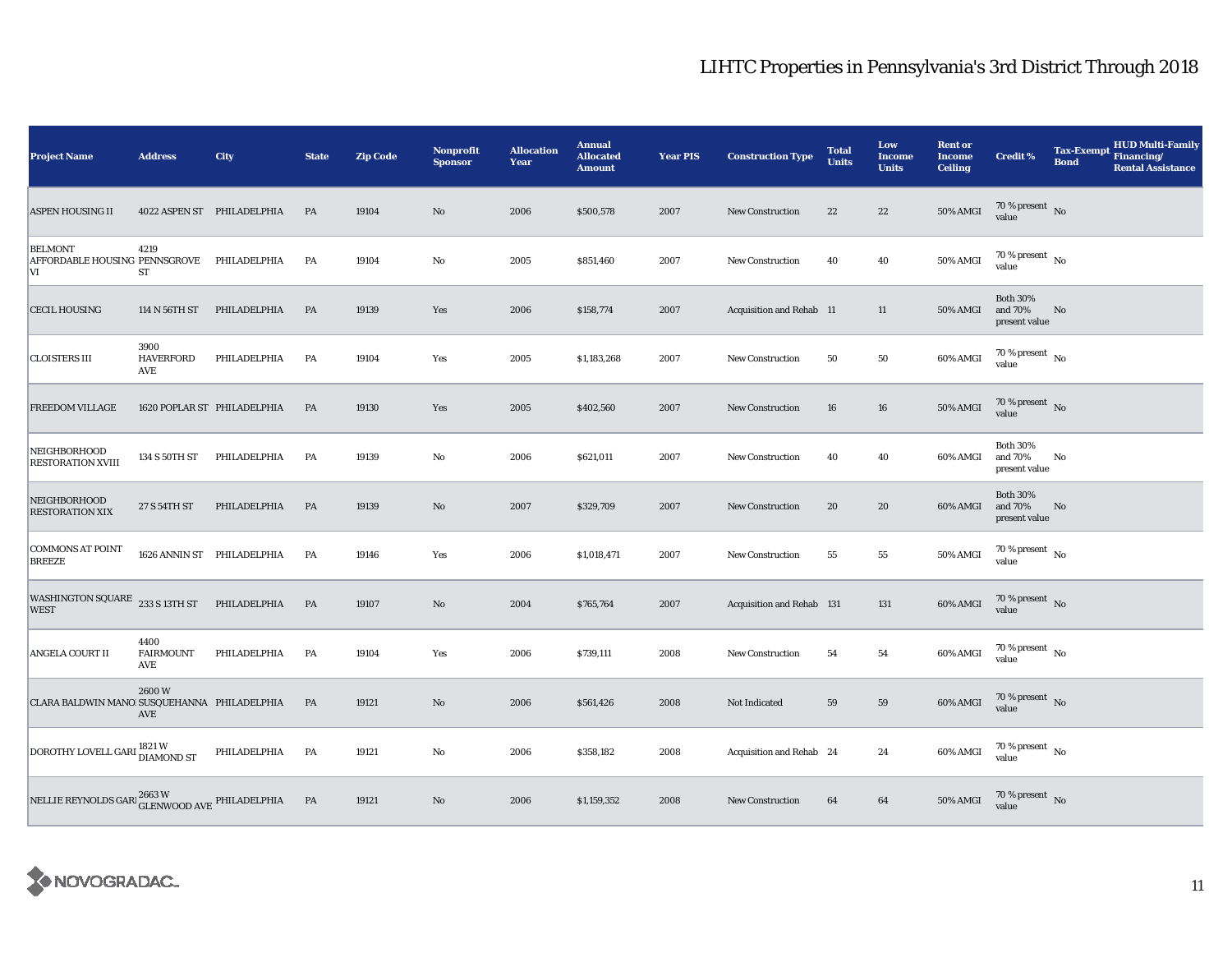| <b>Project Name</b>                                                   | <b>Address</b>                  | City                        | <b>State</b> | <b>Zip Code</b> | <b>Nonprofit</b><br><b>Sponsor</b> | <b>Allocation</b><br>Year | <b>Annual</b><br><b>Allocated</b><br><b>Amount</b> | <b>Year PIS</b> | <b>Construction Type</b>  | <b>Total</b><br><b>Units</b> | Low<br>Income<br><b>Units</b> | <b>Rent or</b><br><b>Income</b><br><b>Ceiling</b> | <b>Credit %</b>                             | <b>Tax-Exempt</b><br><b>Bond</b> | <b>HUD Multi-Family</b><br>Financing/<br><b>Rental Assistance</b> |
|-----------------------------------------------------------------------|---------------------------------|-----------------------------|--------------|-----------------|------------------------------------|---------------------------|----------------------------------------------------|-----------------|---------------------------|------------------------------|-------------------------------|---------------------------------------------------|---------------------------------------------|----------------------------------|-------------------------------------------------------------------|
| <b>ASPEN HOUSING II</b>                                               |                                 | 4022 ASPEN ST PHILADELPHIA  | <b>PA</b>    | 19104           | $\mathbf{N}\mathbf{o}$             | 2006                      | \$500,578                                          | 2007            | New Construction          | 22                           | $\bf{22}$                     | 50% AMGI                                          | 70 % present $\,$ No $\,$<br>value          |                                  |                                                                   |
| <b>BELMONT</b><br>AFFORDABLE HOUSING PENNSGROVE<br>VI                 | 4219<br>${\rm ST}$              | PHILADELPHIA                | PA           | 19104           | No                                 | 2005                      | \$851,460                                          | 2007            | <b>New Construction</b>   | 40                           | 40                            | 50% AMGI                                          | 70 % present $\,$ No $\,$<br>value          |                                  |                                                                   |
| <b>CECIL HOUSING</b>                                                  | 114 N 56TH ST                   | PHILADELPHIA                | PA           | 19139           | Yes                                | 2006                      | \$158,774                                          | 2007            | Acquisition and Rehab 11  |                              | 11                            | 50% AMGI                                          | <b>Both 30%</b><br>and 70%<br>present value | No                               |                                                                   |
| <b>CLOISTERS III</b>                                                  | 3900<br><b>HAVERFORD</b><br>AVE | PHILADELPHIA                | PA           | 19104           | Yes                                | 2005                      | \$1,183,268                                        | 2007            | <b>New Construction</b>   | 50                           | 50                            | 60% AMGI                                          | 70 % present $\hbox{~No}$<br>value          |                                  |                                                                   |
| <b>FREEDOM VILLAGE</b>                                                |                                 | 1620 POPLAR ST PHILADELPHIA | PA           | 19130           | Yes                                | 2005                      | \$402,560                                          | 2007            | <b>New Construction</b>   | 16                           | 16                            | 50% AMGI                                          | 70 % present $\hbox{~No}$<br>value          |                                  |                                                                   |
| <b>NEIGHBORHOOD</b><br><b>RESTORATION XVIII</b>                       |                                 | 134 S 50TH ST PHILADELPHIA  | PA           | 19139           | No                                 | 2006                      | \$621,011                                          | 2007            | <b>New Construction</b>   | 40                           | 40                            | 60% AMGI                                          | <b>Both 30%</b><br>and 70%<br>present value | No                               |                                                                   |
| <b>NEIGHBORHOOD</b><br><b>RESTORATION XIX</b>                         | 27 S 54TH ST                    | PHILADELPHIA                | PA           | 19139           | $\mathbf{N}\mathbf{o}$             | 2007                      | \$329,709                                          | 2007            | New Construction          | 20                           | 20                            | 60% AMGI                                          | <b>Both 30%</b><br>and 70%<br>present value | No                               |                                                                   |
| <b>COMMONS AT POINT</b><br><b>BREEZE</b>                              |                                 | 1626 ANNIN ST PHILADELPHIA  | PA           | 19146           | Yes                                | 2006                      | \$1,018,471                                        | 2007            | New Construction          | 55                           | 55                            | 50% AMGI                                          | 70 % present $\,$ No $\,$<br>value          |                                  |                                                                   |
| WASHINGTON SQUARE 233 S 13TH ST<br><b>WEST</b>                        |                                 | PHILADELPHIA                | PA           | 19107           | $\mathbf{N}\mathbf{o}$             | 2004                      | \$765,764                                          | 2007            | Acquisition and Rehab 131 |                              | 131                           | 60% AMGI                                          | $70\,\%$ present $\,$ No value              |                                  |                                                                   |
| <b>ANGELA COURT II</b>                                                | 4400<br><b>FAIRMOUNT</b><br>AVE | PHILADELPHIA                | PA           | 19104           | Yes                                | 2006                      | \$739,111                                          | 2008            | <b>New Construction</b>   | 54                           | 54                            | 60% AMGI                                          | 70 % present $\hbox{~No}$<br>value          |                                  |                                                                   |
| CLARA BALDWIN MANO SUSQUEHANNA PHILADELPHIA                           | 2600W<br>AVE                    |                             | PA           | 19121           | No                                 | 2006                      | \$561,426                                          | 2008            | Not Indicated             | 59                           | 59                            | 60% AMGI                                          | $70\,\%$ present $\,$ No value              |                                  |                                                                   |
| DOROTHY LOVELL GARI <sup>1821</sup> W<br>DIAMOND ST                   |                                 | PHILADELPHIA                | PA           | 19121           | No                                 | 2006                      | \$358,182                                          | 2008            | Acquisition and Rehab 24  |                              | 24                            | 60% AMGI                                          | $70\,\%$ present $\,$ No value              |                                  |                                                                   |
| NELLIE REYNOLDS GARI $_{\rm GLENWOOD\;AVE}^{2663\;W}$ PHILADELPHIA PA |                                 |                             |              | 19121           | No                                 | 2006                      | \$1,159,352                                        | 2008            | <b>New Construction</b>   | 64                           | 64                            | 50% AMGI                                          | $70\%$ present No<br>value                  |                                  |                                                                   |

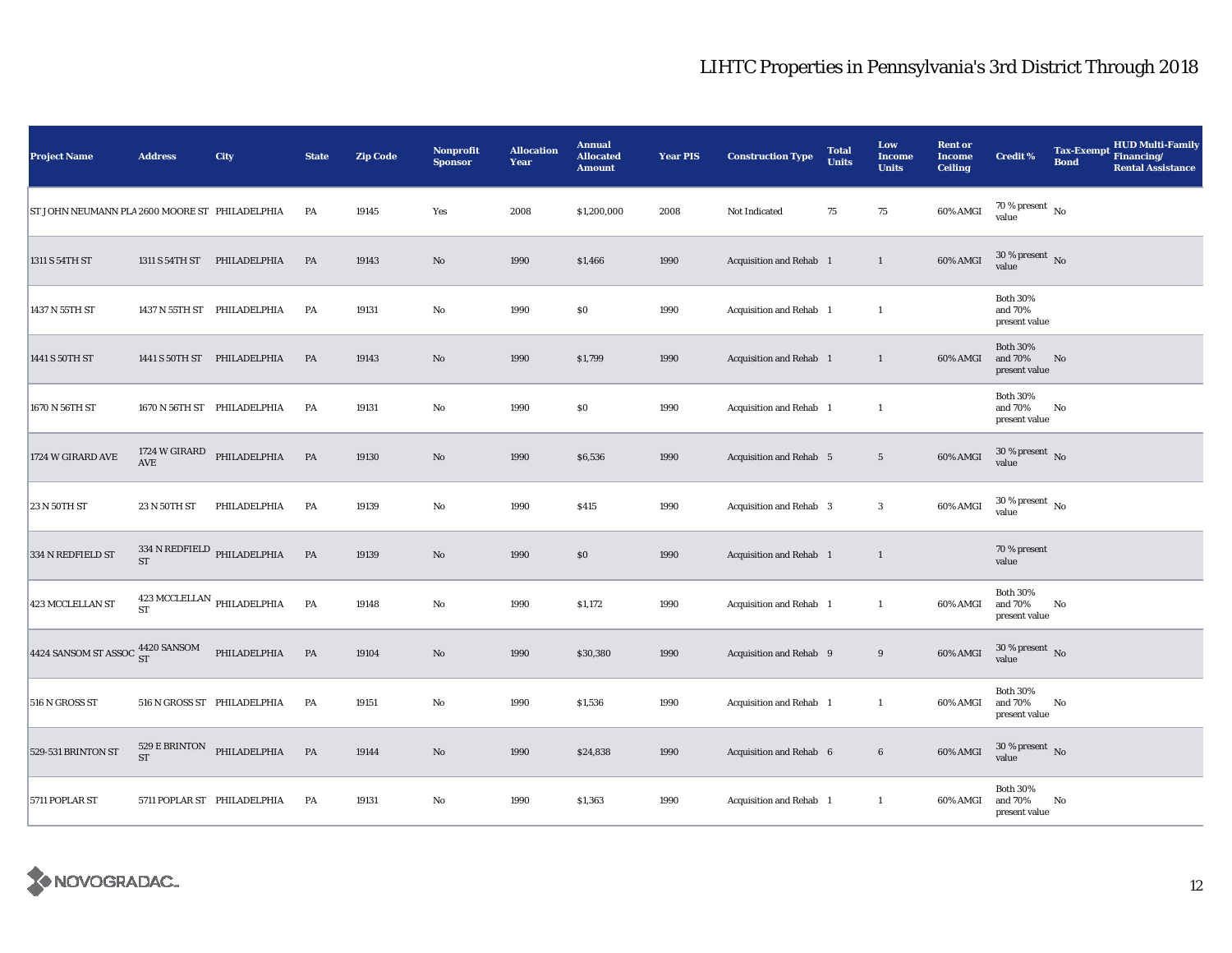| <b>Project Name</b>                                          | <b>Address</b> | City                                             | <b>State</b> | <b>Zip Code</b> | Nonprofit<br><b>Sponsor</b> | <b>Allocation</b><br><b>Year</b> | <b>Annual</b><br><b>Allocated</b><br><b>Amount</b> | <b>Year PIS</b> | <b>Construction Type</b>       | <b>Total</b><br><b>Units</b> | Low<br><b>Income</b><br><b>Units</b> | <b>Rent or</b><br><b>Income</b><br><b>Ceiling</b> | <b>Credit %</b>                             | <b>HUD Multi-Family</b><br>Tax-Exempt Financing/<br><b>Bond</b><br><b>Rental Assistance</b> |
|--------------------------------------------------------------|----------------|--------------------------------------------------|--------------|-----------------|-----------------------------|----------------------------------|----------------------------------------------------|-----------------|--------------------------------|------------------------------|--------------------------------------|---------------------------------------------------|---------------------------------------------|---------------------------------------------------------------------------------------------|
| ST JOHN NEUMANN PLA 2600 MOORE ST PHILADELPHIA               |                |                                                  | PA           | 19145           | Yes                         | 2008                             | \$1,200,000                                        | 2008            | Not Indicated                  | 75                           | 75                                   | 60% AMGI                                          | 70 % present $\hbox{~No}$<br>value          |                                                                                             |
| 1311 S 54TH ST                                               |                | 1311 S 54TH ST PHILADELPHIA                      | PA           | 19143           | $\mathbf{N}\mathbf{o}$      | 1990                             | \$1,466                                            | 1990            | Acquisition and Rehab 1        |                              | $\mathbf{1}$                         | 60% AMGI                                          | $30\,\%$ present $\,$ No $\,$<br>value      |                                                                                             |
| 1437 N 55TH ST                                               |                | 1437 N 55TH ST PHILADELPHIA                      | PA           | 19131           | No                          | 1990                             | $\$0$                                              | 1990            | Acquisition and Rehab 1        |                              | $\mathbf{1}$                         |                                                   | <b>Both 30%</b><br>and 70%<br>present value |                                                                                             |
| 1441 S 50TH ST                                               |                | 1441 S 50TH ST PHILADELPHIA                      | PA           | 19143           | No                          | 1990                             | \$1,799                                            | 1990            | Acquisition and Rehab 1        |                              | $\mathbf{1}$                         | 60% AMGI                                          | <b>Both 30%</b><br>and 70%<br>present value | No                                                                                          |
| 1670 N 56TH ST                                               |                | 1670 N 56TH ST PHILADELPHIA                      | PA           | 19131           | No                          | 1990                             | \$0                                                | 1990            | Acquisition and Rehab 1        |                              | 1                                    |                                                   | <b>Both 30%</b><br>and 70%<br>present value | No                                                                                          |
| 1724 W GIRARD AVE                                            |                | $1724\text{ W}$ GIRARD PHILADELPHIA AVE          | PA           | 19130           | $\rm No$                    | 1990                             | \$6,536                                            | 1990            | <b>Acquisition and Rehab</b> 5 |                              | $\overline{5}$                       | 60% AMGI                                          | $30\,\%$ present $\,$ No value              |                                                                                             |
| 23 N 50TH ST                                                 | 23 N 50TH ST   | PHILADELPHIA                                     | PA           | 19139           | No                          | 1990                             | \$415                                              | 1990            | <b>Acquisition and Rehab</b> 3 |                              | $\mathbf{3}$                         | 60% AMGI                                          | $30\,\%$ present $\,$ No value              |                                                                                             |
| 334 N REDFIELD ST                                            | <b>ST</b>      | 334 N REDFIELD PHILADELPHIA                      | PA           | 19139           | $\mathbf{N}\mathbf{o}$      | 1990                             | \$0                                                | 1990            | Acquisition and Rehab 1        |                              | $\mathbf{1}$                         |                                                   | 70 % present<br>value                       |                                                                                             |
| 423 MCCLELLAN ST                                             |                | $423\,\mathrm{MCCLELLAN}$ PHILADELPHIA ST        | PA           | 19148           | No                          | 1990                             | \$1,172                                            | 1990            | Acquisition and Rehab 1        |                              | $\mathbf{1}$                         | 60% AMGI                                          | <b>Both 30%</b><br>and 70%<br>present value | No                                                                                          |
| 4424 SANSOM ST ASSOC $\frac{4420 \text{ SANSOM}}{\text{ST}}$ |                | PHILADELPHIA                                     | <b>PA</b>    | 19104           | No                          | 1990                             | \$30,380                                           | 1990            | Acquisition and Rehab 9        |                              | 9                                    | $60\%$ AMGI                                       | $30$ % present $\,$ No $\,$<br>value        |                                                                                             |
| 516 N GROSS ST                                               |                | 516 N GROSS ST PHILADELPHIA                      | PA           | 19151           | No                          | 1990                             | \$1,536                                            | 1990            | Acquisition and Rehab 1        |                              | $\mathbf{1}$                         | 60% AMGI                                          | <b>Both 30%</b><br>and 70%<br>present value | No                                                                                          |
| 529-531 BRINTON ST                                           | <b>ST</b>      | $529\,\mathrm{E}\,\mathrm{BRINTON}$ PHILADELPHIA | <b>PA</b>    | 19144           | No                          | 1990                             | \$24,838                                           | 1990            | Acquisition and Rehab 6        |                              | $\bf 6$                              | 60% AMGI                                          | $30$ % present $\,$ No $\,$<br>value        |                                                                                             |
| 5711 POPLAR ST                                               |                | 5711 POPLAR ST PHILADELPHIA                      | PA           | 19131           | No                          | 1990                             | \$1,363                                            | 1990            | Acquisition and Rehab 1        |                              | $\mathbf{1}$                         | 60% AMGI                                          | <b>Both 30%</b><br>and 70%<br>present value | No                                                                                          |

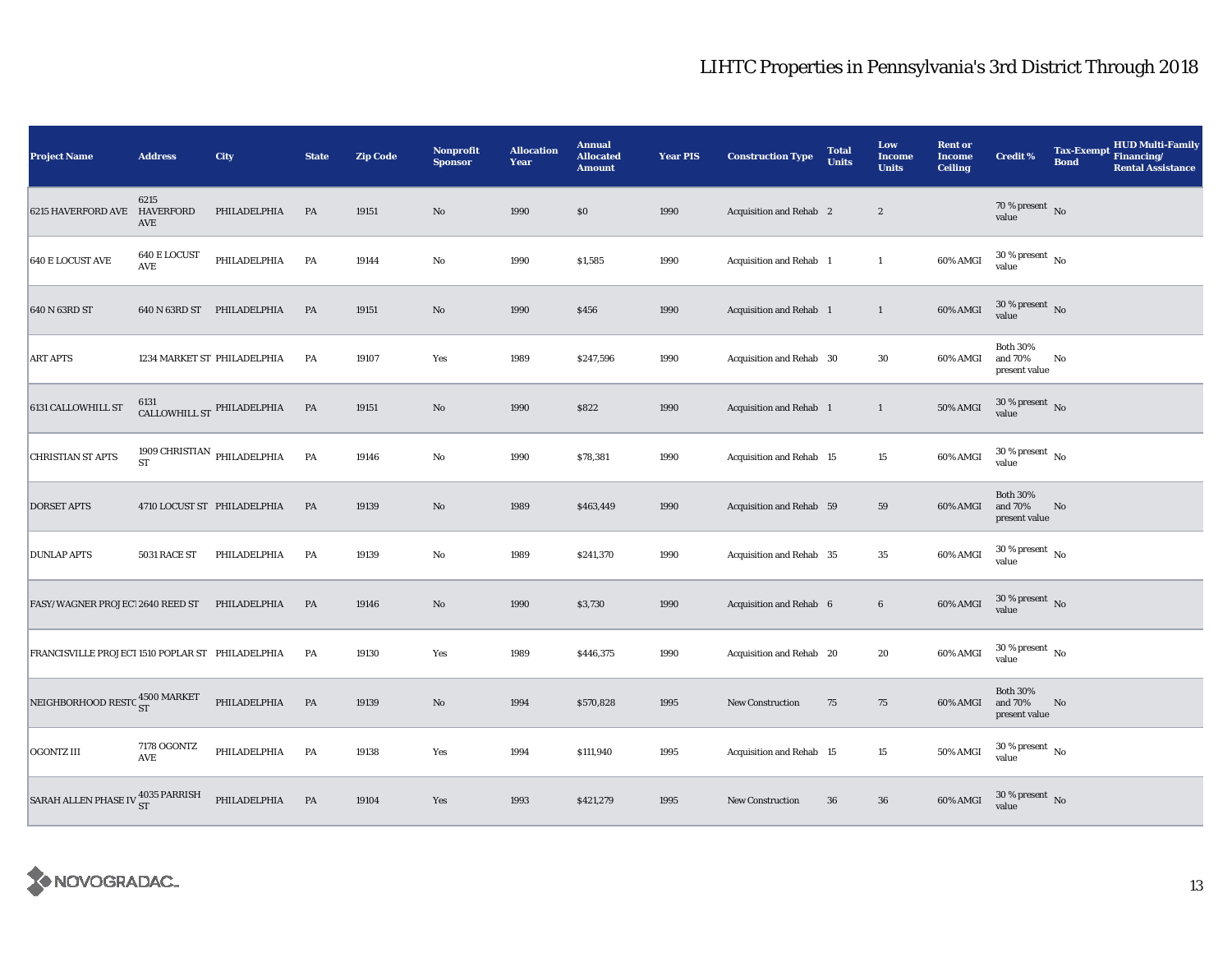| <b>Project Name</b>                              | <b>Address</b>             | City                                 | <b>State</b>  | <b>Zip Code</b> | <b>Nonprofit</b><br><b>Sponsor</b> | <b>Allocation</b><br>Year | <b>Annual</b><br><b>Allocated</b><br><b>Amount</b> | <b>Year PIS</b> | <b>Construction Type</b> | <b>Total</b><br><b>Units</b> | Low<br><b>Income</b><br><b>Units</b> | <b>Rent or</b><br><b>Income</b><br><b>Ceiling</b> | <b>Credit %</b>                             | <b>Tax-Exempt</b><br><b>Bond</b> | <b>HUD Multi-Family</b><br>Financing/<br><b>Rental Assistance</b> |
|--------------------------------------------------|----------------------------|--------------------------------------|---------------|-----------------|------------------------------------|---------------------------|----------------------------------------------------|-----------------|--------------------------|------------------------------|--------------------------------------|---------------------------------------------------|---------------------------------------------|----------------------------------|-------------------------------------------------------------------|
| 6215 HAVERFORD AVE HAVERFORD                     | 6215<br>AVE                | PHILADELPHIA                         | PA            | 19151           | No                                 | 1990                      | \$0\$                                              | 1990            | Acquisition and Rehab 2  |                              | $\boldsymbol{2}$                     |                                                   | 70 % present $\hbox{~No}$<br>value          |                                  |                                                                   |
| <b>640 E LOCUST AVE</b>                          | <b>640 E LOCUST</b><br>AVE | PHILADELPHIA                         | PA            | 19144           | No                                 | 1990                      | \$1,585                                            | 1990            | Acquisition and Rehab 1  |                              | $\mathbf{1}$                         | 60% AMGI                                          | $30\,\%$ present $\,$ No $\,$<br>value      |                                  |                                                                   |
| 640 N 63RD ST                                    | 640 N 63RD ST              | PHILADELPHIA                         | PA            | 19151           | No                                 | 1990                      | \$456                                              | 1990            | Acquisition and Rehab 1  |                              | $\mathbf{1}$                         | 60% AMGI                                          | $30\,\%$ present $\,$ No value              |                                  |                                                                   |
| <b>ART APTS</b>                                  |                            | 1234 MARKET ST PHILADELPHIA          | PA            | 19107           | Yes                                | 1989                      | \$247,596                                          | 1990            | Acquisition and Rehab 30 |                              | 30                                   | 60% AMGI                                          | <b>Both 30%</b><br>and 70%<br>present value | No                               |                                                                   |
| 6131 CALLOWHILL ST                               | 6131                       | CALLOWHILL ST PHILADELPHIA           | PA            | 19151           | No                                 | 1990                      | \$822                                              | 1990            | Acquisition and Rehab 1  |                              | $\mathbf{1}$                         | <b>50% AMGI</b>                                   | $30$ % present $\,$ No $\,$<br>value        |                                  |                                                                   |
| <b>CHRISTIAN ST APTS</b>                         | ${\rm ST}$                 | 1909 CHRISTIAN $_{\rm PHILADELPHIA}$ | PA            | 19146           | No                                 | 1990                      | \$78,381                                           | 1990            | Acquisition and Rehab 15 |                              | $15\,$                               | 60% AMGI                                          | $30\,\%$ present $_{\, \rm No}$<br>value    |                                  |                                                                   |
| <b>DORSET APTS</b>                               |                            | 4710 LOCUST ST PHILADELPHIA          | PA            | 19139           | $\mathbf{No}$                      | 1989                      | \$463,449                                          | 1990            | Acquisition and Rehab 59 |                              | 59                                   | 60% AMGI                                          | <b>Both 30%</b><br>and 70%<br>present value | No                               |                                                                   |
| <b>DUNLAP APTS</b>                               | 5031 RACE ST               | PHILADELPHIA                         | PA            | 19139           | $\rm No$                           | 1989                      | \$241,370                                          | 1990            | Acquisition and Rehab 35 |                              | 35                                   | 60% AMGI                                          | $30$ % present $\,$ No $\,$<br>value        |                                  |                                                                   |
| FASY/WAGNER PROJECT 2640 REED ST                 |                            | PHILADELPHIA                         | $\mathbf{PA}$ | 19146           | $\mathbf{N}\mathbf{o}$             | 1990                      | \$3,730                                            | 1990            | Acquisition and Rehab 6  |                              | $\bf 6$                              | 60% AMGI                                          | $30\,\%$ present $\,$ No value              |                                  |                                                                   |
| FRANCISVILLE PROJECT 1510 POPLAR ST PHILADELPHIA |                            |                                      | PA            | 19130           | Yes                                | 1989                      | \$446,375                                          | 1990            | Acquisition and Rehab 20 |                              | $20\,$                               | 60% AMGI                                          | $30\,\%$ present $\,$ No value              |                                  |                                                                   |
| NEIGHBORHOOD RESTC 4500 MARKET                   |                            | PHILADELPHIA                         | PA            | 19139           | No                                 | 1994                      | \$570,828                                          | 1995            | <b>New Construction</b>  | 75                           | 75                                   | 60% AMGI                                          | <b>Both 30%</b><br>and 70%<br>present value | No                               |                                                                   |
| <b>OGONTZ III</b>                                | 7178 OGONTZ<br>AVE         | PHILADELPHIA                         | PA            | 19138           | Yes                                | 1994                      | \$111,940                                          | 1995            | Acquisition and Rehab 15 |                              | $15\,$                               | 50% AMGI                                          | $30\,\%$ present $\,$ No value              |                                  |                                                                   |
| SARAH ALLEN PHASE IV 4035 PARRISH                |                            | PHILADELPHIA                         | PA            | 19104           | Yes                                | 1993                      | \$421,279                                          | 1995            | <b>New Construction</b>  | 36                           | 36                                   | 60% AMGI                                          | $30\,\%$ present $\,$ No $\,$<br>value      |                                  |                                                                   |

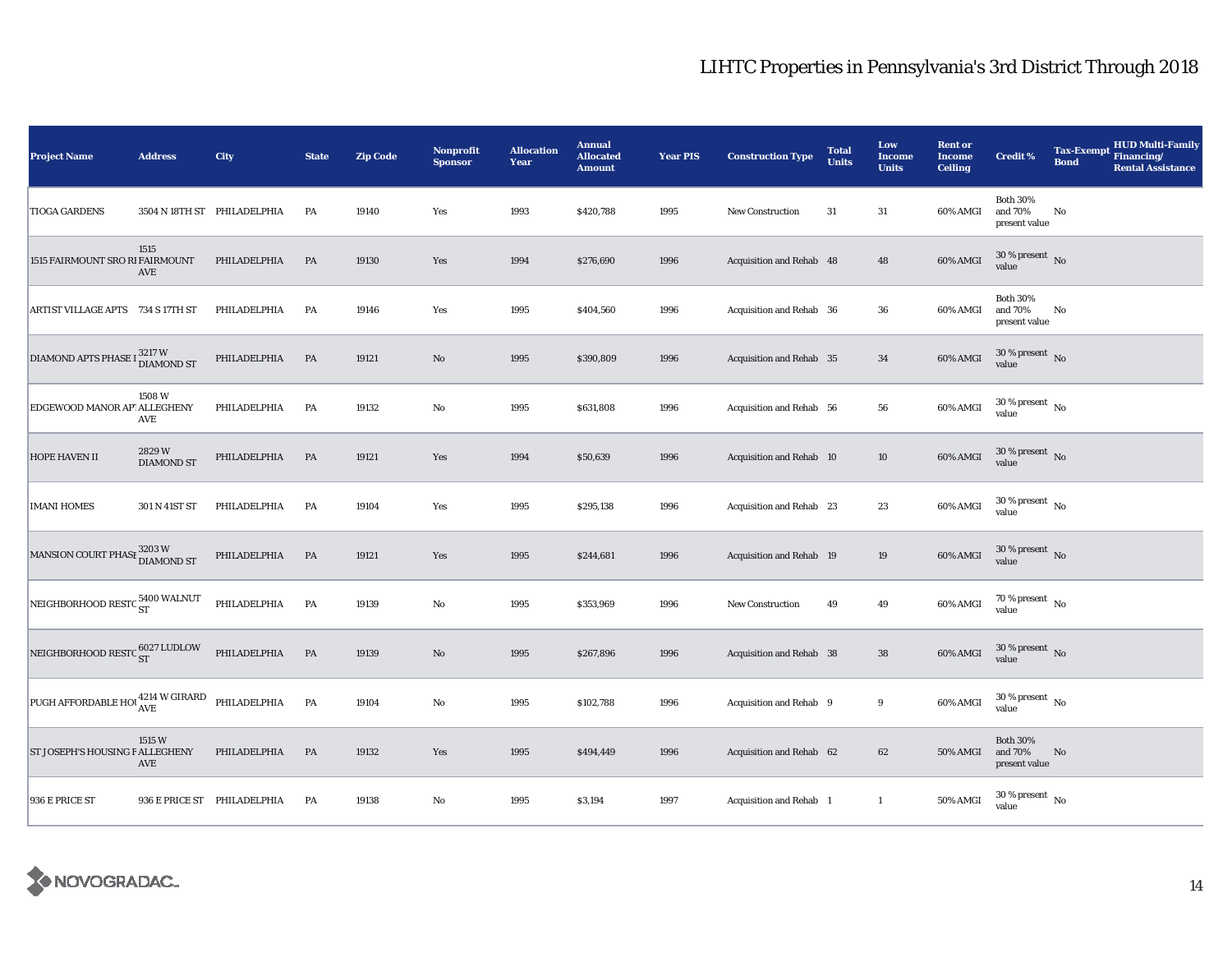| <b>Project Name</b>                                       | <b>Address</b>             | City                        | <b>State</b> | <b>Zip Code</b> | Nonprofit<br><b>Sponsor</b> | <b>Allocation</b><br>Year | <b>Annual</b><br><b>Allocated</b><br><b>Amount</b> | <b>Year PIS</b> | <b>Construction Type</b> | <b>Total</b><br><b>Units</b> | Low<br><b>Income</b><br><b>Units</b> | <b>Rent or</b><br><b>Income</b><br><b>Ceiling</b> | <b>Credit %</b>                             | <b>Tax-Exempt</b><br><b>Bond</b> | <b>HUD Multi-Family</b><br>Financing/<br><b>Rental Assistance</b> |
|-----------------------------------------------------------|----------------------------|-----------------------------|--------------|-----------------|-----------------------------|---------------------------|----------------------------------------------------|-----------------|--------------------------|------------------------------|--------------------------------------|---------------------------------------------------|---------------------------------------------|----------------------------------|-------------------------------------------------------------------|
| <b>TIOGA GARDENS</b>                                      |                            | 3504 N 18TH ST PHILADELPHIA | PA           | 19140           | Yes                         | 1993                      | \$420,788                                          | 1995            | <b>New Construction</b>  | 31                           | 31                                   | 60% AMGI                                          | <b>Both 30%</b><br>and 70%<br>present value | No                               |                                                                   |
| 1515 FAIRMOUNT SRO RI FAIRMOUNT                           | 1515<br>AVE                | PHILADELPHIA                | PA           | 19130           | Yes                         | 1994                      | \$276,690                                          | 1996            | Acquisition and Rehab 48 |                              | 48                                   | 60% AMGI                                          | $30\,\%$ present $\,$ No $\,$<br>value      |                                  |                                                                   |
| ARTIST VILLAGE APTS 734 S 17TH ST                         |                            | PHILADELPHIA                | PA           | 19146           | Yes                         | 1995                      | \$404,560                                          | 1996            | Acquisition and Rehab 36 |                              | 36                                   | 60% AMGI                                          | <b>Both 30%</b><br>and 70%<br>present value | No                               |                                                                   |
| DIAMOND APTS PHASE I <sup>3217</sup> W<br>DIAMOND ST      |                            | PHILADELPHIA                | <b>PA</b>    | 19121           | $\mathbf{No}$               | 1995                      | \$390,809                                          | 1996            | Acquisition and Rehab 35 |                              | 34                                   | 60% AMGI                                          | $30\,\%$ present $\,$ No value              |                                  |                                                                   |
| EDGEWOOD MANOR AP ALLEGHENY                               | 1508 W<br>AVE              | PHILADELPHIA                | PA           | 19132           | $\rm No$                    | 1995                      | \$631,808                                          | 1996            | Acquisition and Rehab 56 |                              | ${\bf 56}$                           | 60% AMGI                                          | $30\,\%$ present $\,$ No value              |                                  |                                                                   |
| HOPE HAVEN II                                             | 2829W<br><b>DIAMOND ST</b> | PHILADELPHIA                | PA           | 19121           | Yes                         | 1994                      | \$50,639                                           | 1996            | Acquisition and Rehab 10 |                              | $10\,$                               | 60% AMGI                                          | $30\,\%$ present $\,$ No value              |                                  |                                                                   |
| <b>IMANI HOMES</b>                                        | 301 N 41ST ST              | PHILADELPHIA                | PA           | 19104           | Yes                         | 1995                      | \$295,138                                          | 1996            | Acquisition and Rehab 23 |                              | 23                                   | 60% AMGI                                          | $30\,\%$ present $\,$ No value              |                                  |                                                                   |
| MANSION COURT PHASE 3203 W<br>DIAMOND ST                  |                            | PHILADELPHIA                | PA           | 19121           | Yes                         | 1995                      | \$244,681                                          | 1996            | Acquisition and Rehab 19 |                              | 19                                   | 60% AMGI                                          | $30$ % present $\,$ No $\,$<br>value        |                                  |                                                                   |
| NEIGHBORHOOD RESTC <sup>5400</sup> WALNUT                 |                            | PHILADELPHIA                | PA           | 19139           | $\mathbf{No}$               | 1995                      | \$353,969                                          | 1996            | <b>New Construction</b>  | 49                           | 49                                   | 60% AMGI                                          | $70\,\%$ present $\,$ No value              |                                  |                                                                   |
| NEIGHBORHOOD RESTC $_{\rm ST}^{6027\, {\rm LUDLOW}}$      |                            | PHILADELPHIA                | PA           | 19139           | $\mathbf{N}\mathbf{o}$      | 1995                      | \$267,896                                          | 1996            | Acquisition and Rehab 38 |                              | ${\bf 38}$                           | 60% AMGI                                          | $30\,\%$ present $\,$ No value              |                                  |                                                                   |
| PUGH AFFORDABLE HOI <sup>4214</sup> W GIRARD PHILADELPHIA |                            |                             | PA           | 19104           | $\rm No$                    | 1995                      | \$102,788                                          | 1996            | Acquisition and Rehab 9  |                              | $9\phantom{.0}$                      | 60% AMGI                                          | $30$ % present $\,$ No $\,$<br>value        |                                  |                                                                   |
| ST JOSEPH'S HOUSING F ALLEGHENY                           | 1515 W<br>AVE              | PHILADELPHIA                | PA           | 19132           | Yes                         | 1995                      | \$494,449                                          | 1996            | Acquisition and Rehab 62 |                              | 62                                   | <b>50% AMGI</b>                                   | <b>Both 30%</b><br>and 70%<br>present value | No                               |                                                                   |
| 936 E PRICE ST                                            |                            | 936 E PRICE ST PHILADELPHIA | PA           | 19138           | No                          | 1995                      | \$3,194                                            | 1997            | Acquisition and Rehab 1  |                              | $\mathbf{1}$                         | 50% AMGI                                          | $30\,\%$ present $_{\, \rm No}$<br>value    |                                  |                                                                   |

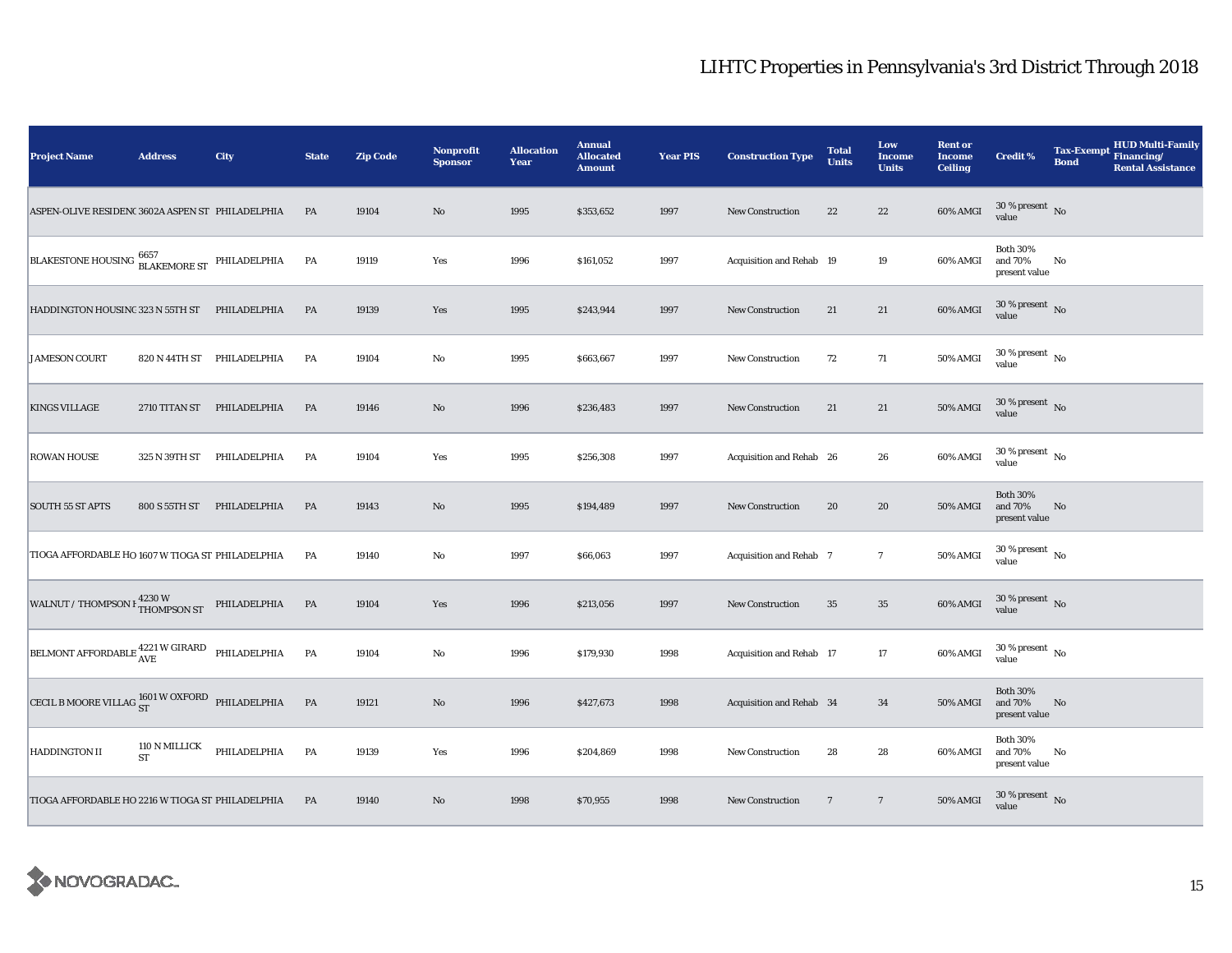| <b>Project Name</b>                                                                                           | <b>Address</b>      | City                       | <b>State</b> | <b>Zip Code</b> | <b>Nonprofit</b><br><b>Sponsor</b> | <b>Allocation</b><br>Year | <b>Annual</b><br><b>Allocated</b><br><b>Amount</b> | <b>Year PIS</b> | <b>Construction Type</b> | <b>Total</b><br><b>Units</b> | Low<br><b>Income</b><br><b>Units</b> | <b>Rent or</b><br><b>Income</b><br><b>Ceiling</b> | <b>Credit %</b>                             | <b>Tax-Exempt</b><br><b>Bond</b> | <b>HUD Multi-Family</b><br>Financing/<br><b>Rental Assistance</b> |
|---------------------------------------------------------------------------------------------------------------|---------------------|----------------------------|--------------|-----------------|------------------------------------|---------------------------|----------------------------------------------------|-----------------|--------------------------|------------------------------|--------------------------------------|---------------------------------------------------|---------------------------------------------|----------------------------------|-------------------------------------------------------------------|
| ASPEN-OLIVE RESIDENC 3602A ASPEN ST PHILADELPHIA                                                              |                     |                            | <b>PA</b>    | 19104           | No                                 | 1995                      | \$353,652                                          | 1997            | <b>New Construction</b>  | 22                           | 22                                   | 60% AMGI                                          | $30$ % present $\,$ No $\,$<br>value        |                                  |                                                                   |
| $\textbf{BLAKESTONE HOUSING}\ \begin{matrix} 6657\\ \textbf{BLAKEMORE ST}\end{matrix}\ \textbf{PHILADELPHIA}$ |                     |                            | PA           | 19119           | Yes                                | 1996                      | \$161,052                                          | 1997            | Acquisition and Rehab 19 |                              | 19                                   | 60% AMGI                                          | <b>Both 30%</b><br>and 70%<br>present value | No                               |                                                                   |
| HADDINGTON HOUSING 323 N 55TH ST                                                                              |                     | PHILADELPHIA               | PA           | 19139           | Yes                                | 1995                      | \$243,944                                          | 1997            | <b>New Construction</b>  | 21                           | 21                                   | 60% AMGI                                          | $30\,\%$ present $\,$ No value              |                                  |                                                                   |
| <b>JAMESON COURT</b>                                                                                          |                     | 820 N 44TH ST PHILADELPHIA | PA           | 19104           | No                                 | 1995                      | \$663,667                                          | 1997            | <b>New Construction</b>  | 72                           | 71                                   | 50% AMGI                                          | $30$ % present $\,$ No $\,$<br>value        |                                  |                                                                   |
| <b>KINGS VILLAGE</b>                                                                                          |                     | 2710 TITAN ST PHILADELPHIA | PA           | 19146           | $\mathbf{N}\mathbf{o}$             | 1996                      | \$236,483                                          | 1997            | <b>New Construction</b>  | 21                           | 21                                   | <b>50% AMGI</b>                                   | $30\,\%$ present $\,$ No value              |                                  |                                                                   |
| <b>ROWAN HOUSE</b>                                                                                            | 325 N 39TH ST       | PHILADELPHIA               | PA           | 19104           | Yes                                | 1995                      | \$256,308                                          | 1997            | Acquisition and Rehab 26 |                              | 26                                   | 60% AMGI                                          | $30$ % present $\,$ No $\,$<br>value        |                                  |                                                                   |
| <b>SOUTH 55 ST APTS</b>                                                                                       | 800 S 55TH ST       | PHILADELPHIA               | PA           | 19143           | $\mathbf{N}\mathbf{o}$             | 1995                      | \$194,489                                          | 1997            | <b>New Construction</b>  | 20                           | 20                                   | <b>50% AMGI</b>                                   | <b>Both 30%</b><br>and 70%<br>present value | No                               |                                                                   |
| TIOGA AFFORDABLE HO 1607 W TIOGA ST PHILADELPHIA                                                              |                     |                            | PA           | 19140           | $\rm No$                           | 1997                      | \$66,063                                           | 1997            | Acquisition and Rehab 7  |                              | $\overline{7}$                       | <b>50% AMGI</b>                                   | $30$ % present $\,$ No $\,$<br>value        |                                  |                                                                   |
| WALNUT / THOMPSON I 4230 W                                                                                    |                     | PHILADELPHIA PA            |              | 19104           | Yes                                | 1996                      | \$213,056                                          | 1997            | <b>New Construction</b>  | 35                           | $35\,$                               | 60% AMGI                                          | $30\,\%$ present $\,$ No $\,$<br>value      |                                  |                                                                   |
| BELMONT AFFORDABLE $_{\rm AVE}^{4221\ {\rm W\,GIRARD}}$ PHILADELPHIA                                          |                     |                            | PA           | 19104           | $\rm No$                           | 1996                      | \$179,930                                          | 1998            | Acquisition and Rehab 17 |                              | 17                                   | 60% AMGI                                          | $30\,\%$ present $\,$ No $\,$<br>value      |                                  |                                                                   |
| CECIL B MOORE VILLAG $^{1601}_{ST}$ W OXFORD PHILADELPHIA                                                     |                     |                            | <b>PA</b>    | 19121           | $\rm No$                           | 1996                      | \$427,673                                          | 1998            | Acquisition and Rehab 34 |                              | 34                                   | <b>50% AMGI</b>                                   | <b>Both 30%</b><br>and 70%<br>present value | No                               |                                                                   |
| HADDINGTON II                                                                                                 | 110 N MILLICK<br>ST | PHILADELPHIA               | PA           | 19139           | Yes                                | 1996                      | \$204,869                                          | 1998            | <b>New Construction</b>  | 28                           | 28                                   | 60% AMGI                                          | <b>Both 30%</b><br>and 70%<br>present value | No                               |                                                                   |
| TIOGA AFFORDABLE HO 2216 W TIOGA ST PHILADELPHIA                                                              |                     |                            | <b>PA</b>    | 19140           | No                                 | 1998                      | \$70,955                                           | 1998            | New Construction         | $7\phantom{.0}$              | $7\phantom{.0}$                      | 50% AMGI                                          | $30\,\%$ present $\,$ No value              |                                  |                                                                   |

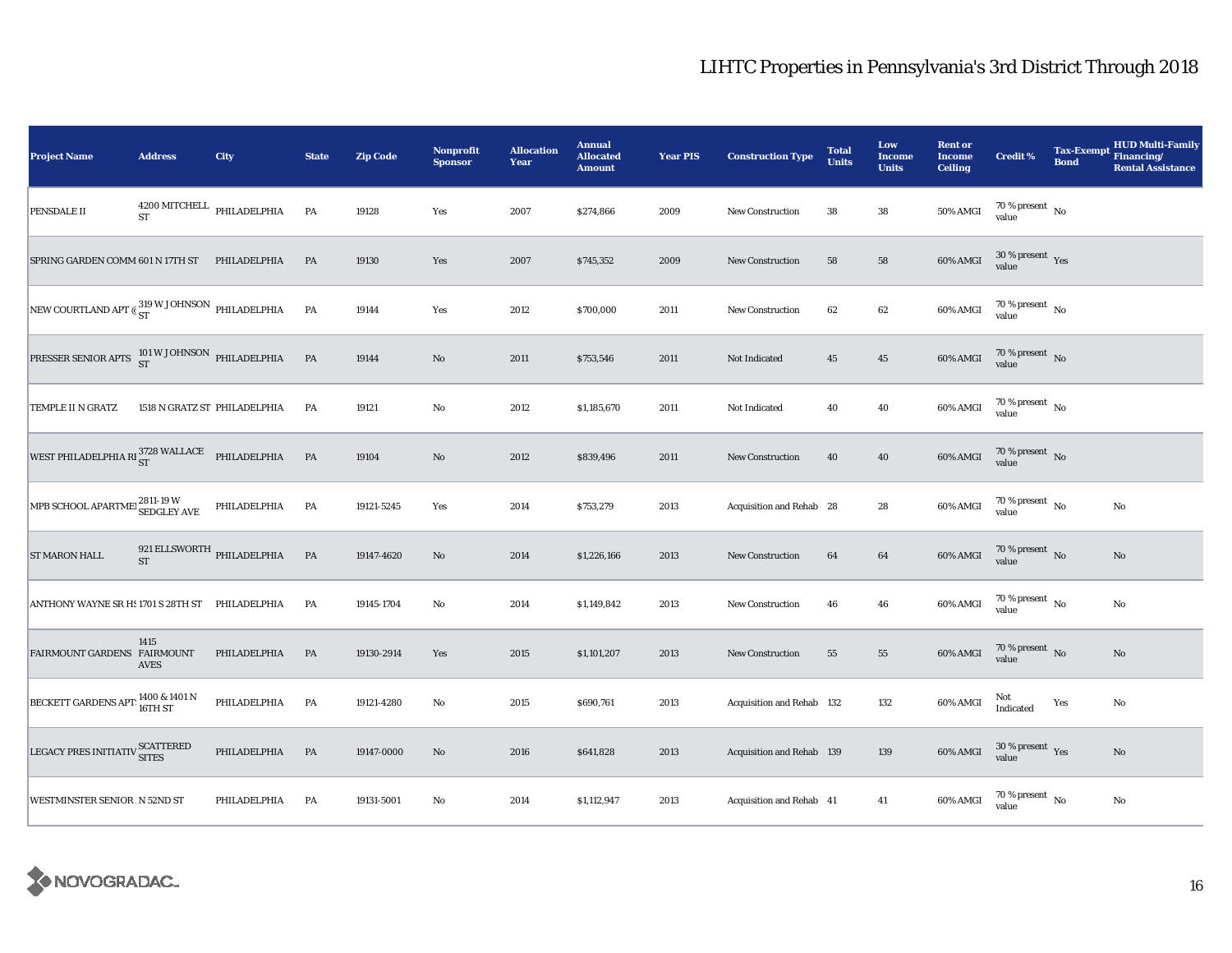| <b>Project Name</b>                                                   | <b>Address</b> | City                                   | <b>State</b> | <b>Zip Code</b> | Nonprofit<br><b>Sponsor</b> | <b>Allocation</b><br>Year | <b>Annual</b><br><b>Allocated</b><br><b>Amount</b> | <b>Year PIS</b> | <b>Construction Type</b>  | <b>Total</b><br><b>Units</b> | Low<br><b>Income</b><br><b>Units</b> | <b>Rent or</b><br><b>Income</b><br><b>Ceiling</b> | <b>Credit %</b>                      | <b>Tax-Exempt</b><br><b>Bond</b> | <b>HUD Multi-Family</b><br>Financing/<br><b>Rental Assistance</b> |
|-----------------------------------------------------------------------|----------------|----------------------------------------|--------------|-----------------|-----------------------------|---------------------------|----------------------------------------------------|-----------------|---------------------------|------------------------------|--------------------------------------|---------------------------------------------------|--------------------------------------|----------------------------------|-------------------------------------------------------------------|
| PENSDALE II                                                           | <b>ST</b>      | $4200\,\mathrm{MITCHELL}$ PHILADELPHIA | PA           | 19128           | Yes                         | 2007                      | \$274,866                                          | 2009            | <b>New Construction</b>   | 38                           | ${\bf 38}$                           | 50% AMGI                                          | 70 % present $\hbox{~No}$<br>value   |                                  |                                                                   |
| SPRING GARDEN COMM 601 N 17TH ST                                      |                | PHILADELPHIA                           | PA           | 19130           | Yes                         | 2007                      | \$745,352                                          | 2009            | <b>New Construction</b>   | 58                           | 58                                   | 60% AMGI                                          | $30\,\%$ present $\,$ Yes value      |                                  |                                                                   |
| NEW COURTLAND APT $\epsilon_{ST}^{319 \text{ W}$ JOHNSON PHILADELPHIA |                |                                        | PA           | 19144           | Yes                         | 2012                      | \$700,000                                          | 2011            | <b>New Construction</b>   | 62                           | 62                                   | 60% AMGI                                          | $70\,\%$ present $$$ No value        |                                  |                                                                   |
| PRESSER SENIOR APTS ST<br>ST<br>ST<br>ST<br>NUMBELPHIA PA             |                |                                        |              | 19144           | No                          | 2011                      | \$753,546                                          | 2011            | Not Indicated             | 45                           | 45                                   | 60% AMGI                                          | $70\,\%$ present $\,$ No value       |                                  |                                                                   |
| TEMPLE II N GRATZ                                                     |                | 1518 N GRATZ ST PHILADELPHIA           | PA           | 19121           | $\rm No$                    | 2012                      | \$1,185,670                                        | 2011            | Not Indicated             | 40                           | 40                                   | 60% AMGI                                          | $70\,\%$ present $\,$ No value       |                                  |                                                                   |
| WEST PHILADELPHIA RI $_{\rm ST}^{3728}$ WALLACE PHILADELPHIA          |                |                                        | PA           | 19104           | $\mathbf{No}$               | 2012                      | \$839,496                                          | 2011            | New Construction          | 40                           | 40                                   | 60% AMGI                                          | $70\,\%$ present $\,$ No value       |                                  |                                                                   |
| MPB SCHOOL APARTME 2811-19 W<br>SEDGLEY AVE                           |                | PHILADELPHIA                           | PA           | 19121-5245      | Yes                         | 2014                      | \$753,279                                          | 2013            | Acquisition and Rehab 28  |                              | 28                                   | 60% AMGI                                          | $70\,\%$ present $\,$ No value       |                                  | No                                                                |
| <b>ST MARON HALL</b>                                                  | <b>ST</b>      | 921 ELLSWORTH $_{\rm PHILADELPHIA}$    | PA           | 19147-4620      | No                          | 2014                      | \$1,226,166                                        | 2013            | New Construction          | 64                           | 64                                   | 60% AMGI                                          | $70\,\%$ present $\,$ No value       |                                  | No                                                                |
| ANTHONY WAYNE SR H! 1701 S 28TH ST PHILADELPHIA                       |                |                                        | PA           | 19145-1704      | No                          | 2014                      | \$1,149,842                                        | 2013            | New Construction          | 46                           | 46                                   | 60% AMGI                                          | $70\,\%$ present $\,$ No value       |                                  | No                                                                |
| FAIRMOUNT GARDENS FAIRMOUNT                                           | 1415<br>AVES   | PHILADELPHIA                           | PA           | 19130-2914      | Yes                         | 2015                      | \$1,101,207                                        | 2013            | <b>New Construction</b>   | 55                           | 55                                   | $60\%$ AMGI                                       | $70\,\%$ present $\,$ No value       |                                  | No                                                                |
| BECKETT GARDENS APT 1400 & 1401 N                                     |                | PHILADELPHIA                           | PA           | 19121-4280      | No                          | 2015                      | \$690,761                                          | 2013            | Acquisition and Rehab 132 |                              | 132                                  | 60% AMGI                                          | Not<br>Indicated                     | Yes                              | No                                                                |
| LEGACY PRES INITIATIV SCATTERED                                       |                | PHILADELPHIA                           | PA           | 19147-0000      | $\mathbf{N}\mathbf{o}$      | 2016                      | \$641,828                                          | 2013            | Acquisition and Rehab 139 |                              | 139                                  | $60\%$ AMGI                                       | $30\,\%$ present $\,$ Yes value      |                                  | No                                                                |
| WESTMINSTER SENIOR N 52ND ST                                          |                | PHILADELPHIA                           | PA           | 19131-5001      | No                          | 2014                      | \$1,112,947                                        | 2013            | Acquisition and Rehab 41  |                              | 41                                   | 60% AMGI                                          | $70$ % present $\,$ No $\,$<br>value |                                  | No                                                                |

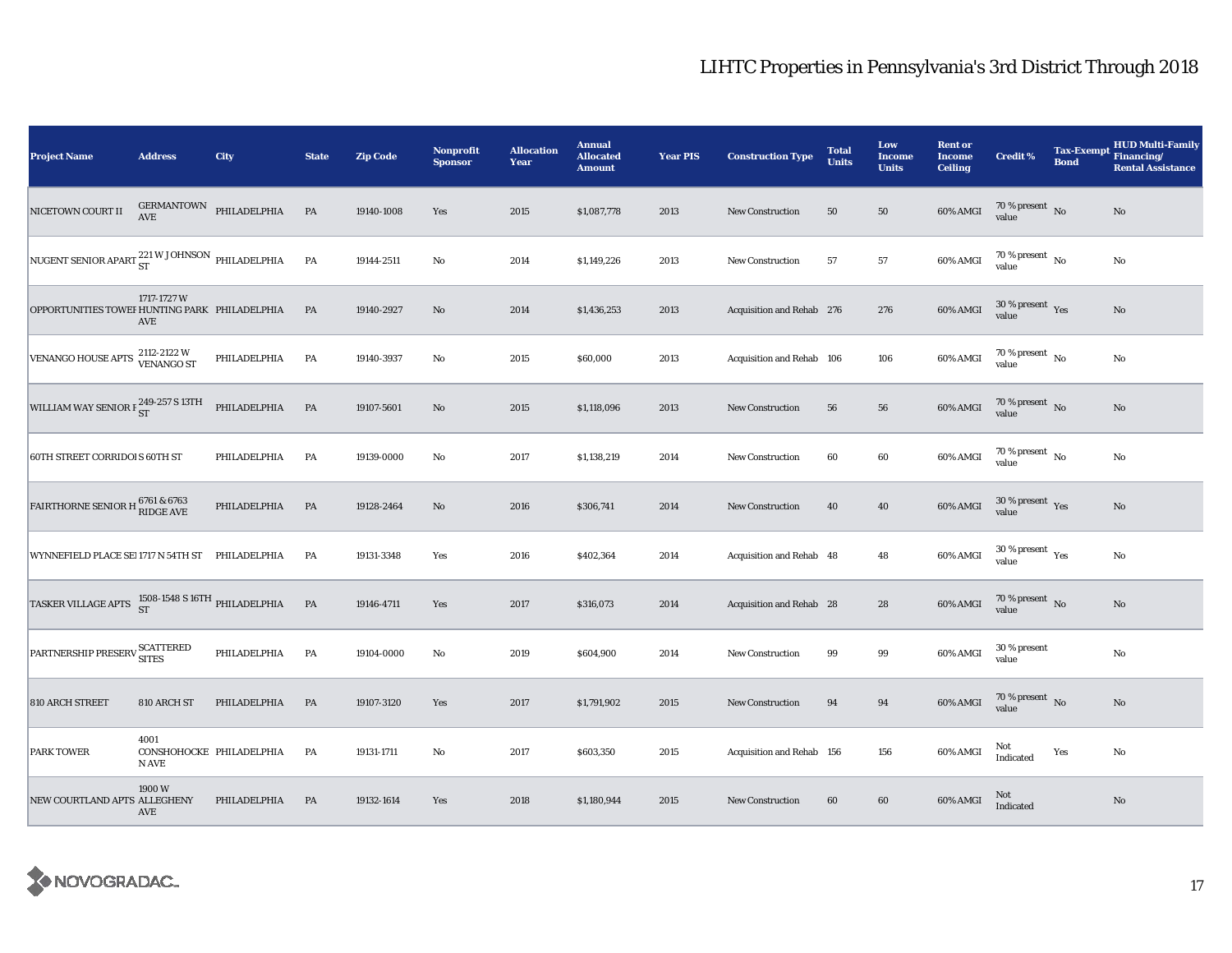| <b>Project Name</b>                                                       | <b>Address</b>     | City                     | <b>State</b>  | <b>Zip Code</b> | Nonprofit<br><b>Sponsor</b> | <b>Allocation</b><br>Year | <b>Annual</b><br><b>Allocated</b><br><b>Amount</b> | <b>Year PIS</b> | <b>Construction Type</b>  | <b>Total</b><br><b>Units</b> | Low<br><b>Income</b><br><b>Units</b> | <b>Rent or</b><br><b>Income</b><br><b>Ceiling</b> | <b>Credit %</b>                        | <b>Tax-Exempt</b><br><b>Bond</b> | <b>HUD Multi-Family</b><br>Financing/<br><b>Rental Assistance</b> |
|---------------------------------------------------------------------------|--------------------|--------------------------|---------------|-----------------|-----------------------------|---------------------------|----------------------------------------------------|-----------------|---------------------------|------------------------------|--------------------------------------|---------------------------------------------------|----------------------------------------|----------------------------------|-------------------------------------------------------------------|
| NICETOWN COURT II                                                         | AVE                | GERMANTOWN PHILADELPHIA  | PA            | 19140-1008      | Yes                         | 2015                      | \$1,087,778                                        | 2013            | <b>New Construction</b>   | 50                           | 50                                   | 60% AMGI                                          | 70 % present $\hbox{~No}$<br>value     |                                  | $\rm No$                                                          |
| NUGENT SENIOR APART $^{221}_{\rm ST}$ W JOHNSON PHILADELPHIA              |                    |                          | PA            | 19144-2511      | $\rm No$                    | 2014                      | \$1,149,226                                        | 2013            | <b>New Construction</b>   | 57                           | 57                                   | 60% AMGI                                          | $70$ % present $\,$ No $\,$<br>value   |                                  | No                                                                |
| OPPORTUNITIES TOWEF HUNTING PARK PHILADELPHIA                             | 1717-1727 W<br>AVE |                          | PA            | 19140-2927      | No                          | 2014                      | \$1,436,253                                        | 2013            | Acquisition and Rehab 276 |                              | 276                                  | 60% AMGI                                          | $30\,\%$ present $\,$ Yes value        |                                  | No                                                                |
| VENANGO HOUSE APTS 2112-2122 W                                            |                    | PHILADELPHIA             | PA            | 19140-3937      | No                          | 2015                      | \$60,000                                           | 2013            | Acquisition and Rehab 106 |                              | 106                                  | 60% AMGI                                          | $70$ % present $\,$ No $\,$<br>value   |                                  | No                                                                |
| WILLIAM WAY SENIOR F $_{\rm ST}^{249-257\text{ S}13\text{TH}}$            |                    | PHILADELPHIA             | PA            | 19107-5601      | No                          | 2015                      | \$1,118,096                                        | 2013            | <b>New Construction</b>   | 56                           | 56                                   | 60% AMGI                                          | 70 % present $\hbox{~No}$<br>value     |                                  | No                                                                |
| 60TH STREET CORRIDOIS 60TH ST                                             |                    | PHILADELPHIA             | PA            | 19139-0000      | No                          | 2017                      | \$1,138,219                                        | 2014            | <b>New Construction</b>   | 60                           | $\bf{60}$                            | 60% AMGI                                          | $70$ % present $\,$ No $\,$<br>value   |                                  | No                                                                |
| FAIRTHORNE SENIOR H 6761 & 6763                                           |                    | PHILADELPHIA             | PA            | 19128-2464      | No                          | 2016                      | \$306,741                                          | 2014            | <b>New Construction</b>   | 40                           | 40                                   | 60% AMGI                                          | $30\,\%$ present $\,$ Yes value        |                                  | No                                                                |
| WYNNEFIELD PLACE SEI 1717 N 54TH ST PHILADELPHIA                          |                    |                          | PA            | 19131-3348      | Yes                         | 2016                      | \$402,364                                          | 2014            | Acquisition and Rehab 48  |                              | 48                                   | 60% AMGI                                          | $30$ % present $\,$ $\rm Yes$<br>value |                                  | No                                                                |
| TASKER VILLAGE APTS $^{1508-1548}_{ST}$ S 16TH PHILADELPHIA               |                    |                          | $\mathbf{PA}$ | 19146-4711      | Yes                         | 2017                      | \$316,073                                          | 2014            | Acquisition and Rehab 28  |                              | 28                                   | 60% AMGI                                          | $70\,\%$ present $\,$ No value         |                                  | $\mathbf{No}$                                                     |
| $\boxed{\text{PARTNERSHIP PRESERV}\frac{\text{SCATTERED}}{\text{STIES}}}$ |                    | PHILADELPHIA             | PA            | 19104-0000      | No                          | 2019                      | \$604,900                                          | 2014            | <b>New Construction</b>   | 99                           | 99                                   | 60% AMGI                                          | 30 % present<br>value                  |                                  | $\rm No$                                                          |
| 810 ARCH STREET                                                           | 810 ARCH ST        | PHILADELPHIA             | PA            | 19107-3120      | Yes                         | 2017                      | \$1,791,902                                        | 2015            | New Construction          | 94                           | 94                                   | 60% AMGI                                          | $70\,\%$ present $\,$ No value         |                                  | $\mathbf{No}$                                                     |
| <b>PARK TOWER</b>                                                         | 4001<br>N AVE      | CONSHOHOCKE PHILADELPHIA | PA            | 19131-1711      | No                          | 2017                      | \$603,350                                          | 2015            | Acquisition and Rehab 156 |                              | 156                                  | 60% AMGI                                          | Not<br>Indicated                       | Yes                              | No                                                                |
| NEW COURTLAND APTS ALLEGHENY                                              | 1900W<br>AVE       | PHILADELPHIA             | PA            | 19132-1614      | Yes                         | 2018                      | \$1,180,944                                        | 2015            | <b>New Construction</b>   | 60                           | 60                                   | 60% AMGI                                          | Not<br>Indicated                       |                                  | No                                                                |

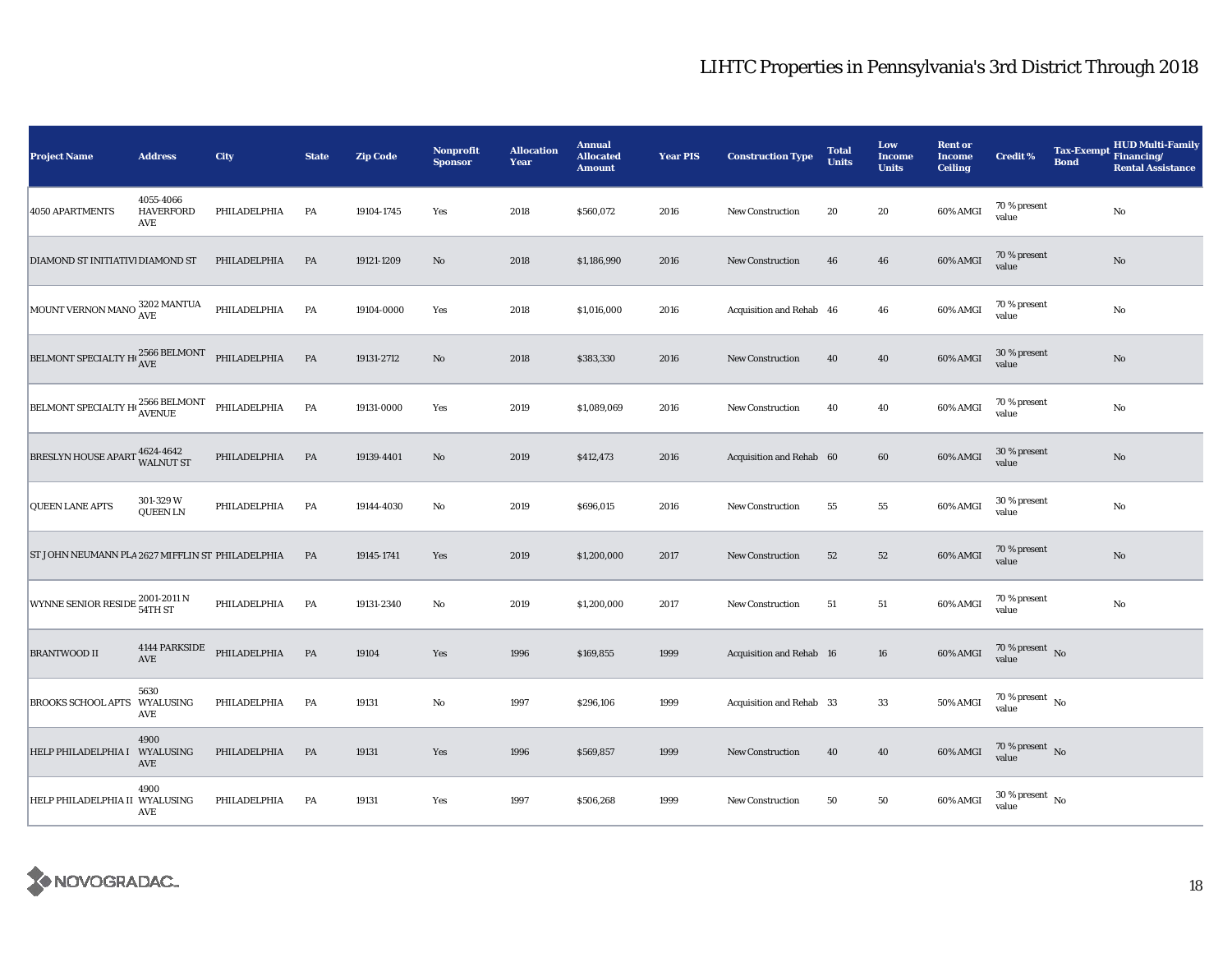| <b>Project Name</b>                                          | <b>Address</b>                        | <b>City</b>  | <b>State</b> | <b>Zip Code</b> | Nonprofit<br><b>Sponsor</b> | <b>Allocation</b><br>Year | <b>Annual</b><br><b>Allocated</b><br><b>Amount</b> | <b>Year PIS</b> | <b>Construction Type</b>        | <b>Total</b><br><b>Units</b> | Low<br><b>Income</b><br><b>Units</b> | <b>Rent or</b><br><b>Income</b><br><b>Ceiling</b> | <b>Credit %</b>                      | <b>Bond</b> | <b>HUD Multi-Family</b><br>Tax-Exempt Financing/<br><b>Rental Assistance</b> |
|--------------------------------------------------------------|---------------------------------------|--------------|--------------|-----------------|-----------------------------|---------------------------|----------------------------------------------------|-----------------|---------------------------------|------------------------------|--------------------------------------|---------------------------------------------------|--------------------------------------|-------------|------------------------------------------------------------------------------|
| 4050 APARTMENTS                                              | 4055-4066<br><b>HAVERFORD</b><br>AVE  | PHILADELPHIA | PA           | 19104-1745      | Yes                         | 2018                      | \$560,072                                          | 2016            | <b>New Construction</b>         | 20                           | 20                                   | 60% AMGI                                          | 70 % present<br>value                |             | No                                                                           |
| DIAMOND ST INITIATIVI DIAMOND ST                             |                                       | PHILADELPHIA | PA           | 19121-1209      | $\rm No$                    | 2018                      | \$1,186,990                                        | 2016            | <b>New Construction</b>         | 46                           | 46                                   | 60% AMGI                                          | 70 % present<br>value                |             | No                                                                           |
| MOUNT VERNON MANO 3202 MANTUA                                |                                       | PHILADELPHIA | PA           | 19104-0000      | Yes                         | 2018                      | \$1,016,000                                        | 2016            | Acquisition and Rehab 46        |                              | 46                                   | 60% AMGI                                          | 70 % present<br>value                |             | $\rm No$                                                                     |
| BELMONT SPECIALTY H $^{2566}_{\rm AVE}$ BELMONT PHILADELPHIA |                                       |              | <b>PA</b>    | 19131-2712      | $\mathbf{N}\mathbf{o}$      | 2018                      | \$383,330                                          | 2016            | <b>New Construction</b>         | 40                           | 40                                   | 60% AMGI                                          | 30 % present<br>value                |             | No                                                                           |
| BELMONT SPECIALTY H <sub>1</sub> 2566 BELMONT                |                                       | PHILADELPHIA | PA           | 19131-0000      | Yes                         | 2019                      | \$1,089,069                                        | 2016            | <b>New Construction</b>         | 40                           | 40                                   | 60% AMGI                                          | 70 % present<br>value                |             | No                                                                           |
| BRESLYN HOUSE APART 4624-4642                                |                                       | PHILADELPHIA | PA           | 19139-4401      | No                          | 2019                      | \$412,473                                          | 2016            | Acquisition and Rehab 60        |                              | 60                                   | 60% AMGI                                          | 30 % present<br>value                |             | No                                                                           |
| <b>QUEEN LANE APTS</b>                                       | 301-329 W<br><b>QUEEN LN</b>          | PHILADELPHIA | PA           | 19144-4030      | No                          | 2019                      | \$696,015                                          | 2016            | <b>New Construction</b>         | 55                           | 55                                   | 60% AMGI                                          | 30 % present<br>value                |             | No                                                                           |
| ST JOHN NEUMANN PLA 2627 MIFFLIN ST PHILADELPHIA             |                                       |              | PA           | 19145-1741      | Yes                         | 2019                      | \$1,200,000                                        | 2017            | <b>New Construction</b>         | 52                           | 52                                   | 60% AMGI                                          | 70 % present<br>value                |             | $\mathbf{No}$                                                                |
| WYNNE SENIOR RESIDE 2001-2011 N                              |                                       | PHILADELPHIA | PA           | 19131-2340      | $\mathbf{No}$               | 2019                      | \$1,200,000                                        | 2017            | <b>New Construction</b>         | 51                           | 51                                   | 60% AMGI                                          | 70 % present<br>value                |             | No                                                                           |
| <b>BRANTWOOD II</b>                                          | 4144 PARKSIDE<br>$\operatorname{AVE}$ | PHILADELPHIA | PA           | 19104           | Yes                         | 1996                      | \$169,855                                          | 1999            | <b>Acquisition and Rehab 16</b> |                              | 16                                   | 60% AMGI                                          | 70 % present $\,$ No $\,$<br>value   |             |                                                                              |
| BROOKS SCHOOL APTS WYALUSING                                 | 5630<br>AVE                           | PHILADELPHIA | PA           | 19131           | No                          | 1997                      | \$296,106                                          | 1999            | Acquisition and Rehab 33        |                              | 33                                   | 50% AMGI                                          | 70 % present $\hbox{~No}$<br>value   |             |                                                                              |
| HELP PHILADELPHIA I WYALUSING                                | 4900<br>AVE                           | PHILADELPHIA | <b>PA</b>    | 19131           | Yes                         | 1996                      | \$569,857                                          | 1999            | <b>New Construction</b>         | 40                           | 40                                   | 60% AMGI                                          | 70 % present $\,$ No $\,$<br>value   |             |                                                                              |
| HELP PHILADELPHIA II WYALUSING                               | 4900<br>AVE                           | PHILADELPHIA | PA           | 19131           | Yes                         | 1997                      | \$506,268                                          | 1999            | <b>New Construction</b>         | 50                           | 50                                   | 60% AMGI                                          | $30$ % present $\,$ No $\,$<br>value |             |                                                                              |

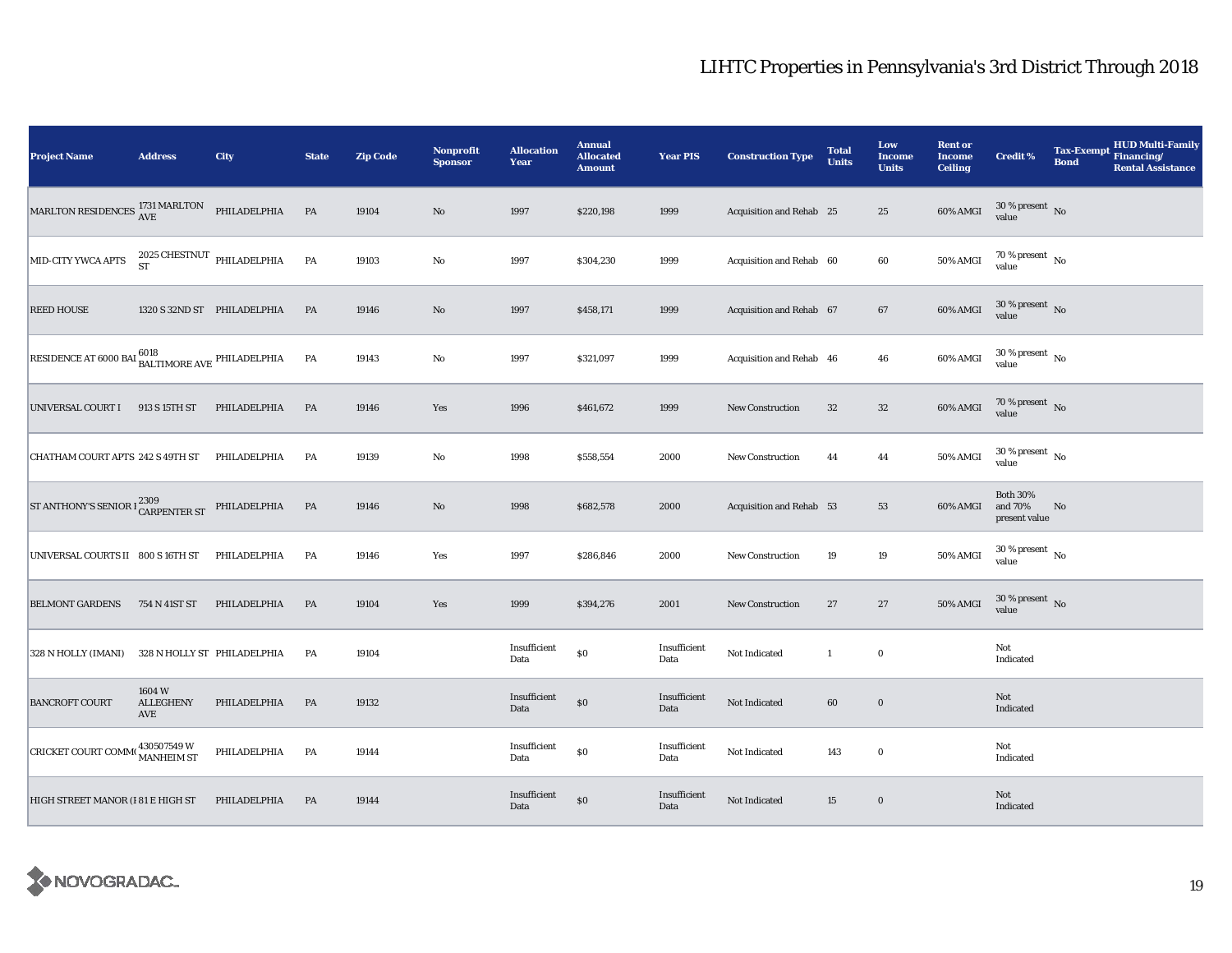| <b>Project Name</b>                                                                                                | <b>Address</b>                                 | City                        | <b>State</b>  | <b>Zip Code</b> | <b>Nonprofit</b><br><b>Sponsor</b> | <b>Allocation</b><br>Year | <b>Annual</b><br><b>Allocated</b><br><b>Amount</b> | <b>Year PIS</b>      | <b>Construction Type</b> | <b>Total</b><br><b>Units</b> | Low<br>Income<br><b>Units</b> | <b>Rent or</b><br><b>Income</b><br><b>Ceiling</b> | <b>Credit %</b>                             | <b>Tax-Exempt</b><br><b>Bond</b> | HUD Multi-Family<br>Financing/<br><b>Rental Assistance</b> |
|--------------------------------------------------------------------------------------------------------------------|------------------------------------------------|-----------------------------|---------------|-----------------|------------------------------------|---------------------------|----------------------------------------------------|----------------------|--------------------------|------------------------------|-------------------------------|---------------------------------------------------|---------------------------------------------|----------------------------------|------------------------------------------------------------|
| $\begin{tabular}{ll} \textbf{MARLTON RESIDENCES} & \textbf{1731 MARLTON} & \textbf{PHILADELPHIA} \\ \end{tabular}$ |                                                |                             | PA            | 19104           | No                                 | 1997                      | \$220,198                                          | 1999                 | Acquisition and Rehab 25 |                              | $\bf 25$                      | 60% AMGI                                          | $30$ % present $\,$ No $\,$<br>value        |                                  |                                                            |
| MID-CITY YWCA APTS                                                                                                 | $2025\,{\rm CHESTNUT}$ PHILADELPHIA ${\rm ST}$ |                             | $\mathbf{PA}$ | 19103           | $\rm No$                           | 1997                      | \$304,230                                          | 1999                 | Acquisition and Rehab 60 |                              | 60                            | 50% AMGI                                          | $70$ % present $\,$ No $\,$<br>value        |                                  |                                                            |
| <b>REED HOUSE</b>                                                                                                  |                                                | 1320 S 32ND ST PHILADELPHIA | PA            | 19146           | No                                 | 1997                      | \$458,171                                          | 1999                 | Acquisition and Rehab 67 |                              | 67                            | 60% AMGI                                          | $30\,\%$ present $\,$ No value              |                                  |                                                            |
| RESIDENCE AT 6000 BAI $^{6018}_{\rm BALTIMORE\,AVE}$ PHILADELPHIA                                                  |                                                |                             | PA            | 19143           | $\rm No$                           | 1997                      | \$321,097                                          | 1999                 | Acquisition and Rehab 46 |                              | 46                            | 60% AMGI                                          | $30\,\%$ present $\,$ No $\,$<br>value      |                                  |                                                            |
| UNIVERSAL COURT I 913 S 15TH ST                                                                                    |                                                | PHILADELPHIA                | PA            | 19146           | Yes                                | 1996                      | \$461,672                                          | 1999                 | New Construction         | 32                           | $32\,$                        | 60% AMGI                                          | $70\,\%$ present $${\rm No}$$ value         |                                  |                                                            |
| CHATHAM COURT APTS 242 S 49TH ST PHILADELPHIA                                                                      |                                                |                             | PA            | 19139           | No                                 | 1998                      | \$558,554                                          | 2000                 | New Construction         | 44                           | 44                            | 50% AMGI                                          | $30\,\%$ present $\,$ No $\,$<br>value      |                                  |                                                            |
| ST ANTHONY'S SENIOR I <sup>2309</sup> CARPENTER ST                                                                 |                                                | PHILADELPHIA                | <b>PA</b>     | 19146           | No                                 | 1998                      | \$682,578                                          | 2000                 | Acquisition and Rehab 53 |                              | 53                            | 60% AMGI                                          | <b>Both 30%</b><br>and 70%<br>present value | No                               |                                                            |
| UNIVERSAL COURTS II 800 S 16TH ST                                                                                  |                                                | PHILADELPHIA                | PA            | 19146           | Yes                                | 1997                      | \$286,846                                          | 2000                 | New Construction         | 19                           | $19\,$                        | 50% AMGI                                          | $30$ % present $\,$ No $\,$<br>value        |                                  |                                                            |
| <b>BELMONT GARDENS</b>                                                                                             | 754 N 41ST ST                                  | PHILADELPHIA                | PA            | 19104           | Yes                                | 1999                      | \$394,276                                          | 2001                 | New Construction         | 27                           | $27\,$                        | 50% AMGI                                          | $30\,\%$ present $\,$ No value              |                                  |                                                            |
| 328 N HOLLY (IMANI)                                                                                                | 328 N HOLLY ST PHILADELPHIA                    |                             | PA            | 19104           |                                    | Insufficient<br>Data      | $\$0$                                              | Insufficient<br>Data | Not Indicated            | 1                            | $\bf{0}$                      |                                                   | Not<br>Indicated                            |                                  |                                                            |
| <b>BANCROFT COURT</b>                                                                                              | 1604W<br><b>ALLEGHENY</b><br>AVE               | PHILADELPHIA                | PA            | 19132           |                                    | Insufficient<br>Data      | $\$0$                                              | Insufficient<br>Data | Not Indicated            | 60                           | $\bf{0}$                      |                                                   | Not<br>Indicated                            |                                  |                                                            |
| CRICKET COURT COMM <sup>430507549</sup> W                                                                          |                                                | PHILADELPHIA                | PA            | 19144           |                                    | Insufficient<br>Data      | $\$0$                                              | Insufficient<br>Data | Not Indicated            | 143                          | $\bf{0}$                      |                                                   | Not<br>Indicated                            |                                  |                                                            |
| HIGH STREET MANOR (I 81 E HIGH ST                                                                                  |                                                | PHILADELPHIA                | PA            | 19144           |                                    | Insufficient<br>Data      | $\$0$                                              | Insufficient<br>Data | Not Indicated            | 15                           | $\bf{0}$                      |                                                   | Not<br>Indicated                            |                                  |                                                            |

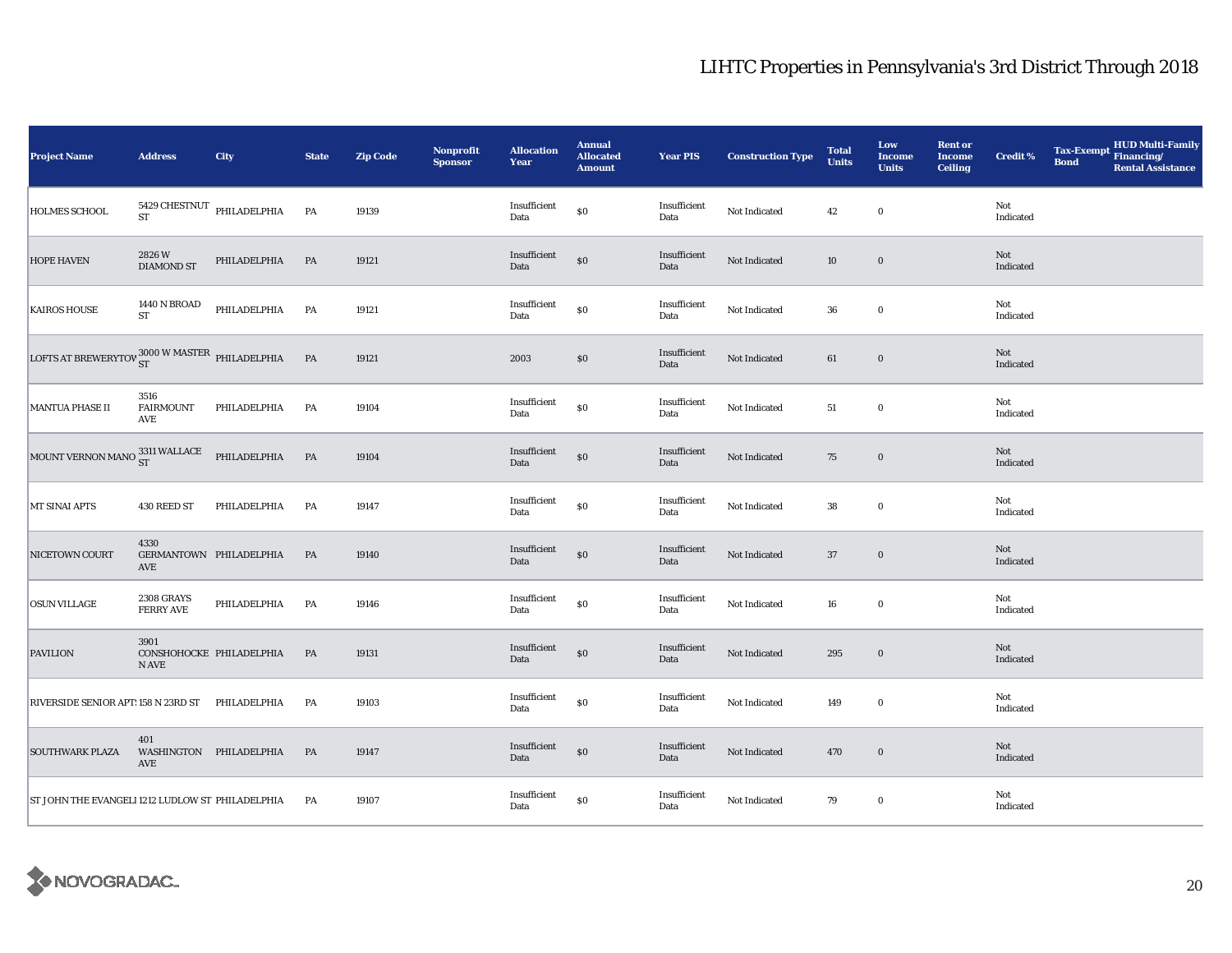| Project Name                                                        | <b>Address</b>                        | City                                   | <b>State</b> | <b>Zip Code</b> | Nonprofit<br><b>Sponsor</b> | <b>Allocation</b><br>Year             | <b>Annual</b><br><b>Allocated</b><br><b>Amount</b> | <b>Year PIS</b>      | <b>Construction Type</b> | <b>Total</b><br><b>Units</b> | Low<br><b>Income</b><br><b>Units</b> | <b>Rent or</b><br><b>Income</b><br><b>Ceiling</b> | Credit %         | <b>Bond</b> | Tax-Exempt HUD Multi-Family<br><b>Rental Assistance</b> |
|---------------------------------------------------------------------|---------------------------------------|----------------------------------------|--------------|-----------------|-----------------------------|---------------------------------------|----------------------------------------------------|----------------------|--------------------------|------------------------------|--------------------------------------|---------------------------------------------------|------------------|-------------|---------------------------------------------------------|
| <b>HOLMES SCHOOL</b>                                                | <b>ST</b>                             | $5429 \, \mbox{CHESTNUT}$ PHILADELPHIA | <b>PA</b>    | 19139           |                             | Insufficient<br>Data                  | $\$0$                                              | Insufficient<br>Data | Not Indicated            | 42                           | $\bf{0}$                             |                                                   | Not<br>Indicated |             |                                                         |
| <b>HOPE HAVEN</b>                                                   | $2826\,\mathrm{W}$ DIAMOND ST         | PHILADELPHIA                           | <b>PA</b>    | 19121           |                             | Insufficient<br>Data                  | \$0                                                | Insufficient<br>Data | Not Indicated            | 10                           | $\mathbf 0$                          |                                                   | Not<br>Indicated |             |                                                         |
| <b>KAIROS HOUSE</b>                                                 | <b>1440 N BROAD</b><br><b>ST</b>      | PHILADELPHIA                           | PA           | 19121           |                             | Insufficient<br>Data                  | $\$0$                                              | Insufficient<br>Data | Not Indicated            | 36                           | $\bf{0}$                             |                                                   | Not<br>Indicated |             |                                                         |
| LOFTS AT BREWERYTOV $_{ST}^{3000 \text{ W MASTER}}$ PHILADELPHIA PA |                                       |                                        |              | 19121           |                             | 2003                                  | \$0                                                | Insufficient<br>Data | Not Indicated            | 61                           | $\mathbf 0$                          |                                                   | Not<br>Indicated |             |                                                         |
| <b>MANTUA PHASE II</b>                                              | 3516<br><b>FAIRMOUNT</b><br>AVE       | PHILADELPHIA                           | PA           | 19104           |                             | $\operatorname{Insufficient}$<br>Data | $\$0$                                              | Insufficient<br>Data | Not Indicated            | 51                           | $\bf{0}$                             |                                                   | Not<br>Indicated |             |                                                         |
| MOUNT VERNON MANO $^{3311}_{ST}$ WALLACE PHILADELPHIA               |                                       |                                        | PA           | 19104           |                             | Insufficient<br>Data                  | $\$0$                                              | Insufficient<br>Data | Not Indicated            | 75                           | $\mathbf 0$                          |                                                   | Not<br>Indicated |             |                                                         |
| MT SINAI APTS                                                       | 430 REED ST                           | PHILADELPHIA                           | PA           | 19147           |                             | Insufficient<br>Data                  | $\$0$                                              | Insufficient<br>Data | Not Indicated            | 38                           | $\mathbf 0$                          |                                                   | Not<br>Indicated |             |                                                         |
| NICETOWN COURT                                                      | 4330<br>AVE                           | GERMANTOWN PHILADELPHIA                | PA           | 19140           |                             | Insufficient<br>Data                  | $\$0$                                              | Insufficient<br>Data | Not Indicated            | $37\,$                       | $\mathbf 0$                          |                                                   | Not<br>Indicated |             |                                                         |
| <b>OSUN VILLAGE</b>                                                 | <b>2308 GRAYS</b><br><b>FERRY AVE</b> | PHILADELPHIA                           | PA           | 19146           |                             | Insufficient<br>Data                  | $\$0$                                              | Insufficient<br>Data | Not Indicated            | 16                           | $\mathbf 0$                          |                                                   | Not<br>Indicated |             |                                                         |
| <b>PAVILION</b>                                                     | 3901<br>N AVE                         | CONSHOHOCKE PHILADELPHIA               | PA           | 19131           |                             | Insufficient<br>Data                  | $\$0$                                              | Insufficient<br>Data | Not Indicated            | 295                          | $\bf{0}$                             |                                                   | Not<br>Indicated |             |                                                         |
| RIVERSIDE SENIOR APT. 158 N 23RD ST                                 |                                       | PHILADELPHIA                           | PA           | 19103           |                             | Insufficient<br>Data                  | $\$0$                                              | Insufficient<br>Data | Not Indicated            | 149                          | $\bf{0}$                             |                                                   | Not<br>Indicated |             |                                                         |
| <b>SOUTHWARK PLAZA</b>                                              | 401<br>AVE                            | WASHINGTON PHILADELPHIA                | PA           | 19147           |                             | Insufficient<br>Data                  | $\$0$                                              | Insufficient<br>Data | Not Indicated            | 470                          | $\mathbf 0$                          |                                                   | Not<br>Indicated |             |                                                         |
| ST JOHN THE EVANGELI 1212 LUDLOW ST PHILADELPHIA                    |                                       |                                        | PA           | 19107           |                             | Insufficient<br>Data                  | $\$0$                                              | Insufficient<br>Data | Not Indicated            | 79                           | $\mathbf 0$                          |                                                   | Not<br>Indicated |             |                                                         |

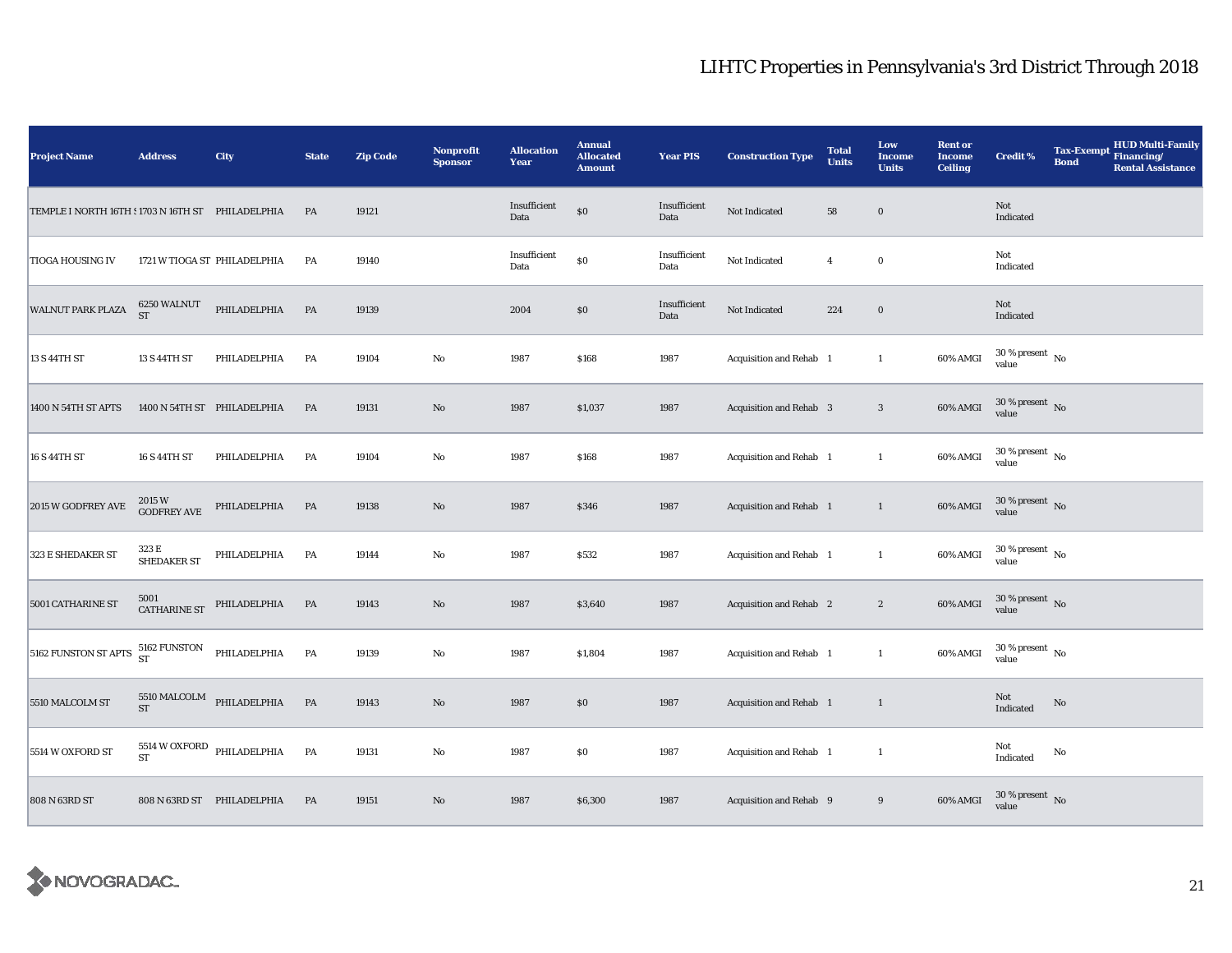| <b>Project Name</b>                                         | <b>Address</b>              | City                                       | <b>State</b> | <b>Zip Code</b> | Nonprofit<br><b>Sponsor</b> | <b>Allocation</b><br>Year | <b>Annual</b><br><b>Allocated</b><br><b>Amount</b> | <b>Year PIS</b>      | <b>Construction Type</b>       | <b>Total</b><br><b>Units</b> | Low<br><b>Income</b><br><b>Units</b> | <b>Rent or</b><br><b>Income</b><br><b>Ceiling</b> | <b>Credit %</b>                | <b>Tax-Exempt</b><br><b>Bond</b> | HUD Multi-Family<br>Financing/<br><b>Rental Assistance</b> |
|-------------------------------------------------------------|-----------------------------|--------------------------------------------|--------------|-----------------|-----------------------------|---------------------------|----------------------------------------------------|----------------------|--------------------------------|------------------------------|--------------------------------------|---------------------------------------------------|--------------------------------|----------------------------------|------------------------------------------------------------|
| TEMPLE I NORTH 16TH ! 1703 N 16TH ST PHILADELPHIA           |                             |                                            | PA           | 19121           |                             | Insufficient<br>Data      | $\$0$                                              | Insufficient<br>Data | Not Indicated                  | 58                           | $\bf{0}$                             |                                                   | Not<br>Indicated               |                                  |                                                            |
| <b>TIOGA HOUSING IV</b>                                     |                             | 1721 W TIOGA ST PHILADELPHIA               | PA           | 19140           |                             | Insufficient<br>Data      | $\$0$                                              | Insufficient<br>Data | Not Indicated                  | $\overline{4}$               | $\bf{0}$                             |                                                   | Not<br>Indicated               |                                  |                                                            |
| <b>WALNUT PARK PLAZA</b>                                    | $6250\,{\rm WALNUT}$ ST     | PHILADELPHIA                               | PA           | 19139           |                             | 2004                      | $\$0$                                              | Insufficient<br>Data | Not Indicated                  | 224                          | $\boldsymbol{0}$                     |                                                   | Not<br>Indicated               |                                  |                                                            |
| 13 S 44TH ST                                                | 13 S 44TH ST                | PHILADELPHIA                               | PA           | 19104           | No                          | 1987                      | \$168                                              | 1987                 | Acquisition and Rehab 1        |                              | $\mathbf{1}$                         | 60% AMGI                                          | $30\,\%$ present $\,$ No value |                                  |                                                            |
| 1400 N 54TH ST APTS                                         |                             | 1400 N 54TH ST PHILADELPHIA                | PA           | 19131           | $\rm No$                    | 1987                      | \$1,037                                            | 1987                 | <b>Acquisition and Rehab 3</b> |                              | $\mathbf{3}$                         | 60% AMGI                                          | $30\,\%$ present $\,$ No value |                                  |                                                            |
| 16 S 44TH ST                                                | 16 S 44TH ST                | PHILADELPHIA                               | PA           | 19104           | $\mathbf{No}$               | 1987                      | \$168                                              | 1987                 | Acquisition and Rehab 1        |                              | $\mathbf{1}$                         | 60% AMGI                                          | $30\,\%$ present $\,$ No value |                                  |                                                            |
| 2015 W GODFREY AVE                                          | 2015 W<br>GODFREY AVE       | PHILADELPHIA                               | <b>PA</b>    | 19138           | $\rm No$                    | 1987                      | \$346                                              | 1987                 | Acquisition and Rehab 1        |                              | $\mathbf{1}$                         | 60% AMGI                                          | $30\,\%$ present $\,$ No value |                                  |                                                            |
| 323 E SHEDAKER ST                                           | 323 E<br><b>SHEDAKER ST</b> | PHILADELPHIA                               | PA           | 19144           | $\rm No$                    | 1987                      | \$532                                              | 1987                 | Acquisition and Rehab 1        |                              | $\mathbf{1}$                         | 60% AMGI                                          | $30\,\%$ present $\,$ No value |                                  |                                                            |
| 5001 CATHARINE ST                                           | 5001<br>CATHARINE ST        | PHILADELPHIA PA                            |              | 19143           | $\rm No$                    | 1987                      | \$3,640                                            | 1987                 | Acquisition and Rehab 2        |                              | $\boldsymbol{2}$                     | 60% AMGI                                          | $30\,\%$ present $\,$ No value |                                  |                                                            |
| 5162 FUNSTON ST APTS $\frac{5162}{ST}$ FUNSTON PHILADELPHIA |                             |                                            | PA           | 19139           | $\rm No$                    | 1987                      | \$1,804                                            | 1987                 | Acquisition and Rehab 1        |                              | $\mathbf{1}$                         | 60% AMGI                                          | $30\,\%$ present $\,$ No value |                                  |                                                            |
| 5510 MALCOLM ST                                             | <b>ST</b>                   | $5510\,\mathrm{MALCOLM}\quad$ PHILADELPHIA | <b>PA</b>    | 19143           | $\rm No$                    | 1987                      | $\$0$                                              | 1987                 | Acquisition and Rehab 1        |                              | $\mathbf{1}$                         |                                                   | Not<br>Indicated               | No                               |                                                            |
| 5514 W OXFORD ST                                            |                             | $5514\text{ W OXFORD}$ PHILADELPHIA ST     | PA           | 19131           | $\mathbf{No}$               | 1987                      | \$0                                                | 1987                 | Acquisition and Rehab 1        |                              | $\mathbf{1}$                         |                                                   | Not<br>Indicated               | No                               |                                                            |
| 808 N 63RD ST                                               |                             | 808 N 63RD ST PHILADELPHIA                 | <b>PA</b>    | 19151           | No                          | 1987                      | \$6,300                                            | 1987                 | Acquisition and Rehab 9        |                              | 9                                    | 60% AMGI                                          | $30\,\%$ present $\,$ No value |                                  |                                                            |

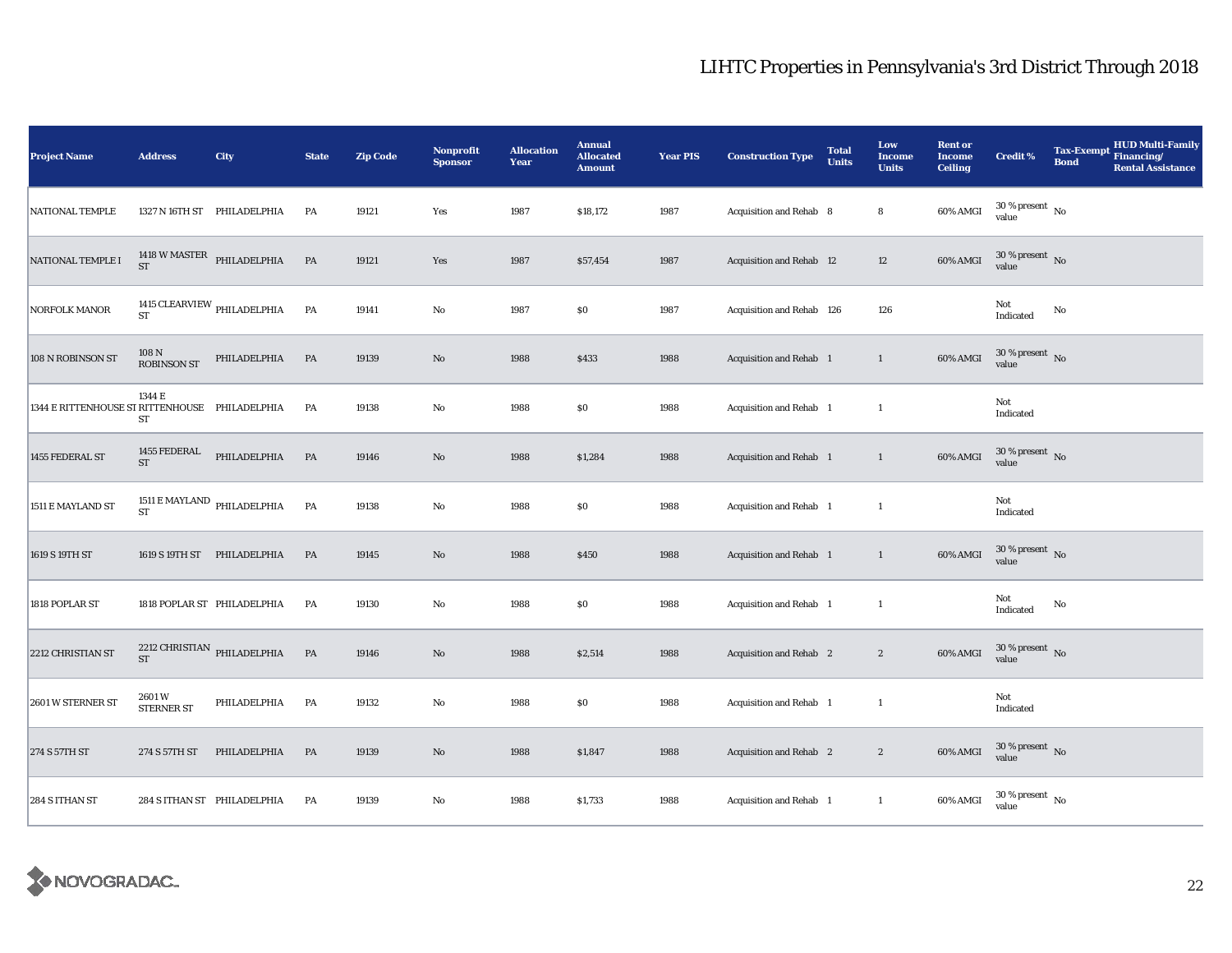| <b>Project Name</b>                            | <b>Address</b>                      | City                                 | <b>State</b> | <b>Zip Code</b> | <b>Nonprofit</b><br><b>Sponsor</b> | <b>Allocation</b><br>Year | <b>Annual</b><br><b>Allocated</b><br><b>Amount</b> | <b>Year PIS</b> | <b>Construction Type</b>  | <b>Total</b><br><b>Units</b> | Low<br>Income<br><b>Units</b> | <b>Rent or</b><br><b>Income</b><br><b>Ceiling</b> | <b>Credit %</b>                      | <b>Bond</b> | <b>HUD Multi-Family</b><br>Tax-Exempt Financing/<br><b>Rental Assistance</b> |
|------------------------------------------------|-------------------------------------|--------------------------------------|--------------|-----------------|------------------------------------|---------------------------|----------------------------------------------------|-----------------|---------------------------|------------------------------|-------------------------------|---------------------------------------------------|--------------------------------------|-------------|------------------------------------------------------------------------------|
| NATIONAL TEMPLE                                |                                     | 1327 N 16TH ST PHILADELPHIA          | PA           | 19121           | Yes                                | 1987                      | \$18,172                                           | 1987            | Acquisition and Rehab 8   |                              | 8                             | 60% AMGI                                          | $30$ % present $\,$ No $\,$<br>value |             |                                                                              |
| NATIONAL TEMPLE I                              |                                     | $1418$ W MASTER $\:$ PHILADELPHIA ST | PA           | 19121           | Yes                                | 1987                      | \$57,454                                           | 1987            | Acquisition and Rehab 12  |                              | 12                            | 60% AMGI                                          | $30$ % present $\,$ No $\,$<br>value |             |                                                                              |
| NORFOLK MANOR                                  | <b>ST</b>                           | 1415 CLEARVIEW PHILADELPHIA          | PA           | 19141           | $\rm No$                           | 1987                      | \$0                                                | 1987            | Acquisition and Rehab 126 |                              | 126                           |                                                   | Not<br>Indicated                     | No          |                                                                              |
| 108 N ROBINSON ST                              | 108 N<br><b>ROBINSON ST</b>         | PHILADELPHIA                         | PA           | 19139           | $\rm No$                           | 1988                      | \$433                                              | 1988            | Acquisition and Rehab 1   |                              | $\mathbf{1}$                  | 60% AMGI                                          | $30$ % present $\,$ No value         |             |                                                                              |
| 1344 E RITTENHOUSE ST RITTENHOUSE PHILADELPHIA | 1344 E<br>ST                        |                                      | PA           | 19138           | $\rm No$                           | 1988                      | $\$0$                                              | 1988            | Acquisition and Rehab 1   |                              | $\mathbf{1}$                  |                                                   | Not<br>Indicated                     |             |                                                                              |
| 1455 FEDERAL ST                                | 1455 FEDERAL<br>$\operatorname{ST}$ | $\pmb{\text{PHILADELPHIA}}$          | PA           | 19146           | $\rm No$                           | 1988                      | \$1,284                                            | 1988            | Acquisition and Rehab 1   |                              | $\mathbf{1}$                  | 60% AMGI                                          | $30\,\%$ present $\,$ No value       |             |                                                                              |
| 1511 E MAYLAND ST                              | <b>ST</b>                           | 1511 ${\rm E\,MAYLAND}$ PHILADELPHIA | PA           | 19138           | $\rm No$                           | 1988                      | \$0                                                | 1988            | Acquisition and Rehab 1   |                              | $\mathbf{1}$                  |                                                   | Not<br>Indicated                     |             |                                                                              |
| 1619 S 19TH ST                                 |                                     | 1619 S 19TH ST PHILADELPHIA          | PA           | 19145           | $\rm\thinspace No$                 | 1988                      | \$450                                              | 1988            | Acquisition and Rehab 1   |                              | $\mathbf{1}$                  | 60% AMGI                                          | $30\,\%$ present $\,$ No value       |             |                                                                              |
| 1818 POPLAR ST                                 |                                     | 1818 POPLAR ST PHILADELPHIA          | PA           | 19130           | No                                 | 1988                      | \$0                                                | 1988            | Acquisition and Rehab 1   |                              | $\mathbf{1}$                  |                                                   | Not<br>Indicated                     | No          |                                                                              |
| 2212 CHRISTIAN ST                              | $\operatorname{ST}$                 | 2212 CHRISTIAN PHILADELPHIA          | PA           | 19146           | $\rm No$                           | 1988                      | \$2,514                                            | 1988            | Acquisition and Rehab 2   |                              | $\boldsymbol{2}$              | $60\%$ AMGI                                       | $30\,\%$ present $\,$ No value       |             |                                                                              |
| 2601 W STERNER ST                              | 2601W<br><b>STERNER ST</b>          | PHILADELPHIA                         | PA           | 19132           | $\rm No$                           | 1988                      | \$0                                                | 1988            | Acquisition and Rehab 1   |                              | 1                             |                                                   | Not<br>Indicated                     |             |                                                                              |
| 274 S 57TH ST                                  | 274 S 57TH ST                       | PHILADELPHIA                         | PA           | 19139           | $\rm No$                           | 1988                      | \$1,847                                            | 1988            | Acquisition and Rehab 2   |                              | $\boldsymbol{2}$              | 60% AMGI                                          | $30\,\%$ present $\,$ No value       |             |                                                                              |
| 284 S ITHAN ST                                 |                                     | 284 S ITHAN ST PHILADELPHIA          | PA           | 19139           | No                                 | 1988                      | \$1,733                                            | 1988            | Acquisition and Rehab 1   |                              | $\mathbf{1}$                  | 60% AMGI                                          | $30$ % present $\,$ No $\,$<br>value |             |                                                                              |

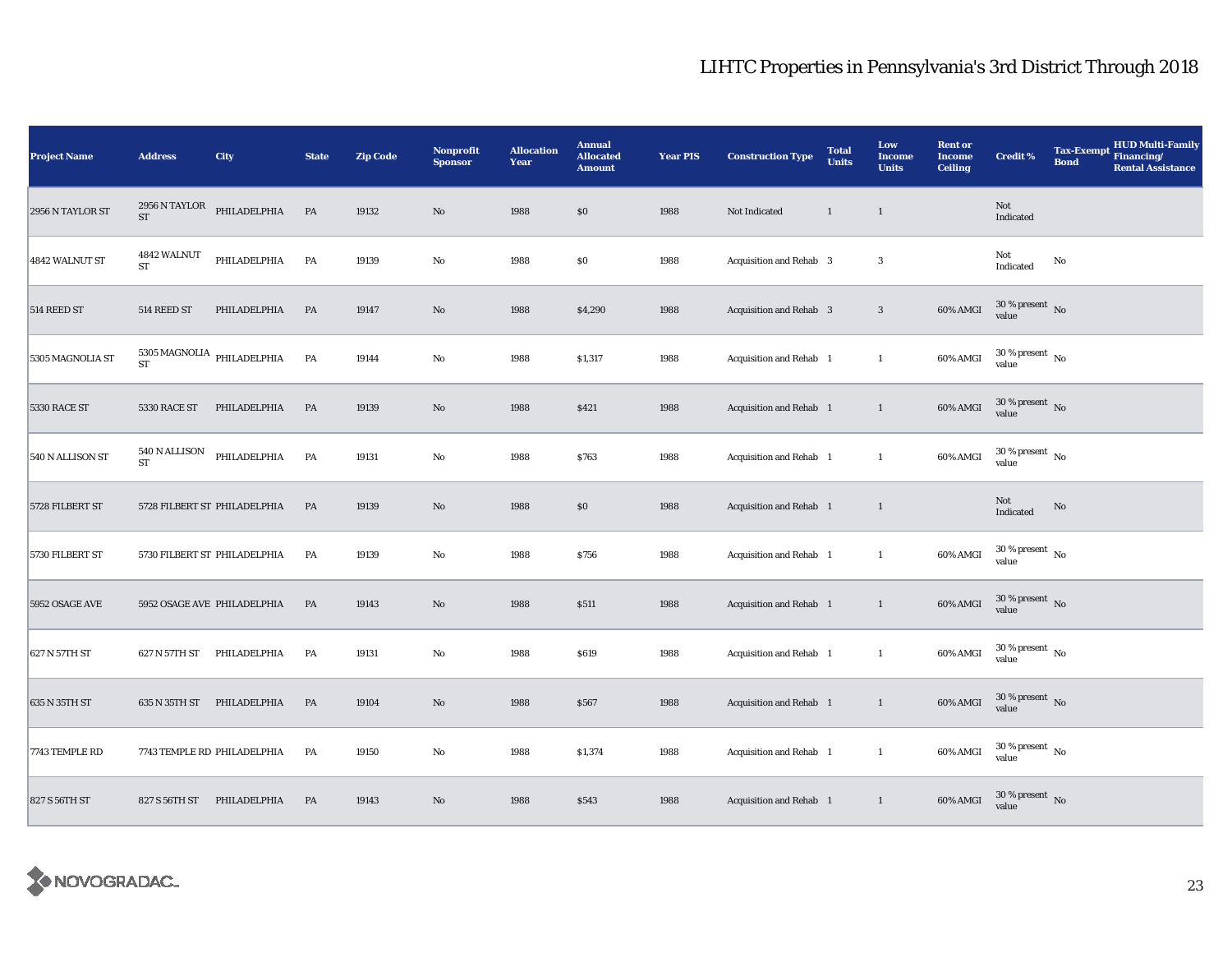| <b>Project Name</b> | <b>Address</b>                       | City                           | <b>State</b> | <b>Zip Code</b> | Nonprofit<br><b>Sponsor</b> | <b>Allocation</b><br>Year | <b>Annual</b><br><b>Allocated</b><br><b>Amount</b> | <b>Year PIS</b> | <b>Construction Type</b> | <b>Total</b><br><b>Units</b> | Low<br><b>Income</b><br><b>Units</b> | <b>Rent or</b><br><b>Income</b><br><b>Ceiling</b> | <b>Credit %</b>                        | <b>Tax-Exempt</b><br><b>Bond</b> | HUD Multi-Family<br>Financing/<br><b>Rental Assistance</b> |
|---------------------|--------------------------------------|--------------------------------|--------------|-----------------|-----------------------------|---------------------------|----------------------------------------------------|-----------------|--------------------------|------------------------------|--------------------------------------|---------------------------------------------------|----------------------------------------|----------------------------------|------------------------------------------------------------|
| 2956 N TAYLOR ST    | 2956 N TAYLOR<br>$\operatorname{ST}$ | PHILADELPHIA                   | <b>PA</b>    | 19132           | $\rm No$                    | 1988                      | \$0                                                | 1988            | Not Indicated            | $\mathbf{1}$                 | $\mathbf{1}$                         |                                                   | Not<br>Indicated                       |                                  |                                                            |
| 4842 WALNUT ST      | 4842 WALNUT<br><b>ST</b>             | PHILADELPHIA                   | PA           | 19139           | $\rm No$                    | 1988                      | $\$0$                                              | 1988            | Acquisition and Rehab 3  |                              | 3                                    |                                                   | Not<br>Indicated                       | No                               |                                                            |
| 514 REED ST         | 514 REED ST                          | PHILADELPHIA                   | PA           | 19147           | $\rm No$                    | 1988                      | \$4,290                                            | 1988            | Acquisition and Rehab 3  |                              | $\sqrt{3}$                           | 60% AMGI                                          | $30\,\%$ present $\,$ No value         |                                  |                                                            |
| 5305 MAGNOLIA ST    | <b>ST</b>                            | 5305 MAGNOLIA PHILADELPHIA $-$ | PA           | 19144           | $\rm No$                    | 1988                      | \$1,317                                            | 1988            | Acquisition and Rehab 1  |                              | $\mathbf{1}$                         | 60% AMGI                                          | $30\,\%$ present $\,$ No $\,$<br>value |                                  |                                                            |
| 5330 RACE ST        | 5330 RACE ST                         | PHILADELPHIA                   | PA           | 19139           | $\rm No$                    | 1988                      | \$421                                              | 1988            | Acquisition and Rehab 1  |                              | $\mathbf{1}$                         | 60% AMGI                                          | $30$ % present $\,$ No $\,$<br>value   |                                  |                                                            |
| 540 N ALLISON ST    | 540 N ALLISON<br>ST                  | PHILADELPHIA                   | PA           | 19131           | $\rm No$                    | 1988                      | \$763                                              | 1988            | Acquisition and Rehab 1  |                              | $\mathbf{1}$                         | 60% AMGI                                          | $30$ % present $\,$ No $\,$<br>value   |                                  |                                                            |
| 5728 FILBERT ST     |                                      | 5728 FILBERT ST PHILADELPHIA   | PA           | 19139           | $\rm\thinspace No$          | 1988                      | \$0                                                | 1988            | Acquisition and Rehab 1  |                              | $\mathbf{1}$                         |                                                   | Not<br>Indicated                       | $\rm No$                         |                                                            |
| 5730 FILBERT ST     |                                      | 5730 FILBERT ST PHILADELPHIA   | PA           | 19139           | $\rm No$                    | 1988                      | \$756                                              | 1988            | Acquisition and Rehab 1  |                              | $\mathbf{1}$                         | 60% AMGI                                          | $30$ % present $\,$ No $\,$<br>value   |                                  |                                                            |
| 5952 OSAGE AVE      |                                      | 5952 OSAGE AVE PHILADELPHIA    | PA           | 19143           | $\rm No$                    | 1988                      | \$511                                              | 1988            | Acquisition and Rehab 1  |                              | $\mathbf{1}$                         | 60% AMGI                                          | $30\,\%$ present $\,$ No $\,$<br>value |                                  |                                                            |
| 627 N 57TH ST       | 627 N 57TH ST                        | PHILADELPHIA                   | PA           | 19131           | $\rm No$                    | 1988                      | \$619                                              | 1988            | Acquisition and Rehab 1  |                              | $\mathbf{1}$                         | 60% AMGI                                          | $30\,\%$ present $\,$ No $\,$<br>value |                                  |                                                            |
| 635 N 35TH ST       | 635 N 35TH ST                        | PHILADELPHIA                   | PA           | 19104           | $\rm No$                    | 1988                      | \$567                                              | 1988            | Acquisition and Rehab 1  |                              | $\mathbf{1}$                         | 60% AMGI                                          | $30$ % present $\,$ No $\,$<br>value   |                                  |                                                            |
| 7743 TEMPLE RD      |                                      | 7743 TEMPLE RD PHILADELPHIA    | PA           | 19150           | $\rm No$                    | 1988                      | \$1,374                                            | 1988            | Acquisition and Rehab 1  |                              | $\mathbf{1}$                         | 60% AMGI                                          | $30\,\%$ present $\,$ No value         |                                  |                                                            |
| 827 S 56TH ST       | 827 S 56TH ST                        | PHILADELPHIA                   | PA           | 19143           | $\rm No$                    | 1988                      | \$543                                              | 1988            | Acquisition and Rehab 1  |                              | $\mathbf{1}$                         | 60% AMGI                                          | $30\,\%$ present $\,$ No value         |                                  |                                                            |

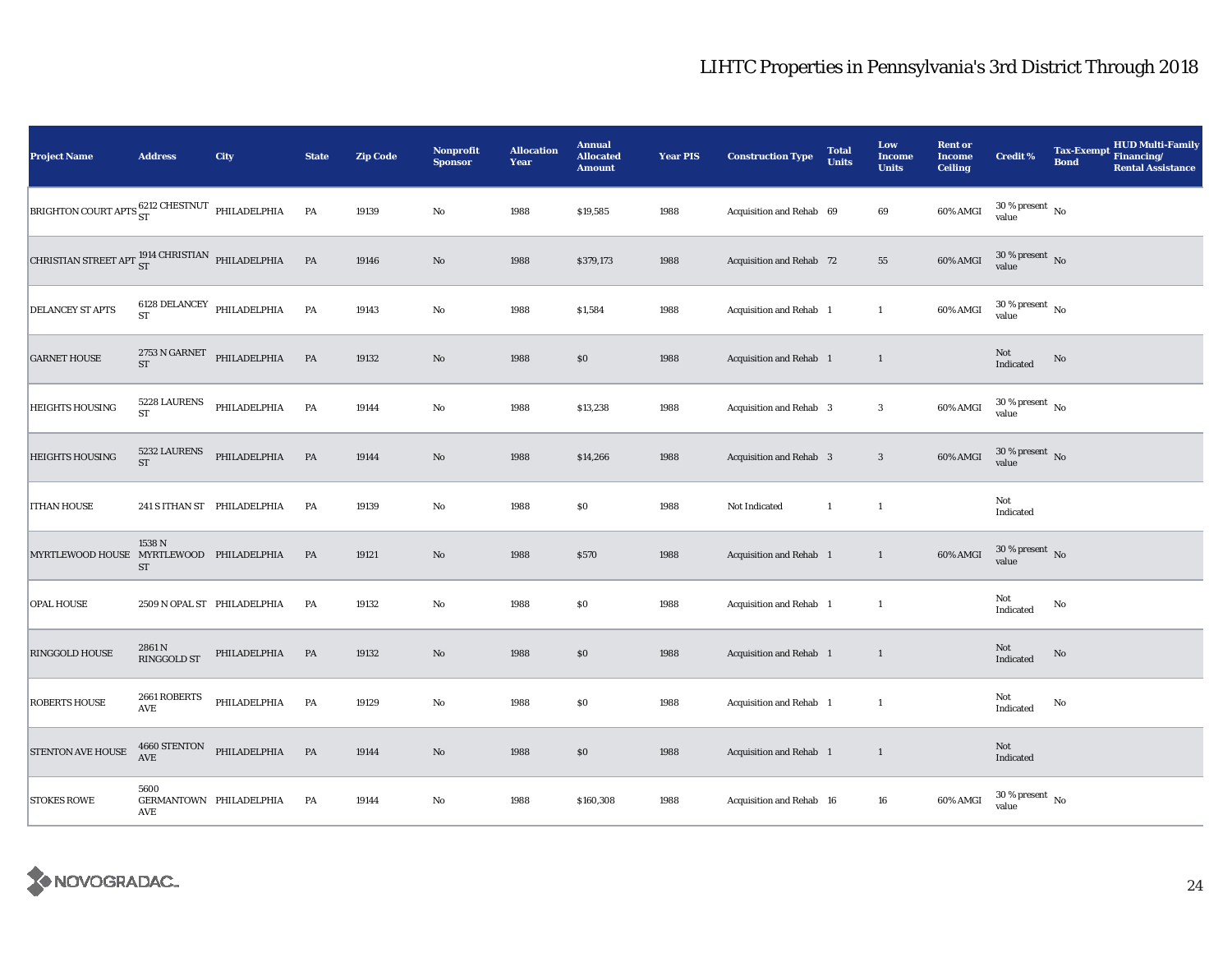| <b>Project Name</b>                                            | <b>Address</b>            | City                                           | <b>State</b> | <b>Zip Code</b> | Nonprofit<br><b>Sponsor</b> | <b>Allocation</b><br>Year | <b>Annual</b><br><b>Allocated</b><br><b>Amount</b> | <b>Year PIS</b> | <b>Construction Type</b>        | <b>Total</b><br><b>Units</b> | Low<br><b>Income</b><br><b>Units</b> | <b>Rent or</b><br><b>Income</b><br><b>Ceiling</b> | <b>Credit %</b>                        | <b>Tax-Exempt</b><br><b>Bond</b> | <b>HUD Multi-Family</b><br>Financing/<br><b>Rental Assistance</b> |
|----------------------------------------------------------------|---------------------------|------------------------------------------------|--------------|-----------------|-----------------------------|---------------------------|----------------------------------------------------|-----------------|---------------------------------|------------------------------|--------------------------------------|---------------------------------------------------|----------------------------------------|----------------------------------|-------------------------------------------------------------------|
| BRIGHTON COURT APTS $^{6212}_{\rm ST}$ CHESTNUT PHILADELPHIA   |                           |                                                | PA           | 19139           | No                          | 1988                      | \$19,585                                           | 1988            | Acquisition and Rehab 69        |                              | 69                                   | 60% AMGI                                          | $30\,\%$ present $\,$ No value         |                                  |                                                                   |
| CHRISTIAN STREET APT $^{1914}_{\rm ST}$ CHRISTIAN PHILADELPHIA |                           |                                                | PA           | 19146           | $\rm No$                    | 1988                      | \$379,173                                          | 1988            | <b>Acquisition and Rehab 72</b> |                              | ${\bf 55}$                           | 60% AMGI                                          | $30\,\%$ present $\,$ No $\,$<br>value |                                  |                                                                   |
| <b>DELANCEY ST APTS</b>                                        |                           | $6128$ DELANCEY $\:$ PHILADELPHIA $\,$ ST $\,$ | PA           | 19143           | $\rm No$                    | 1988                      | \$1,584                                            | 1988            | Acquisition and Rehab 1         |                              | $\mathbf{1}$                         | 60% AMGI                                          | $30\,\%$ present $\,$ No value         |                                  |                                                                   |
| <b>GARNET HOUSE</b>                                            |                           | $2753$ N GARNET PHILADELPHIA ST                | PA           | 19132           | $\rm No$                    | 1988                      | \$0                                                | 1988            | Acquisition and Rehab 1         |                              | $\mathbf{1}$                         |                                                   | Not<br>Indicated                       | $\rm No$                         |                                                                   |
| <b>HEIGHTS HOUSING</b>                                         | 5228 LAURENS<br><b>ST</b> | PHILADELPHIA                                   | PA           | 19144           | $\rm No$                    | 1988                      | \$13,238                                           | 1988            | Acquisition and Rehab 3         |                              | $\mathbf{3}$                         | 60% AMGI                                          | $30\,\%$ present $\,$ No value         |                                  |                                                                   |
| <b>HEIGHTS HOUSING</b>                                         | 5232 LAURENS<br>ST        | PHILADELPHIA                                   | PA           | 19144           | $\mathbf{No}$               | 1988                      | \$14,266                                           | 1988            | Acquisition and Rehab 3         |                              | $\mathbf{3}$                         | 60% AMGI                                          | $30\,\%$ present $\,$ No value         |                                  |                                                                   |
| <b>ITHAN HOUSE</b>                                             |                           | 241 S ITHAN ST PHILADELPHIA                    | PA           | 19139           | $\rm No$                    | 1988                      | \$0                                                | 1988            | Not Indicated                   | $\mathbf{1}$                 | $\mathbf{1}$                         |                                                   | Not<br>Indicated                       |                                  |                                                                   |
| MYRTLEWOOD HOUSE MYRTLEWOOD PHILADELPHIA                       | 1538 N<br><b>ST</b>       |                                                | PA           | 19121           | $\rm No$                    | 1988                      | \$570                                              | 1988            | Acquisition and Rehab 1         |                              | $\mathbf{1}$                         | 60% AMGI                                          | $30\,\%$ present $\,$ No value         |                                  |                                                                   |
| <b>OPAL HOUSE</b>                                              |                           | 2509 N OPAL ST PHILADELPHIA                    | PA           | 19132           | $\rm No$                    | 1988                      | \$0                                                | 1988            | Acquisition and Rehab 1         |                              | $\mathbf{1}$                         |                                                   | Not<br>Indicated                       | No                               |                                                                   |
| <b>RINGGOLD HOUSE</b>                                          | 2861 N<br>RINGGOLD ST     | PHILADELPHIA                                   | <b>PA</b>    | 19132           | $\rm No$                    | 1988                      | \$0                                                | 1988            | Acquisition and Rehab 1         |                              | $\mathbf{1}$                         |                                                   | Not<br>$\operatorname{Indicated}$      | $\rm No$                         |                                                                   |
| <b>ROBERTS HOUSE</b>                                           | 2661 ROBERTS<br>AVE       | PHILADELPHIA                                   | PA           | 19129           | $\rm No$                    | 1988                      | \$0                                                | 1988            | Acquisition and Rehab 1         |                              | $\mathbf{1}$                         |                                                   | Not<br>Indicated                       | $\mathbf{No}$                    |                                                                   |
| STENTON AVE HOUSE                                              | 4660 STENTON<br>AVE       | PHILADELPHIA                                   | PA           | 19144           | $\rm No$                    | 1988                      | \$0                                                | 1988            | Acquisition and Rehab 1         |                              | $\mathbf{1}$                         |                                                   | Not<br>Indicated                       |                                  |                                                                   |
| <b>STOKES ROWE</b>                                             | 5600<br>AVE               | GERMANTOWN PHILADELPHIA                        | PA           | 19144           | No                          | 1988                      | \$160,308                                          | 1988            | Acquisition and Rehab 16        |                              | 16                                   | 60% AMGI                                          | $30\,\%$ present $\,$ No value         |                                  |                                                                   |

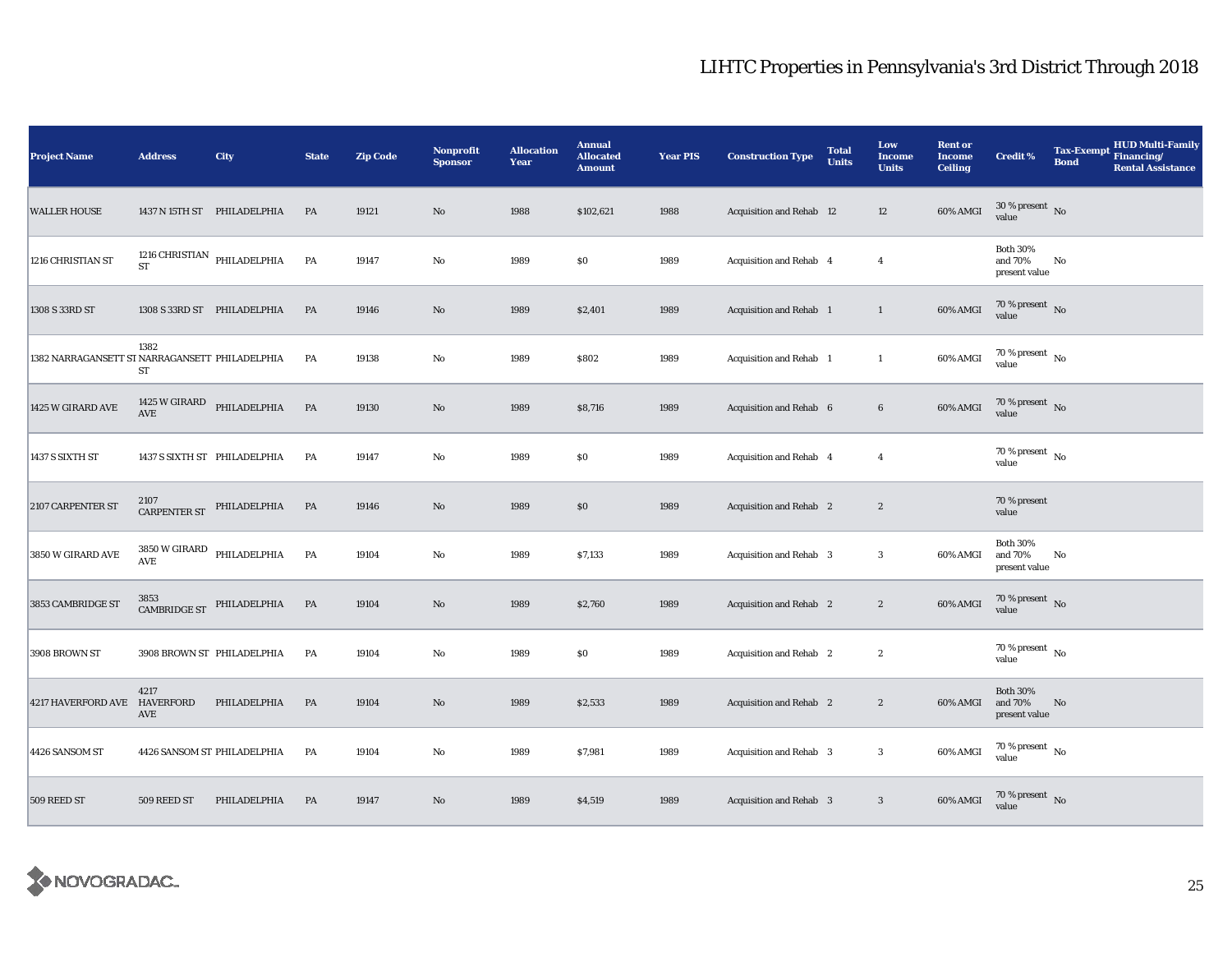| <b>Project Name</b>                            | <b>Address</b>                  | City                                                                                                                                         | <b>State</b> | <b>Zip Code</b> | <b>Nonprofit</b><br><b>Sponsor</b> | <b>Allocation</b><br>Year | <b>Annual</b><br><b>Allocated</b><br><b>Amount</b> | <b>Year PIS</b> | <b>Construction Type</b>       | <b>Total</b><br><b>Units</b> | Low<br><b>Income</b><br><b>Units</b> | <b>Rent or</b><br><b>Income</b><br><b>Ceiling</b> | <b>Credit %</b>                             | <b>Tax-Exempt</b><br><b>Bond</b> | HUD Multi-Family<br>Financing/<br><b>Rental Assistance</b> |
|------------------------------------------------|---------------------------------|----------------------------------------------------------------------------------------------------------------------------------------------|--------------|-----------------|------------------------------------|---------------------------|----------------------------------------------------|-----------------|--------------------------------|------------------------------|--------------------------------------|---------------------------------------------------|---------------------------------------------|----------------------------------|------------------------------------------------------------|
| <b>WALLER HOUSE</b>                            |                                 | 1437 N 15TH ST PHILADELPHIA                                                                                                                  | PA           | 19121           | $\rm\thinspace No$                 | 1988                      | \$102,621                                          | 1988            | Acquisition and Rehab 12       |                              | 12                                   | 60% AMGI                                          | $30$ % present $\,$ No $\,$<br>value        |                                  |                                                            |
| 1216 CHRISTIAN ST                              | <b>ST</b>                       | 1216 CHRISTIAN PHILADELPHIA                                                                                                                  | PA           | 19147           | $\rm No$                           | 1989                      | $\$0$                                              | 1989            | Acquisition and Rehab 4        |                              | $\overline{4}$                       |                                                   | <b>Both 30%</b><br>and 70%<br>present value | No                               |                                                            |
| 1308 S 33RD ST                                 |                                 | 1308 S 33RD ST PHILADELPHIA                                                                                                                  | PA           | 19146           | $\rm No$                           | 1989                      | \$2,401                                            | 1989            | Acquisition and Rehab 1        |                              | $\mathbf{1}$                         | 60% AMGI                                          | $70\,\%$ present $\,$ No value              |                                  |                                                            |
| 1382 NARRAGANSETT ST NARRAGANSETT PHILADELPHIA | 1382<br>ST                      |                                                                                                                                              | PA           | 19138           | No                                 | 1989                      | \$802                                              | 1989            | Acquisition and Rehab 1        |                              | $\mathbf{1}$                         | 60% AMGI                                          | $70\,\%$ present $\,$ No value              |                                  |                                                            |
| 1425 W GIRARD AVE                              | AVE                             | 1425 W GIRARD PHILADELPHIA                                                                                                                   | PA           | 19130           | $\rm No$                           | 1989                      | \$8,716                                            | 1989            | Acquisition and Rehab 6        |                              | $\bf{6}$                             | 60% AMGI                                          | $70\,\%$ present $\,$ No value              |                                  |                                                            |
| 1437 S SIXTH ST                                |                                 | 1437 S SIXTH ST PHILADELPHIA                                                                                                                 | PA           | 19147           | No                                 | 1989                      | \$0                                                | 1989            | Acquisition and Rehab 4        |                              | $\overline{4}$                       |                                                   | $70$ % present $\,$ No $\,$<br>value        |                                  |                                                            |
| 2107 CARPENTER ST                              |                                 | ${\small \begin{array}{ll} \textbf{2107} \\ \textbf{CARPENTER ST} \end{array}} {\small \begin{array}{ll} \textbf{PHILADELPHIA} \end{array}}$ | <b>PA</b>    | 19146           | $\rm No$                           | 1989                      | \$0                                                | 1989            | Acquisition and Rehab 2        |                              | $\sqrt{2}$                           |                                                   | 70 % present<br>value                       |                                  |                                                            |
| 3850 W GIRARD AVE                              | AVE                             | $3850\,\rm{W}$ GIRARD PHILADELPHIA                                                                                                           | PA           | 19104           | No                                 | 1989                      | \$7,133                                            | 1989            | Acquisition and Rehab 3        |                              | $\boldsymbol{3}$                     | 60% AMGI                                          | <b>Both 30%</b><br>and 70%<br>present value | No                               |                                                            |
| 3853 CAMBRIDGE ST                              |                                 | $\begin{tabular}{ll} \bf CAMBRIDGEST & \bf PHILADELPHIA \\ \end{tabular}$                                                                    | PA           | 19104           | $\rm No$                           | 1989                      | \$2,760                                            | 1989            | Acquisition and Rehab 2        |                              | $\boldsymbol{2}$                     | 60% AMGI                                          | $70\,\%$ present $\,$ No value              |                                  |                                                            |
| 3908 BROWN ST                                  |                                 | 3908 BROWN ST PHILADELPHIA                                                                                                                   | PA           | 19104           | $\rm No$                           | 1989                      | \$0                                                | 1989            | <b>Acquisition and Rehab</b> 2 |                              | $\boldsymbol{2}$                     |                                                   | $70$ % present $\,$ No $\,$<br>value        |                                  |                                                            |
| <b>4217 HAVERFORD AVE</b>                      | 4217<br><b>HAVERFORD</b><br>AVE | PHILADELPHIA                                                                                                                                 | PA           | 19104           | No                                 | 1989                      | \$2,533                                            | 1989            | <b>Acquisition and Rehab</b> 2 |                              | $\boldsymbol{2}$                     | 60% AMGI                                          | <b>Both 30%</b><br>and 70%<br>present value | No                               |                                                            |
| 4426 SANSOM ST                                 |                                 | 4426 SANSOM ST PHILADELPHIA                                                                                                                  | PA           | 19104           | No                                 | 1989                      | \$7,981                                            | 1989            | Acquisition and Rehab 3        |                              | $\boldsymbol{3}$                     | 60% AMGI                                          | $70\,\%$ present $\,$ No value              |                                  |                                                            |
| 509 REED ST                                    | 509 REED ST                     | PHILADELPHIA                                                                                                                                 | PA           | 19147           | No                                 | 1989                      | \$4,519                                            | 1989            | Acquisition and Rehab 3        |                              | 3                                    | 60% AMGI                                          | $70\,\%$ present $\,$ No value              |                                  |                                                            |

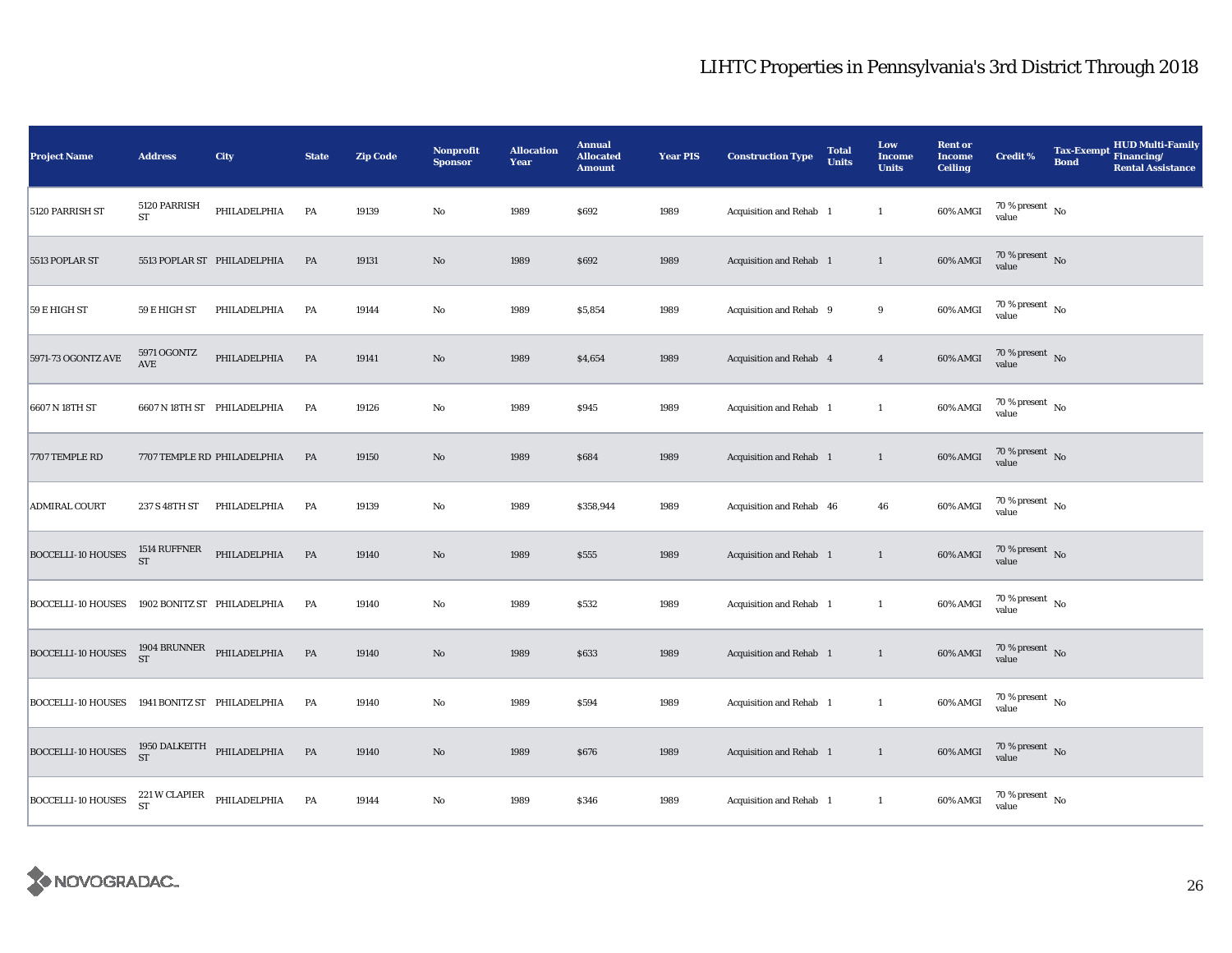| <b>Project Name</b>                                    | <b>Address</b>              | <b>City</b>                   | <b>State</b> | <b>Zip Code</b> | Nonprofit<br><b>Sponsor</b> | <b>Allocation</b><br>Year | <b>Annual</b><br><b>Allocated</b><br><b>Amount</b> | <b>Year PIS</b> | <b>Construction Type</b> | <b>Total</b><br><b>Units</b> | Low<br>Income<br><b>Units</b> | <b>Rent or</b><br><b>Income</b><br><b>Ceiling</b> | <b>Credit %</b>                        | <b>Tax-Exempt</b><br><b>Bond</b> | ${\bf HUD\; Multi-Family}$ ${\bf Financial}$<br><b>Rental Assistance</b> |
|--------------------------------------------------------|-----------------------------|-------------------------------|--------------|-----------------|-----------------------------|---------------------------|----------------------------------------------------|-----------------|--------------------------|------------------------------|-------------------------------|---------------------------------------------------|----------------------------------------|----------------------------------|--------------------------------------------------------------------------|
| 5120 PARRISH ST                                        | 5120 PARRISH<br><b>ST</b>   | PHILADELPHIA                  | PA           | 19139           | $\mathbf{No}$               | 1989                      | \$692                                              | 1989            | Acquisition and Rehab 1  |                              | $\mathbf{1}$                  | 60% AMGI                                          | $70\,\%$ present $\,$ No value         |                                  |                                                                          |
| 5513 POPLAR ST                                         |                             | 5513 POPLAR ST PHILADELPHIA   | PA           | 19131           | $\rm\thinspace No$          | 1989                      | \$692                                              | 1989            | Acquisition and Rehab 1  |                              | $\mathbf{1}$                  | 60% AMGI                                          | $70\,\%$ present $\,$ No value         |                                  |                                                                          |
| 59 E HIGH ST                                           | 59 E HIGH ST                | PHILADELPHIA                  | PA           | 19144           | $\rm No$                    | 1989                      | \$5,854                                            | 1989            | Acquisition and Rehab 9  |                              | $\boldsymbol{9}$              | 60% AMGI                                          | $70\,\%$ present $$$ No value          |                                  |                                                                          |
| 5971-73 OGONTZ AVE                                     | 5971 OGONTZ<br>AVE          | PHILADELPHIA                  | PA           | 19141           | $\rm No$                    | 1989                      | \$4,654                                            | 1989            | Acquisition and Rehab 4  |                              | $\overline{4}$                | 60% AMGI                                          | $70\,\%$ present $\,$ No value         |                                  |                                                                          |
| 6607 N 18TH ST                                         |                             | 6607 N 18TH ST PHILADELPHIA   | PA           | 19126           | $\mathbf{No}$               | 1989                      | \$945                                              | 1989            | Acquisition and Rehab 1  |                              | $\mathbf{1}$                  | 60% AMGI                                          | $70\,\%$ present $\,$ No value         |                                  |                                                                          |
| 7707 TEMPLE RD                                         |                             | 7707 TEMPLE RD PHILADELPHIA   | PA           | 19150           | $\rm No$                    | 1989                      | \$684                                              | 1989            | Acquisition and Rehab 1  |                              | $\mathbf{1}$                  | 60% AMGI                                          | $70\,\%$ present $\,$ No value         |                                  |                                                                          |
| <b>ADMIRAL COURT</b>                                   | 237 S 48TH ST               | PHILADELPHIA                  | PA           | 19139           | $\mathbf{No}$               | 1989                      | \$358,944                                          | 1989            | Acquisition and Rehab 46 |                              | 46                            | 60% AMGI                                          | $70\,\%$ present $\,$ No value         |                                  |                                                                          |
| <b>BOCCELLI-10 HOUSES</b>                              | 1514 RUFFNER<br><b>ST</b>   | PHILADELPHIA                  | <b>PA</b>    | 19140           | $\rm No$                    | 1989                      | \$555                                              | 1989            | Acquisition and Rehab 1  |                              | $\mathbf{1}$                  | 60% AMGI                                          | $70\,\%$ present $_{\rm{No}}$          |                                  |                                                                          |
| BOCCELLI-10 HOUSES 1902 BONITZ ST PHILADELPHIA         |                             |                               | PA           | 19140           | $\rm No$                    | 1989                      | \$532                                              | 1989            | Acquisition and Rehab 1  |                              | $\mathbf{1}$                  | 60% AMGI                                          | $70\,\%$ present $\,$ No value         |                                  |                                                                          |
| BOCCELLI-10 HOUSES $^{1904}_{ST}$ BRUNNER PHILADELPHIA |                             |                               | PA           | 19140           | $\mathbf{No}$               | 1989                      | \$633                                              | 1989            | Acquisition and Rehab 1  |                              | $\mathbf{1}$                  | 60% AMGI                                          | $70\,\%$ present $\,$ No value         |                                  |                                                                          |
| <b>BOCCELLI-10 HOUSES</b>                              | 1941 BONITZ ST PHILADELPHIA |                               | PA           | 19140           | $\rm No$                    | 1989                      | \$594                                              | 1989            | Acquisition and Rehab 1  |                              | $\mathbf{1}$                  | 60% AMGI                                          | $70\,\%$ present $\,$ No $\,$<br>value |                                  |                                                                          |
| <b>BOCCELLI-10 HOUSES</b>                              |                             | 1950 DALKEITH PHILADELPHIA ST | PA           | 19140           | $\rm No$                    | 1989                      | \$676                                              | 1989            | Acquisition and Rehab 1  |                              | $\mathbf{1}$                  | 60% AMGI                                          | $70\,\%$ present $\,$ No value         |                                  |                                                                          |
| <b>BOCCELLI-10 HOUSES</b>                              | 221 W CLAPIER<br><b>ST</b>  | PHILADELPHIA                  | PA           | 19144           | $\mathbf{No}$               | 1989                      | \$346                                              | 1989            | Acquisition and Rehab 1  |                              | $\mathbf{1}$                  | 60% AMGI                                          | $70\,\%$ present $\,$ No value         |                                  |                                                                          |

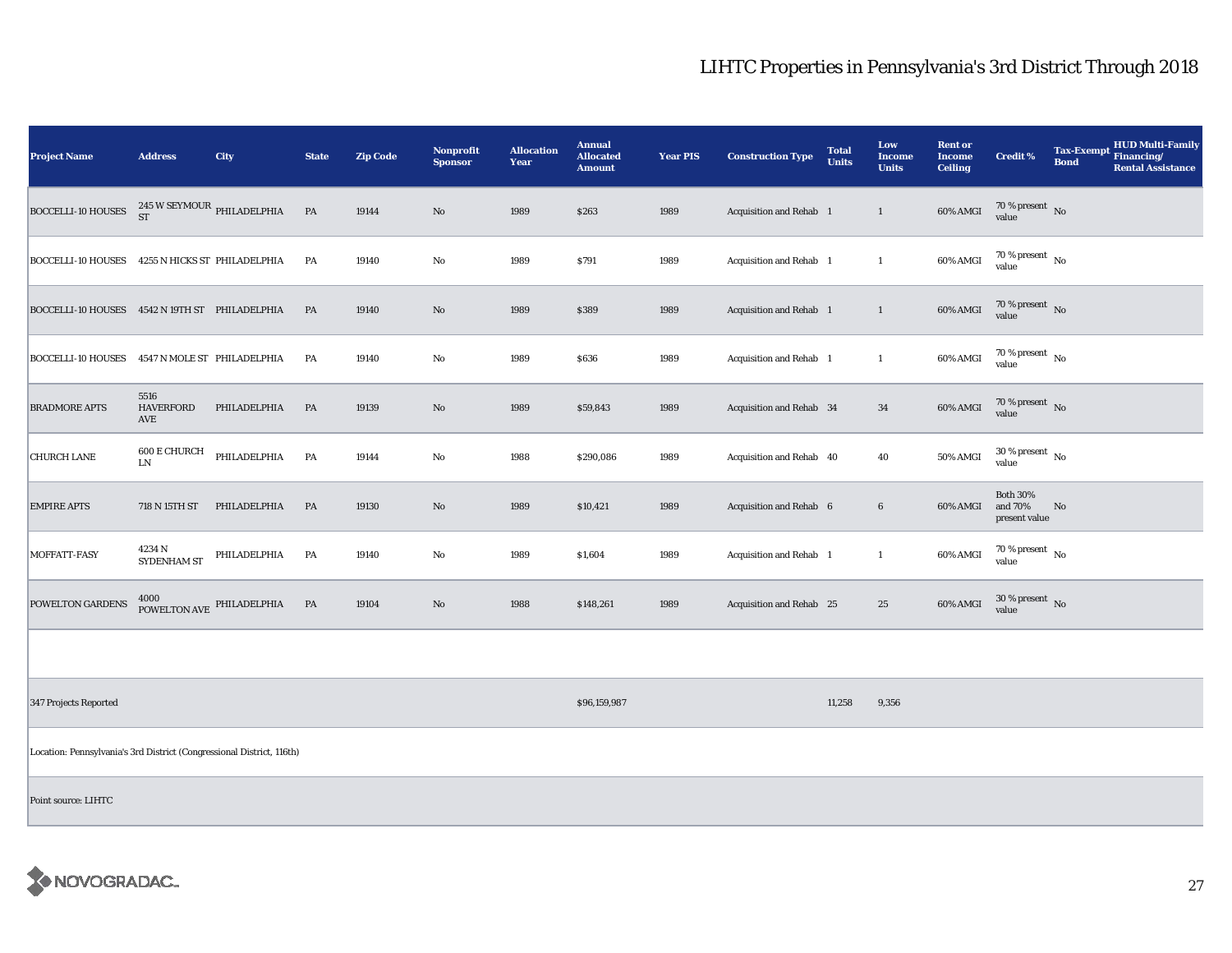| <b>Project Name</b>                                                   | <b>Address</b>                  | City                                                | <b>State</b> | <b>Zip Code</b> | <b>Nonprofit</b><br><b>Sponsor</b> | <b>Allocation</b><br>Year | <b>Annual</b><br><b>Allocated</b><br><b>Amount</b> | <b>Year PIS</b> | <b>Construction Type</b> | <b>Total</b><br><b>Units</b> | Low<br><b>Income</b><br><b>Units</b> | <b>Rent or</b><br><b>Income</b><br><b>Ceiling</b> | <b>Credit %</b>                             | <b>Tax-Exempt</b><br><b>Bond</b> | <b>HUD Multi-Family</b><br>Financing/<br><b>Rental Assistance</b> |
|-----------------------------------------------------------------------|---------------------------------|-----------------------------------------------------|--------------|-----------------|------------------------------------|---------------------------|----------------------------------------------------|-----------------|--------------------------|------------------------------|--------------------------------------|---------------------------------------------------|---------------------------------------------|----------------------------------|-------------------------------------------------------------------|
| <b>BOCCELLI-10 HOUSES</b>                                             |                                 | $245\,\mathrm{W}\,\mathrm{SEYMOUR}$ PHILADELPHIA ST | PA           | 19144           | $\rm No$                           | 1989                      | \$263                                              | 1989            | Acquisition and Rehab 1  |                              | $\mathbf{1}$                         | 60% AMGI                                          | $70\,\%$ present $\,$ No value              |                                  |                                                                   |
| BOCCELLI-10 HOUSES 4255 N HICKS ST PHILADELPHIA                       |                                 |                                                     | PA           | 19140           | No                                 | 1989                      | \$791                                              | 1989            | Acquisition and Rehab 1  |                              | $\mathbf{1}$                         | 60% AMGI                                          | $70\,\%$ present $\,$ No value              |                                  |                                                                   |
| BOCCELLI-10 HOUSES 4542 N 19TH ST PHILADELPHIA                        |                                 |                                                     | PA           | 19140           | $\rm No$                           | 1989                      | \$389                                              | 1989            | Acquisition and Rehab 1  |                              | $\mathbf{1}$                         | 60% AMGI                                          | 70 % present $\hbox{~No}$<br>value          |                                  |                                                                   |
| BOCCELLI-10 HOUSES 4547 N MOLE ST PHILADELPHIA                        |                                 |                                                     | PA           | 19140           | No                                 | 1989                      | \$636                                              | 1989            | Acquisition and Rehab 1  |                              | $\mathbf{1}$                         | 60% AMGI                                          | $70$ % present $\,$ No $\,$<br>value        |                                  |                                                                   |
| <b>BRADMORE APTS</b>                                                  | 5516<br><b>HAVERFORD</b><br>AVE | PHILADELPHIA                                        | PA           | 19139           | $\rm No$                           | 1989                      | \$59,843                                           | 1989            | Acquisition and Rehab 34 |                              | $34\,$                               | 60% AMGI                                          | $70\,\%$ present $\,$ No value              |                                  |                                                                   |
| CHURCH LANE                                                           | 600 E CHURCH<br>${\rm LN}$      | PHILADELPHIA                                        | PA           | 19144           | $\rm No$                           | 1988                      | \$290,086                                          | 1989            | Acquisition and Rehab 40 |                              | 40                                   | 50% AMGI                                          | $30$ % present $\,$ No $\,$<br>value        |                                  |                                                                   |
| <b>EMPIRE APTS</b>                                                    | 718 N 15TH ST                   | PHILADELPHIA                                        | PA           | 19130           | $\rm No$                           | 1989                      | \$10,421                                           | 1989            | Acquisition and Rehab 6  |                              | $\bf 6$                              | 60% AMGI                                          | <b>Both 30%</b><br>and 70%<br>present value | No                               |                                                                   |
| MOFFATT-FASY                                                          | 4234 N<br>SYDENHAM ST           | PHILADELPHIA                                        | PA           | 19140           | No                                 | 1989                      | \$1,604                                            | 1989            | Acquisition and Rehab 1  |                              | $\mathbf{1}$                         | 60% AMGI                                          | $70$ % present $\,$ No $\,$<br>value        |                                  |                                                                   |
| <b>POWELTON GARDENS</b>                                               |                                 | $4000$ $$\rm PHLADELPHIA$$ POWELTON AVE             | <b>PA</b>    | 19104           | $\mathbf{No}$                      | 1988                      | \$148,261                                          | 1989            | Acquisition and Rehab 25 |                              | $\bf 25$                             | 60% AMGI                                          | $30$ % present $\,$ No $\,$<br>value        |                                  |                                                                   |
|                                                                       |                                 |                                                     |              |                 |                                    |                           |                                                    |                 |                          |                              |                                      |                                                   |                                             |                                  |                                                                   |
| 347 Projects Reported                                                 |                                 |                                                     |              |                 |                                    |                           | \$96,159,987                                       |                 |                          | 11,258                       | 9,356                                |                                                   |                                             |                                  |                                                                   |
| Location: Pennsylvania's 3rd District (Congressional District, 116th) |                                 |                                                     |              |                 |                                    |                           |                                                    |                 |                          |                              |                                      |                                                   |                                             |                                  |                                                                   |
| Point source: LIHTC                                                   |                                 |                                                     |              |                 |                                    |                           |                                                    |                 |                          |                              |                                      |                                                   |                                             |                                  |                                                                   |